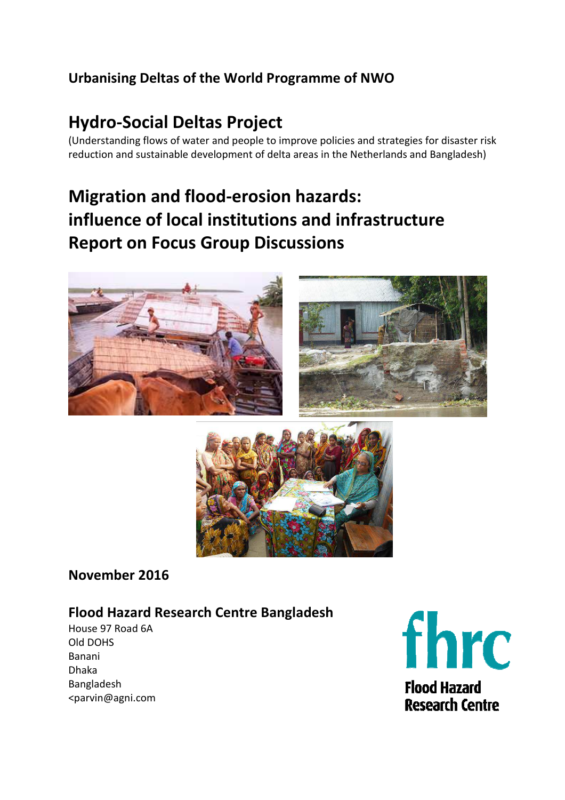## **Urbanising Deltas of the World Programme of NWO**

# **Hydro-Social Deltas Project**

(Understanding flows of water and people to improve policies and strategies for disaster risk reduction and sustainable development of delta areas in the Netherlands and Bangladesh)

# **Migration and flood-erosion hazards: influence of local institutions and infrastructure Report on Focus Group Discussions**





## **November 2016**

## **Flood Hazard Research Centre Bangladesh**

House 97 Road 6A Old DOHS Banani Dhaka Bangladesh <parvin@agni.com



**Flood Hazard Research Centre**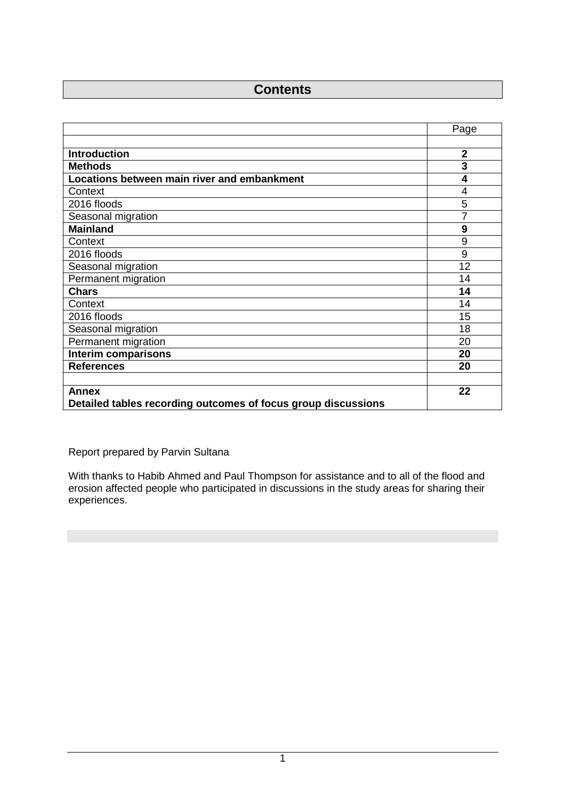## **Contents**

|                                                               | Page           |
|---------------------------------------------------------------|----------------|
|                                                               |                |
| <b>Introduction</b>                                           | $\overline{2}$ |
| <b>Methods</b>                                                | 3              |
| Locations between main river and embankment                   | 4              |
| Context                                                       | 4              |
| 2016 floods                                                   | 5              |
| Seasonal migration                                            | 7              |
| <b>Mainland</b>                                               | 9              |
| Context                                                       | 9              |
| 2016 floods                                                   | 9              |
| Seasonal migration                                            | 12             |
| Permanent migration                                           | 14             |
| <b>Chars</b>                                                  | 14             |
| Context                                                       | 14             |
| 2016 floods                                                   | 15             |
| Seasonal migration                                            | 18             |
| Permanent migration                                           | 20             |
| <b>Interim comparisons</b>                                    | 20             |
| <b>References</b>                                             | 20             |
|                                                               |                |
| <b>Annex</b>                                                  | 22             |
| Detailed tables recording outcomes of focus group discussions |                |

Report prepared by Parvin Sultana

With thanks to Habib Ahmed and Paul Thompson for assistance and to all of the flood and erosion affected people who participated in discussions in the study areas for sharing their experiences.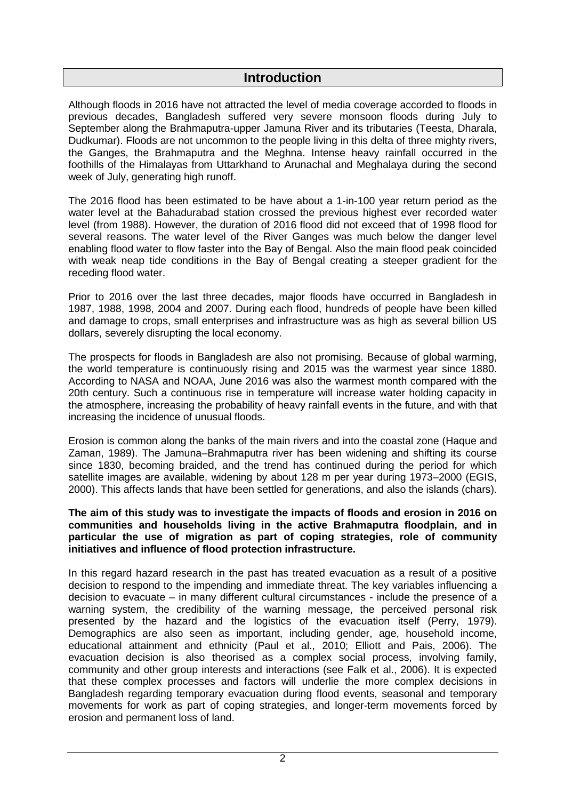## **Introduction**

Although floods in 2016 have not attracted the level of media coverage accorded to floods in previous decades, Bangladesh suffered very severe monsoon floods during July to September along the Brahmaputra-upper Jamuna River and its tributaries (Teesta, Dharala, Dudkumar). Floods are not uncommon to the people living in this delta of three mighty rivers, the Ganges, the Brahmaputra and the Meghna. Intense heavy rainfall occurred in the foothills of the Himalayas from Uttarkhand to Arunachal and Meghalaya during the second week of July, generating high runoff.

The 2016 flood has been estimated to be have about a 1-in-100 year return period as the water level at the Bahadurabad station crossed the previous highest ever recorded water level (from 1988). However, the duration of 2016 flood did not exceed that of 1998 flood for several reasons. The water level of the River Ganges was much below the danger level enabling flood water to flow faster into the Bay of Bengal. Also the main flood peak coincided with weak neap tide conditions in the Bay of Bengal creating a steeper gradient for the receding flood water.

Prior to 2016 over the last three decades, major floods have occurred in Bangladesh in 1987, 1988, 1998, 2004 and 2007. During each flood, hundreds of people have been killed and damage to crops, small enterprises and infrastructure was as high as several billion US dollars, severely disrupting the local economy.

The prospects for floods in Bangladesh are also not promising. Because of global warming, the world temperature is continuously rising and 2015 was the warmest year since 1880. According to NASA and NOAA, June 2016 was also the warmest month compared with the 20th century. Such a continuous rise in temperature will increase water holding capacity in the atmosphere, increasing the probability of heavy rainfall events in the future, and with that increasing the incidence of unusual floods.

Erosion is common along the banks of the main rivers and into the coastal zone (Haque and Zaman, 1989). The Jamuna–Brahmaputra river has been widening and shifting its course since 1830, becoming braided, and the trend has continued during the period for which satellite images are available, widening by about 128 m per year during 1973–2000 (EGIS, 2000). This affects lands that have been settled for generations, and also the islands (chars).

#### **The aim of this study was to investigate the impacts of floods and erosion in 2016 on communities and households living in the active Brahmaputra floodplain, and in particular the use of migration as part of coping strategies, role of community initiatives and influence of flood protection infrastructure.**

In this regard hazard research in the past has treated evacuation as a result of a positive decision to respond to the impending and immediate threat. The key variables influencing a decision to evacuate – in many different cultural circumstances - include the presence of a warning system, the credibility of the warning message, the perceived personal risk presented by the hazard and the logistics of the evacuation itself (Perry, 1979). Demographics are also seen as important, including gender, age, household income, educational attainment and ethnicity (Paul et al., 2010; Elliott and Pais, 2006). The evacuation decision is also theorised as a complex social process, involving family, community and other group interests and interactions (see Falk et al., 2006). It is expected that these complex processes and factors will underlie the more complex decisions in Bangladesh regarding temporary evacuation during flood events, seasonal and temporary movements for work as part of coping strategies, and longer-term movements forced by erosion and permanent loss of land.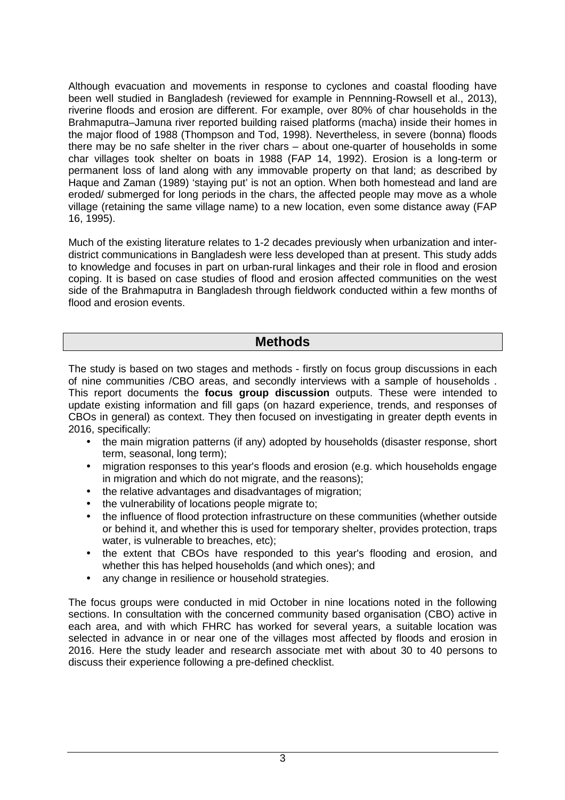Although evacuation and movements in response to cyclones and coastal flooding have been well studied in Bangladesh (reviewed for example in Pennning-Rowsell et al., 2013), riverine floods and erosion are different. For example, over 80% of char households in the Brahmaputra–Jamuna river reported building raised platforms (macha) inside their homes in the major flood of 1988 (Thompson and Tod, 1998). Nevertheless, in severe (bonna) floods there may be no safe shelter in the river chars – about one-quarter of households in some char villages took shelter on boats in 1988 (FAP 14, 1992). Erosion is a long-term or permanent loss of land along with any immovable property on that land; as described by Haque and Zaman (1989) 'staying put' is not an option. When both homestead and land are eroded/ submerged for long periods in the chars, the affected people may move as a whole village (retaining the same village name) to a new location, even some distance away (FAP 16, 1995).

Much of the existing literature relates to 1-2 decades previously when urbanization and interdistrict communications in Bangladesh were less developed than at present. This study adds to knowledge and focuses in part on urban-rural linkages and their role in flood and erosion coping. It is based on case studies of flood and erosion affected communities on the west side of the Brahmaputra in Bangladesh through fieldwork conducted within a few months of flood and erosion events.

## **Methods**

The study is based on two stages and methods - firstly on focus group discussions in each of nine communities /CBO areas, and secondly interviews with a sample of households . This report documents the **focus group discussion** outputs. These were intended to update existing information and fill gaps (on hazard experience, trends, and responses of CBOs in general) as context. They then focused on investigating in greater depth events in 2016, specifically:

- the main migration patterns (if any) adopted by households (disaster response, short term, seasonal, long term);
- migration responses to this year's floods and erosion (e.g. which households engage in migration and which do not migrate, and the reasons);
- the relative advantages and disadvantages of migration;
- the vulnerability of locations people migrate to;
- the influence of flood protection infrastructure on these communities (whether outside or behind it, and whether this is used for temporary shelter, provides protection, traps water, is vulnerable to breaches, etc);
- the extent that CBOs have responded to this year's flooding and erosion, and whether this has helped households (and which ones); and
- any change in resilience or household strategies.

The focus groups were conducted in mid October in nine locations noted in the following sections. In consultation with the concerned community based organisation (CBO) active in each area, and with which FHRC has worked for several years, a suitable location was selected in advance in or near one of the villages most affected by floods and erosion in 2016. Here the study leader and research associate met with about 30 to 40 persons to discuss their experience following a pre-defined checklist.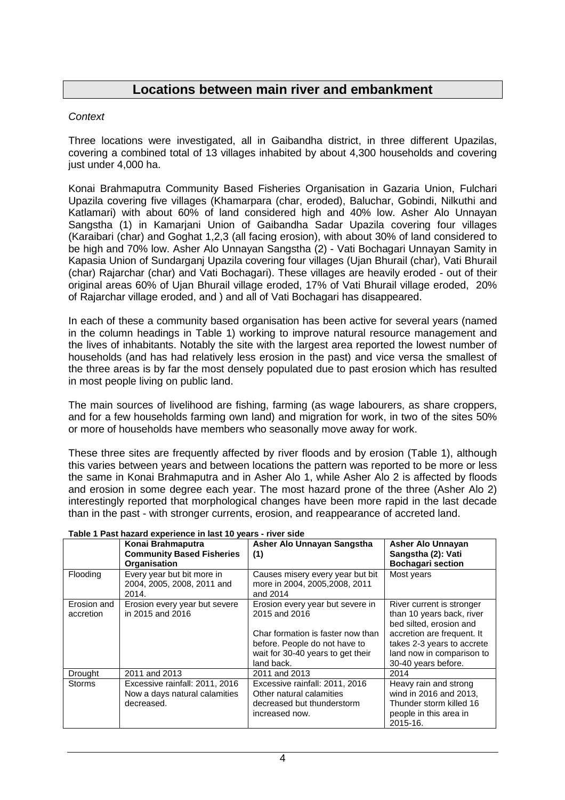## **Locations between main river and embankment**

#### **Context**

Three locations were investigated, all in Gaibandha district, in three different Upazilas, covering a combined total of 13 villages inhabited by about 4,300 households and covering just under 4,000 ha.

Konai Brahmaputra Community Based Fisheries Organisation in Gazaria Union, Fulchari Upazila covering five villages (Khamarpara (char, eroded), Baluchar, Gobindi, Nilkuthi and Katlamari) with about 60% of land considered high and 40% low. Asher Alo Unnayan Sangstha (1) in Kamarjani Union of Gaibandha Sadar Upazila covering four villages (Karaibari (char) and Goghat 1,2,3 (all facing erosion), with about 30% of land considered to be high and 70% low. Asher Alo Unnayan Sangstha (2) - Vati Bochagari Unnayan Samity in Kapasia Union of Sundarganj Upazila covering four villages (Ujan Bhurail (char), Vati Bhurail (char) Rajarchar (char) and Vati Bochagari). These villages are heavily eroded - out of their original areas 60% of Ujan Bhurail village eroded, 17% of Vati Bhurail village eroded, 20% of Rajarchar village eroded, and ) and all of Vati Bochagari has disappeared.

In each of these a community based organisation has been active for several years (named in the column headings in Table 1) working to improve natural resource management and the lives of inhabitants. Notably the site with the largest area reported the lowest number of households (and has had relatively less erosion in the past) and vice versa the smallest of the three areas is by far the most densely populated due to past erosion which has resulted in most people living on public land.

The main sources of livelihood are fishing, farming (as wage labourers, as share croppers, and for a few households farming own land) and migration for work, in two of the sites 50% or more of households have members who seasonally move away for work.

These three sites are frequently affected by river floods and by erosion (Table 1), although this varies between years and between locations the pattern was reported to be more or less the same in Konai Brahmaputra and in Asher Alo 1, while Asher Alo 2 is affected by floods and erosion in some degree each year. The most hazard prone of the three (Asher Alo 2) interestingly reported that morphological changes have been more rapid in the last decade than in the past - with stronger currents, erosion, and reappearance of accreted land.

|                          | Konai Brahmaputra<br><b>Community Based Fisheries</b><br><b>Organisation</b>  | Asher Alo Unnayan Sangstha<br>(1)                                                                                                                                          | Asher Alo Unnayan<br>Sangstha (2): Vati<br><b>Bochagari section</b>                                                                                                                               |
|--------------------------|-------------------------------------------------------------------------------|----------------------------------------------------------------------------------------------------------------------------------------------------------------------------|---------------------------------------------------------------------------------------------------------------------------------------------------------------------------------------------------|
| Flooding                 | Every year but bit more in<br>2004, 2005, 2008, 2011 and<br>2014.             | Causes misery every year but bit<br>more in 2004, 2005, 2008, 2011<br>and 2014                                                                                             | Most years                                                                                                                                                                                        |
| Erosion and<br>accretion | Erosion every year but severe<br>in 2015 and 2016                             | Erosion every year but severe in<br>2015 and 2016<br>Char formation is faster now than<br>before. People do not have to<br>wait for 30-40 years to get their<br>land back. | River current is stronger<br>than 10 years back, river<br>bed silted, erosion and<br>accretion are frequent. It<br>takes 2-3 years to accrete<br>land now in comparison to<br>30-40 years before. |
| Drought                  | 2011 and 2013                                                                 | 2011 and 2013                                                                                                                                                              | 2014                                                                                                                                                                                              |
| <b>Storms</b>            | Excessive rainfall: 2011, 2016<br>Now a days natural calamities<br>decreased. | Excessive rainfall: 2011, 2016<br>Other natural calamities<br>decreased but thunderstorm<br>increased now.                                                                 | Heavy rain and strong<br>wind in 2016 and 2013,<br>Thunder storm killed 16<br>people in this area in<br>2015-16.                                                                                  |

#### **Table 1 Past hazard experience in last 10 years - river side**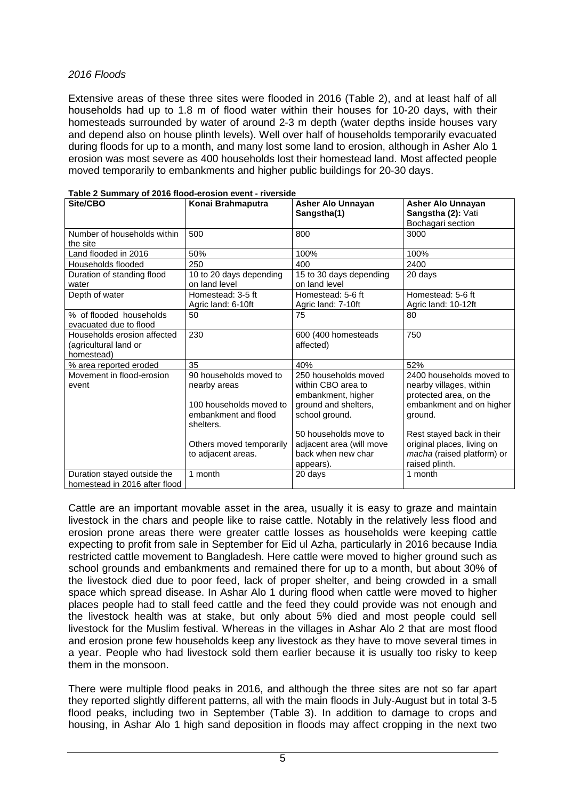#### 2016 Floods

Extensive areas of these three sites were flooded in 2016 (Table 2), and at least half of all households had up to 1.8 m of flood water within their houses for 10-20 days, with their homesteads surrounded by water of around 2-3 m depth (water depths inside houses vary and depend also on house plinth levels). Well over half of households temporarily evacuated during floods for up to a month, and many lost some land to erosion, although in Asher Alo 1 erosion was most severe as 400 households lost their homestead land. Most affected people moved temporarily to embankments and higher public buildings for 20-30 days.

| Site/CBO                                                           | Konai Brahmaputra                                                                                      | <b>Asher Alo Unnayan</b><br>Sangstha(1)                                                                    | <b>Asher Alo Unnayan</b><br>Sangstha (2): Vati<br>Bochagari section                                                  |
|--------------------------------------------------------------------|--------------------------------------------------------------------------------------------------------|------------------------------------------------------------------------------------------------------------|----------------------------------------------------------------------------------------------------------------------|
| Number of households within<br>the site                            | 500                                                                                                    | 800                                                                                                        | 3000                                                                                                                 |
| Land flooded in 2016                                               | 50%                                                                                                    | 100%                                                                                                       | 100%                                                                                                                 |
| Households flooded                                                 | 250                                                                                                    | 400                                                                                                        | 2400                                                                                                                 |
| Duration of standing flood<br>water                                | 10 to 20 days depending<br>on land level                                                               | 15 to 30 days depending<br>on land level                                                                   | 20 days                                                                                                              |
| Depth of water                                                     | Homestead: 3-5 ft<br>Agric land: 6-10ft                                                                | Homestead: 5-6 ft<br>Agric land: 7-10ft                                                                    | Homestead: 5-6 ft<br>Agric land: 10-12ft                                                                             |
| % of flooded households<br>evacuated due to flood                  | 50                                                                                                     | 75                                                                                                         | 80                                                                                                                   |
| Households erosion affected<br>(agricultural land or<br>homestead) | 230                                                                                                    | 600 (400 homesteads<br>affected)                                                                           | 750                                                                                                                  |
| % area reported eroded                                             | 35                                                                                                     | 40%                                                                                                        | 52%                                                                                                                  |
| Movement in flood-erosion<br>event                                 | 90 households moved to<br>nearby areas<br>100 households moved to<br>embankment and flood<br>shelters. | 250 households moved<br>within CBO area to<br>embankment, higher<br>ground and shelters,<br>school ground. | 2400 households moved to<br>nearby villages, within<br>protected area, on the<br>embankment and on higher<br>ground. |
|                                                                    | Others moved temporarily<br>to adjacent areas.                                                         | 50 households move to<br>adjacent area (will move<br>back when new char<br>appears).                       | Rest stayed back in their<br>original places, living on<br>macha (raised platform) or<br>raised plinth.              |
| Duration stayed outside the<br>homestead in 2016 after flood       | 1 month                                                                                                | 20 days                                                                                                    | 1 month                                                                                                              |

| Table 2 Summary of 2016 flood-erosion event - riverside |  |
|---------------------------------------------------------|--|
|                                                         |  |

Cattle are an important movable asset in the area, usually it is easy to graze and maintain livestock in the chars and people like to raise cattle. Notably in the relatively less flood and erosion prone areas there were greater cattle losses as households were keeping cattle expecting to profit from sale in September for Eid ul Azha, particularly in 2016 because India restricted cattle movement to Bangladesh. Here cattle were moved to higher ground such as school grounds and embankments and remained there for up to a month, but about 30% of the livestock died due to poor feed, lack of proper shelter, and being crowded in a small space which spread disease. In Ashar Alo 1 during flood when cattle were moved to higher places people had to stall feed cattle and the feed they could provide was not enough and the livestock health was at stake, but only about 5% died and most people could sell livestock for the Muslim festival. Whereas in the villages in Ashar Alo 2 that are most flood and erosion prone few households keep any livestock as they have to move several times in a year. People who had livestock sold them earlier because it is usually too risky to keep them in the monsoon.

There were multiple flood peaks in 2016, and although the three sites are not so far apart they reported slightly different patterns, all with the main floods in July-August but in total 3-5 flood peaks, including two in September (Table 3). In addition to damage to crops and housing, in Ashar Alo 1 high sand deposition in floods may affect cropping in the next two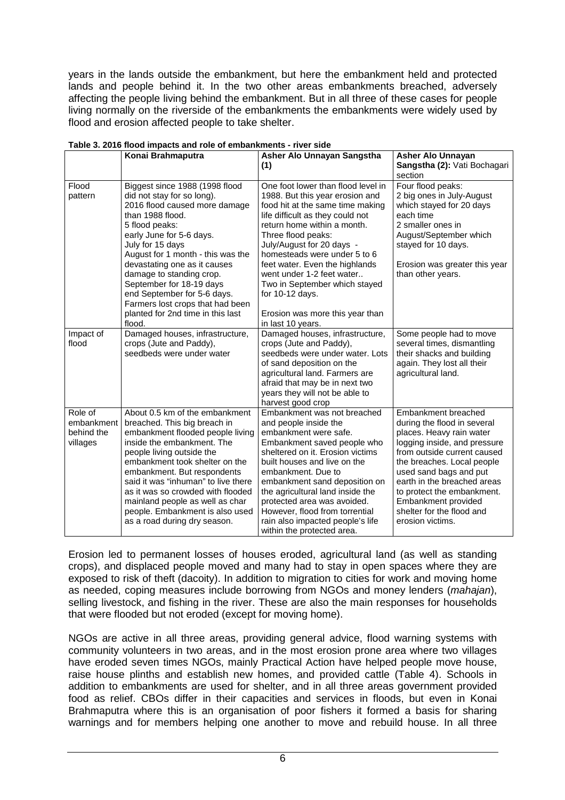years in the lands outside the embankment, but here the embankment held and protected lands and people behind it. In the two other areas embankments breached, adversely affecting the people living behind the embankment. But in all three of these cases for people living normally on the riverside of the embankments the embankments were widely used by flood and erosion affected people to take shelter.

|                                                 | Konai Brahmaputra                                                                                                                                                                                                                                                                                                                                                                                                                  | Asher Alo Unnayan Sangstha                                                                                                                                                                                                                                                                                                                                                                                                                   | <b>Asher Alo Unnayan</b>                                                                                                                                                                                                                                                                                                                   |
|-------------------------------------------------|------------------------------------------------------------------------------------------------------------------------------------------------------------------------------------------------------------------------------------------------------------------------------------------------------------------------------------------------------------------------------------------------------------------------------------|----------------------------------------------------------------------------------------------------------------------------------------------------------------------------------------------------------------------------------------------------------------------------------------------------------------------------------------------------------------------------------------------------------------------------------------------|--------------------------------------------------------------------------------------------------------------------------------------------------------------------------------------------------------------------------------------------------------------------------------------------------------------------------------------------|
|                                                 |                                                                                                                                                                                                                                                                                                                                                                                                                                    | (1)                                                                                                                                                                                                                                                                                                                                                                                                                                          | Sangstha (2): Vati Bochagari                                                                                                                                                                                                                                                                                                               |
|                                                 |                                                                                                                                                                                                                                                                                                                                                                                                                                    |                                                                                                                                                                                                                                                                                                                                                                                                                                              | section                                                                                                                                                                                                                                                                                                                                    |
| Flood<br>pattern                                | Biggest since 1988 (1998 flood<br>did not stay for so long).<br>2016 flood caused more damage<br>than 1988 flood.<br>5 flood peaks:<br>early June for 5-6 days.<br>July for 15 days<br>August for 1 month - this was the<br>devastating one as it causes<br>damage to standing crop.<br>September for 18-19 days<br>end September for 5-6 days.<br>Farmers lost crops that had been<br>planted for 2nd time in this last<br>flood. | One foot lower than flood level in<br>1988. But this year erosion and<br>food hit at the same time making<br>life difficult as they could not<br>return home within a month.<br>Three flood peaks:<br>July/August for 20 days -<br>homesteads were under 5 to 6<br>feet water. Even the highlands<br>went under 1-2 feet water<br>Two in September which stayed<br>for $10-12$ days.<br>Erosion was more this year than<br>in last 10 years. | Four flood peaks:<br>2 big ones in July-August<br>which stayed for 20 days<br>each time<br>2 smaller ones in<br>August/September which<br>stayed for 10 days.<br>Erosion was greater this year<br>than other years.                                                                                                                        |
| Impact of<br>flood                              | Damaged houses, infrastructure,<br>crops (Jute and Paddy),<br>seedbeds were under water                                                                                                                                                                                                                                                                                                                                            | Damaged houses, infrastructure,<br>crops (Jute and Paddy),<br>seedbeds were under water. Lots<br>of sand deposition on the<br>agricultural land. Farmers are<br>afraid that may be in next two<br>years they will not be able to<br>harvest good crop                                                                                                                                                                                        | Some people had to move<br>several times, dismantling<br>their shacks and building<br>again. They lost all their<br>agricultural land.                                                                                                                                                                                                     |
| Role of<br>embankment<br>behind the<br>villages | About 0.5 km of the embankment<br>breached. This big breach in<br>embankment flooded people living<br>inside the embankment. The<br>people living outside the<br>embankment took shelter on the<br>embankment. But respondents<br>said it was "inhuman" to live there<br>as it was so crowded with flooded<br>mainland people as well as char<br>people. Embankment is also used<br>as a road during dry season.                   | Embankment was not breached<br>and people inside the<br>embankment were safe.<br>Embankment saved people who<br>sheltered on it. Erosion victims<br>built houses and live on the<br>embankment. Due to<br>embankment sand deposition on<br>the agricultural land inside the<br>protected area was avoided.<br>However, flood from torrential<br>rain also impacted people's life<br>within the protected area.                               | Embankment breached<br>during the flood in several<br>places. Heavy rain water<br>logging inside, and pressure<br>from outside current caused<br>the breaches. Local people<br>used sand bags and put<br>earth in the breached areas<br>to protect the embankment.<br>Embankment provided<br>shelter for the flood and<br>erosion victims. |

#### **Table 3. 2016 flood impacts and role of embankments - river side**

Erosion led to permanent losses of houses eroded, agricultural land (as well as standing crops), and displaced people moved and many had to stay in open spaces where they are exposed to risk of theft (dacoity). In addition to migration to cities for work and moving home as needed, coping measures include borrowing from NGOs and money lenders (mahajan), selling livestock, and fishing in the river. These are also the main responses for households that were flooded but not eroded (except for moving home).

NGOs are active in all three areas, providing general advice, flood warning systems with community volunteers in two areas, and in the most erosion prone area where two villages have eroded seven times NGOs, mainly Practical Action have helped people move house, raise house plinths and establish new homes, and provided cattle (Table 4). Schools in addition to embankments are used for shelter, and in all three areas government provided food as relief. CBOs differ in their capacities and services in floods, but even in Konai Brahmaputra where this is an organisation of poor fishers it formed a basis for sharing warnings and for members helping one another to move and rebuild house. In all three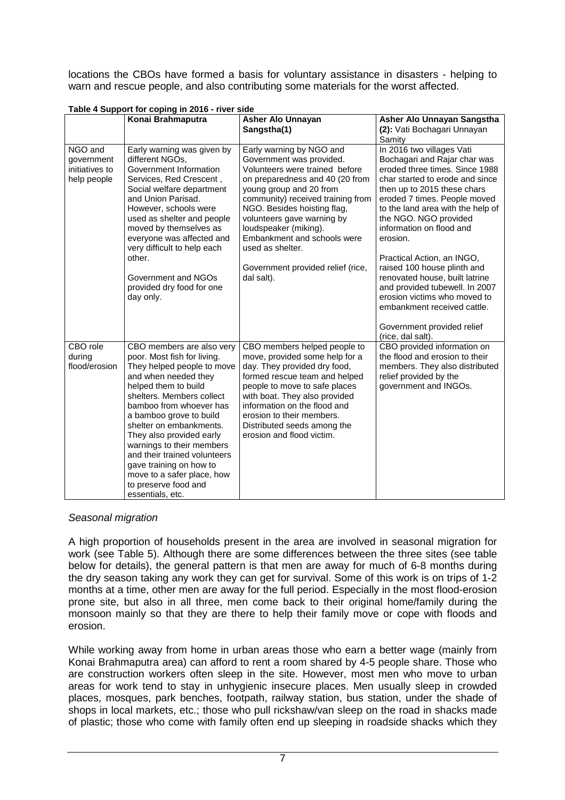locations the CBOs have formed a basis for voluntary assistance in disasters - helping to warn and rescue people, and also contributing some materials for the worst affected.

|                                                        | Konai Brahmaputra                                                                                                                                                                                                                                                                                                                                                                                                                                  | <b>Asher Alo Unnayan</b><br>Sangstha(1)                                                                                                                                                                                                                                                                                                                                               | Asher Alo Unnayan Sangstha<br>(2): Vati Bochagari Unnayan                                                                                                                                                                                                                                                                                                                                                                                                                                           |
|--------------------------------------------------------|----------------------------------------------------------------------------------------------------------------------------------------------------------------------------------------------------------------------------------------------------------------------------------------------------------------------------------------------------------------------------------------------------------------------------------------------------|---------------------------------------------------------------------------------------------------------------------------------------------------------------------------------------------------------------------------------------------------------------------------------------------------------------------------------------------------------------------------------------|-----------------------------------------------------------------------------------------------------------------------------------------------------------------------------------------------------------------------------------------------------------------------------------------------------------------------------------------------------------------------------------------------------------------------------------------------------------------------------------------------------|
|                                                        |                                                                                                                                                                                                                                                                                                                                                                                                                                                    |                                                                                                                                                                                                                                                                                                                                                                                       | Samity                                                                                                                                                                                                                                                                                                                                                                                                                                                                                              |
| NGO and<br>government<br>initiatives to<br>help people | Early warning was given by<br>different NGOs,<br>Government Information<br>Services, Red Crescent,<br>Social welfare department<br>and Union Parisad.<br>However, schools were<br>used as shelter and people<br>moved by themselves as<br>everyone was affected and<br>very difficult to help each<br>other.<br>Government and NGOs<br>provided dry food for one<br>day only.                                                                      | Early warning by NGO and<br>Government was provided.<br>Volunteers were trained before<br>on preparedness and 40 (20 from<br>young group and 20 from<br>community) received training from<br>NGO. Besides hoisting flag,<br>volunteers gave warning by<br>loudspeaker (miking).<br>Embankment and schools were<br>used as shelter.<br>Government provided relief (rice,<br>dal salt). | In 2016 two villages Vati<br>Bochagari and Rajar char was<br>eroded three times. Since 1988<br>char started to erode and since<br>then up to 2015 these chars<br>eroded 7 times. People moved<br>to the land area with the help of<br>the NGO. NGO provided<br>information on flood and<br>erosion.<br>Practical Action, an INGO,<br>raised 100 house plinth and<br>renovated house, built latrine<br>and provided tubewell. In 2007<br>erosion victims who moved to<br>embankment received cattle. |
|                                                        |                                                                                                                                                                                                                                                                                                                                                                                                                                                    |                                                                                                                                                                                                                                                                                                                                                                                       | Government provided relief<br>(rice, dal salt).                                                                                                                                                                                                                                                                                                                                                                                                                                                     |
| CBO role<br>during<br>flood/erosion                    | CBO members are also very<br>poor. Most fish for living.<br>They helped people to move<br>and when needed they<br>helped them to build<br>shelters. Members collect<br>bamboo from whoever has<br>a bamboo grove to build<br>shelter on embankments.<br>They also provided early<br>warnings to their members<br>and their trained volunteers<br>gave training on how to<br>move to a safer place, how<br>to preserve food and<br>essentials, etc. | CBO members helped people to<br>move, provided some help for a<br>day. They provided dry food,<br>formed rescue team and helped<br>people to move to safe places<br>with boat. They also provided<br>information on the flood and<br>erosion to their members.<br>Distributed seeds among the<br>erosion and flood victim.                                                            | CBO provided information on<br>the flood and erosion to their<br>members. They also distributed<br>relief provided by the<br>government and INGOs.                                                                                                                                                                                                                                                                                                                                                  |

**Table 4 Support for coping in 2016 - river side** 

#### Seasonal migration

A high proportion of households present in the area are involved in seasonal migration for work (see Table 5). Although there are some differences between the three sites (see table below for details), the general pattern is that men are away for much of 6-8 months during the dry season taking any work they can get for survival. Some of this work is on trips of 1-2 months at a time, other men are away for the full period. Especially in the most flood-erosion prone site, but also in all three, men come back to their original home/family during the monsoon mainly so that they are there to help their family move or cope with floods and erosion.

While working away from home in urban areas those who earn a better wage (mainly from Konai Brahmaputra area) can afford to rent a room shared by 4-5 people share. Those who are construction workers often sleep in the site. However, most men who move to urban areas for work tend to stay in unhygienic insecure places. Men usually sleep in crowded places, mosques, park benches, footpath, railway station, bus station, under the shade of shops in local markets, etc.; those who pull rickshaw/van sleep on the road in shacks made of plastic; those who come with family often end up sleeping in roadside shacks which they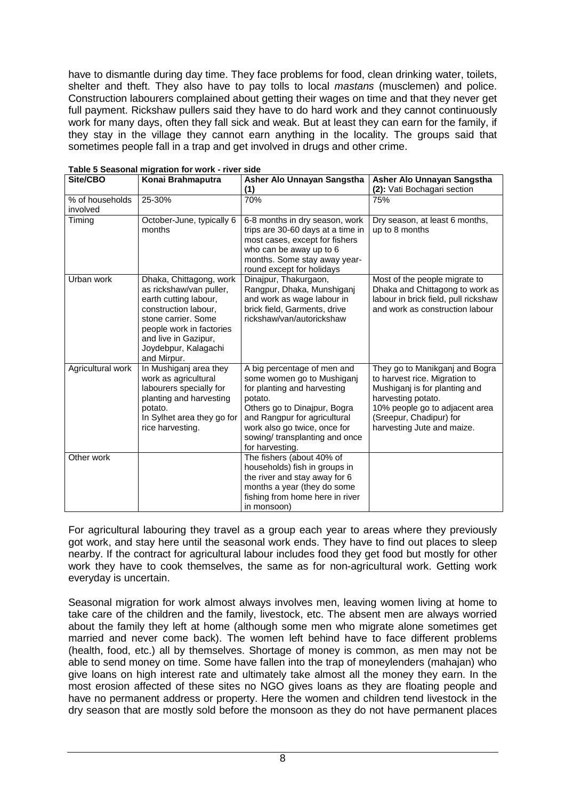have to dismantle during day time. They face problems for food, clean drinking water, toilets, shelter and theft. They also have to pay tolls to local *mastans* (musclemen) and police. Construction labourers complained about getting their wages on time and that they never get full payment. Rickshaw pullers said they have to do hard work and they cannot continuously work for many days, often they fall sick and weak. But at least they can earn for the family, if they stay in the village they cannot earn anything in the locality. The groups said that sometimes people fall in a trap and get involved in drugs and other crime.

| Site/CBO                    | Konai Brahmaputra                                                                                                                                                                                                     | Asher Alo Unnayan Sangstha<br>(1)                                                                                                                                                                                                                        | Asher Alo Unnayan Sangstha<br>(2): Vati Bochagari section                                                                                                                                                         |
|-----------------------------|-----------------------------------------------------------------------------------------------------------------------------------------------------------------------------------------------------------------------|----------------------------------------------------------------------------------------------------------------------------------------------------------------------------------------------------------------------------------------------------------|-------------------------------------------------------------------------------------------------------------------------------------------------------------------------------------------------------------------|
| % of households<br>involved | 25-30%                                                                                                                                                                                                                | 70%                                                                                                                                                                                                                                                      | 75%                                                                                                                                                                                                               |
| Timing                      | October-June, typically 6<br>months                                                                                                                                                                                   | 6-8 months in dry season, work<br>trips are 30-60 days at a time in<br>most cases, except for fishers<br>who can be away up to 6<br>months. Some stay away year-<br>round except for holidays                                                            | Dry season, at least 6 months,<br>up to 8 months                                                                                                                                                                  |
| Urban work                  | Dhaka, Chittagong, work<br>as rickshaw/van puller,<br>earth cutting labour,<br>construction labour,<br>stone carrier. Some<br>people work in factories<br>and live in Gazipur,<br>Joydebpur, Kalagachi<br>and Mirpur. | Dinajpur, Thakurgaon,<br>Rangpur, Dhaka, Munshiganj<br>and work as wage labour in<br>brick field, Garments, drive<br>rickshaw/van/autorickshaw                                                                                                           | Most of the people migrate to<br>Dhaka and Chittagong to work as<br>labour in brick field, pull rickshaw<br>and work as construction labour                                                                       |
| Agricultural work           | In Mushiganj area they<br>work as agricultural<br>labourers specially for<br>planting and harvesting<br>potato.<br>In Sylhet area they go for<br>rice harvesting.                                                     | A big percentage of men and<br>some women go to Mushiganj<br>for planting and harvesting<br>potato.<br>Others go to Dinajpur, Bogra<br>and Rangpur for agricultural<br>work also go twice, once for<br>sowing/ transplanting and once<br>for harvesting. | They go to Manikganj and Bogra<br>to harvest rice. Migration to<br>Mushiganj is for planting and<br>harvesting potato.<br>10% people go to adjacent area<br>(Sreepur, Chadipur) for<br>harvesting Jute and maize. |
| Other work                  |                                                                                                                                                                                                                       | The fishers (about 40% of<br>households) fish in groups in<br>the river and stay away for 6<br>months a year (they do some<br>fishing from home here in river<br>in monsoon)                                                                             |                                                                                                                                                                                                                   |

|  | Table 5 Seasonal migration for work - river side |  |  |
|--|--------------------------------------------------|--|--|
|  |                                                  |  |  |

For agricultural labouring they travel as a group each year to areas where they previously got work, and stay here until the seasonal work ends. They have to find out places to sleep nearby. If the contract for agricultural labour includes food they get food but mostly for other work they have to cook themselves, the same as for non-agricultural work. Getting work everyday is uncertain.

Seasonal migration for work almost always involves men, leaving women living at home to take care of the children and the family, livestock, etc. The absent men are always worried about the family they left at home (although some men who migrate alone sometimes get married and never come back). The women left behind have to face different problems (health, food, etc.) all by themselves. Shortage of money is common, as men may not be able to send money on time. Some have fallen into the trap of moneylenders (mahajan) who give loans on high interest rate and ultimately take almost all the money they earn. In the most erosion affected of these sites no NGO gives loans as they are floating people and have no permanent address or property. Here the women and children tend livestock in the dry season that are mostly sold before the monsoon as they do not have permanent places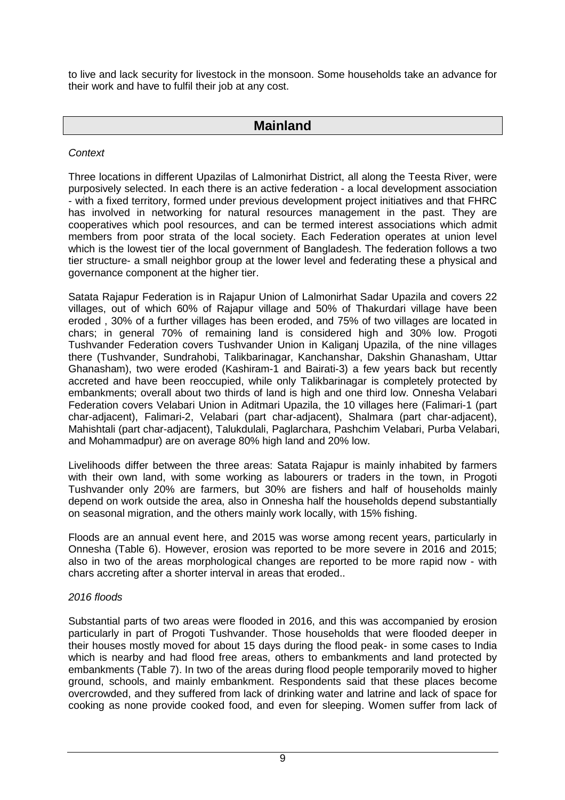to live and lack security for livestock in the monsoon. Some households take an advance for their work and have to fulfil their job at any cost.

## **Mainland**

### **Context**

Three locations in different Upazilas of Lalmonirhat District, all along the Teesta River, were purposively selected. In each there is an active federation - a local development association - with a fixed territory, formed under previous development project initiatives and that FHRC has involved in networking for natural resources management in the past. They are cooperatives which pool resources, and can be termed interest associations which admit members from poor strata of the local society. Each Federation operates at union level which is the lowest tier of the local government of Bangladesh. The federation follows a two tier structure- a small neighbor group at the lower level and federating these a physical and governance component at the higher tier.

Satata Rajapur Federation is in Rajapur Union of Lalmonirhat Sadar Upazila and covers 22 villages, out of which 60% of Rajapur village and 50% of Thakurdari village have been eroded , 30% of a further villages has been eroded, and 75% of two villages are located in chars; in general 70% of remaining land is considered high and 30% low. Progoti Tushvander Federation covers Tushvander Union in Kaliganj Upazila, of the nine villages there (Tushvander, Sundrahobi, Talikbarinagar, Kanchanshar, Dakshin Ghanasham, Uttar Ghanasham), two were eroded (Kashiram-1 and Bairati-3) a few years back but recently accreted and have been reoccupied, while only Talikbarinagar is completely protected by embankments; overall about two thirds of land is high and one third low. Onnesha Velabari Federation covers Velabari Union in Aditmari Upazila, the 10 villages here (Falimari-1 (part char-adjacent), Falimari-2, Velabari (part char-adjacent), Shalmara (part char-adjacent), Mahishtali (part char-adjacent), Talukdulali, Paglarchara, Pashchim Velabari, Purba Velabari, and Mohammadpur) are on average 80% high land and 20% low.

Livelihoods differ between the three areas: Satata Rajapur is mainly inhabited by farmers with their own land, with some working as labourers or traders in the town, in Progoti Tushvander only 20% are farmers, but 30% are fishers and half of households mainly depend on work outside the area, also in Onnesha half the households depend substantially on seasonal migration, and the others mainly work locally, with 15% fishing.

Floods are an annual event here, and 2015 was worse among recent years, particularly in Onnesha (Table 6). However, erosion was reported to be more severe in 2016 and 2015; also in two of the areas morphological changes are reported to be more rapid now - with chars accreting after a shorter interval in areas that eroded..

#### 2016 floods

Substantial parts of two areas were flooded in 2016, and this was accompanied by erosion particularly in part of Progoti Tushvander. Those households that were flooded deeper in their houses mostly moved for about 15 days during the flood peak- in some cases to India which is nearby and had flood free areas, others to embankments and land protected by embankments (Table 7). In two of the areas during flood people temporarily moved to higher ground, schools, and mainly embankment. Respondents said that these places become overcrowded, and they suffered from lack of drinking water and latrine and lack of space for cooking as none provide cooked food, and even for sleeping. Women suffer from lack of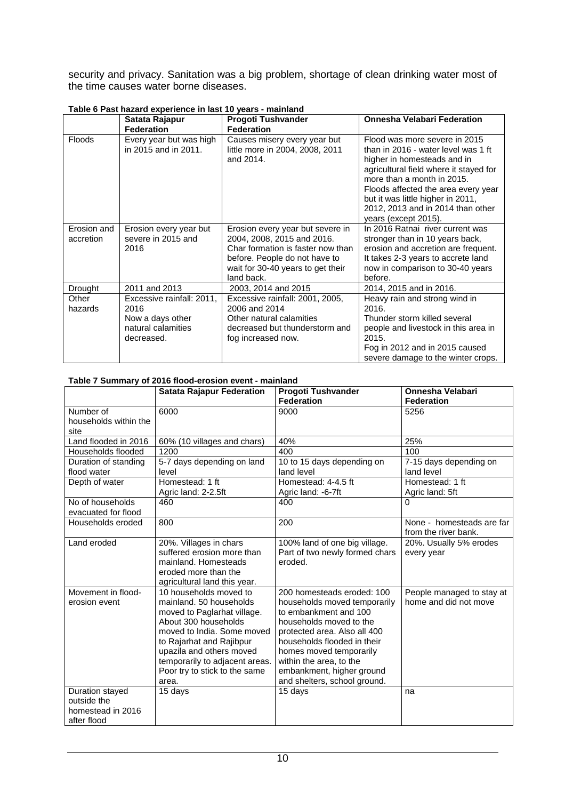security and privacy. Sanitation was a big problem, shortage of clean drinking water most of the time causes water borne diseases.

|                          | Satata Rajapur                                                                            | <b>Progoti Tushvander</b>                                                                                                                                                               | <b>Onnesha Velabari Federation</b>                                                                                                                                                                                                                                                                                   |
|--------------------------|-------------------------------------------------------------------------------------------|-----------------------------------------------------------------------------------------------------------------------------------------------------------------------------------------|----------------------------------------------------------------------------------------------------------------------------------------------------------------------------------------------------------------------------------------------------------------------------------------------------------------------|
|                          | <b>Federation</b>                                                                         | <b>Federation</b>                                                                                                                                                                       |                                                                                                                                                                                                                                                                                                                      |
| <b>Floods</b>            | Every year but was high<br>in 2015 and in 2011.                                           | Causes misery every year but<br>little more in 2004, 2008, 2011<br>and 2014.                                                                                                            | Flood was more severe in 2015<br>than in 2016 - water level was 1 ft<br>higher in homesteads and in<br>agricultural field where it stayed for<br>more than a month in 2015.<br>Floods affected the area every year<br>but it was little higher in 2011,<br>2012, 2013 and in 2014 than other<br>years (except 2015). |
| Erosion and<br>accretion | Erosion every year but<br>severe in 2015 and<br>2016                                      | Erosion every year but severe in<br>2004, 2008, 2015 and 2016.<br>Char formation is faster now than<br>before. People do not have to<br>wait for 30-40 years to get their<br>land back. | In 2016 Ratnai river current was<br>stronger than in 10 years back,<br>erosion and accretion are frequent.<br>It takes 2-3 years to accrete land<br>now in comparison to 30-40 years<br>before.                                                                                                                      |
| Drought                  | 2011 and 2013                                                                             | 2003, 2014 and 2015                                                                                                                                                                     | 2014, 2015 and in 2016.                                                                                                                                                                                                                                                                                              |
| Other<br>hazards         | Excessive rainfall: 2011,<br>2016<br>Now a days other<br>natural calamities<br>decreased. | Excessive rainfall: 2001, 2005,<br>2006 and 2014<br>Other natural calamities<br>decreased but thunderstorm and<br>fog increased now.                                                    | Heavy rain and strong wind in<br>2016.<br>Thunder storm killed several<br>people and livestock in this area in<br>2015.<br>Fog in 2012 and in 2015 caused<br>severe damage to the winter crops.                                                                                                                      |

#### **Table 6 Past hazard experience in last 10 years - mainland**

#### **Table 7 Summary of 2016 flood-erosion event - mainland**

|                       | <b>Satata Rajapur Federation</b> | <b>Progoti Tushvander</b>        | <b>Onnesha Velabari</b>   |
|-----------------------|----------------------------------|----------------------------------|---------------------------|
|                       |                                  | <b>Federation</b>                | <b>Federation</b>         |
| Number of             | 6000                             | 9000                             | 5256                      |
| households within the |                                  |                                  |                           |
| site                  |                                  |                                  |                           |
| Land flooded in 2016  | 60% (10 villages and chars)      | 40%                              | 25%                       |
| Households flooded    | 1200                             | 400                              | 100                       |
| Duration of standing  | 5-7 days depending on land       | 10 to 15 days depending on       | 7-15 days depending on    |
| flood water           | level                            | land level                       | land level                |
| Depth of water        | Homestead: 1 ft                  | Homestead: $4-4.\overline{5}$ ft | Homestead: 1 ft           |
|                       | Agric land: 2-2.5ft              | Agric land: -6-7ft               | Agric land: 5ft           |
| No of households      | 460                              | 400                              | 0                         |
| evacuated for flood   |                                  |                                  |                           |
| Households eroded     | 800                              | 200                              | None - homesteads are far |
|                       |                                  |                                  | from the river bank.      |
| Land eroded           | 20%. Villages in chars           | 100% land of one big village.    | 20%. Usually 5% erodes    |
|                       | suffered erosion more than       | Part of two newly formed chars   | every year                |
|                       | mainland. Homesteads             | eroded.                          |                           |
|                       | eroded more than the             |                                  |                           |
|                       | agricultural land this year.     |                                  |                           |
| Movement in flood-    | 10 households moved to           | 200 homesteads eroded: 100       | People managed to stay at |
| erosion event         | mainland, 50 households          | households moved temporarily     | home and did not move     |
|                       | moved to Paglarhat village.      | to embankment and 100            |                           |
|                       | About 300 households             | households moved to the          |                           |
|                       | moved to India. Some moved       | protected area. Also all 400     |                           |
|                       | to Rajarhat and Rajibpur         | households flooded in their      |                           |
|                       | upazila and others moved         | homes moved temporarily          |                           |
|                       | temporarily to adjacent areas.   | within the area, to the          |                           |
|                       | Poor try to stick to the same    | embankment, higher ground        |                           |
|                       | area.                            | and shelters, school ground.     |                           |
| Duration stayed       | 15 days                          | 15 days                          | na                        |
| outside the           |                                  |                                  |                           |
| homestead in 2016     |                                  |                                  |                           |
| after flood           |                                  |                                  |                           |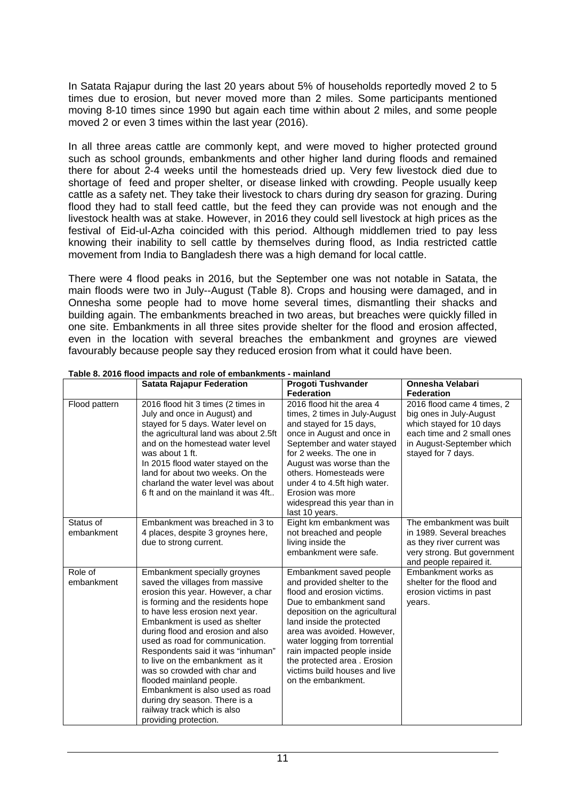In Satata Rajapur during the last 20 years about 5% of households reportedly moved 2 to 5 times due to erosion, but never moved more than 2 miles. Some participants mentioned moving 8-10 times since 1990 but again each time within about 2 miles, and some people moved 2 or even 3 times within the last year (2016).

In all three areas cattle are commonly kept, and were moved to higher protected ground such as school grounds, embankments and other higher land during floods and remained there for about 2-4 weeks until the homesteads dried up. Very few livestock died due to shortage of feed and proper shelter, or disease linked with crowding. People usually keep cattle as a safety net. They take their livestock to chars during dry season for grazing. During flood they had to stall feed cattle, but the feed they can provide was not enough and the livestock health was at stake. However, in 2016 they could sell livestock at high prices as the festival of Eid-ul-Azha coincided with this period. Although middlemen tried to pay less knowing their inability to sell cattle by themselves during flood, as India restricted cattle movement from India to Bangladesh there was a high demand for local cattle.

There were 4 flood peaks in 2016, but the September one was not notable in Satata, the main floods were two in July--August (Table 8). Crops and housing were damaged, and in Onnesha some people had to move home several times, dismantling their shacks and building again. The embankments breached in two areas, but breaches were quickly filled in one site. Embankments in all three sites provide shelter for the flood and erosion affected, even in the location with several breaches the embankment and groynes are viewed favourably because people say they reduced erosion from what it could have been.

|                         | <b>Satata Rajapur Federation</b>                                                                                                                                                                                                                                                                                                                                                                                                                                                                                                                       | Progoti Tushvander                                                                                                                                                                                                                                                                                                                                                | Onnesha Velabari                                                                                                                                                   |
|-------------------------|--------------------------------------------------------------------------------------------------------------------------------------------------------------------------------------------------------------------------------------------------------------------------------------------------------------------------------------------------------------------------------------------------------------------------------------------------------------------------------------------------------------------------------------------------------|-------------------------------------------------------------------------------------------------------------------------------------------------------------------------------------------------------------------------------------------------------------------------------------------------------------------------------------------------------------------|--------------------------------------------------------------------------------------------------------------------------------------------------------------------|
|                         |                                                                                                                                                                                                                                                                                                                                                                                                                                                                                                                                                        | <b>Federation</b>                                                                                                                                                                                                                                                                                                                                                 | <b>Federation</b>                                                                                                                                                  |
| Flood pattern           | 2016 flood hit 3 times (2 times in<br>July and once in August) and<br>stayed for 5 days. Water level on<br>the agricultural land was about 2.5ft<br>and on the homestead water level<br>was about 1 ft.<br>In 2015 flood water stayed on the<br>land for about two weeks. On the<br>charland the water level was about<br>6 ft and on the mainland it was 4ft                                                                                                                                                                                          | 2016 flood hit the area 4<br>times, 2 times in July-August<br>and stayed for 15 days,<br>once in August and once in<br>September and water stayed<br>for 2 weeks. The one in<br>August was worse than the<br>others. Homesteads were<br>under 4 to 4.5ft high water.<br>Erosion was more<br>widespread this year than in<br>last 10 years.                        | 2016 flood came 4 times, 2<br>big ones in July-August<br>which stayed for 10 days<br>each time and 2 small ones<br>in August-September which<br>stayed for 7 days. |
| Status of<br>embankment | Embankment was breached in 3 to<br>4 places, despite 3 groynes here,<br>due to strong current.                                                                                                                                                                                                                                                                                                                                                                                                                                                         | Eight km embankment was<br>not breached and people<br>living inside the<br>embankment were safe.                                                                                                                                                                                                                                                                  | The embankment was built<br>in 1989. Several breaches<br>as they river current was<br>very strong. But government<br>and people repaired it.                       |
| Role of<br>embankment   | Embankment specially groynes<br>saved the villages from massive<br>erosion this year. However, a char<br>is forming and the residents hope<br>to have less erosion next year.<br>Embankment is used as shelter<br>during flood and erosion and also<br>used as road for communication.<br>Respondents said it was "inhuman"<br>to live on the embankment as it<br>was so crowded with char and<br>flooded mainland people.<br>Embankment is also used as road<br>during dry season. There is a<br>railway track which is also<br>providing protection. | Embankment saved people<br>and provided shelter to the<br>flood and erosion victims.<br>Due to embankment sand<br>deposition on the agricultural<br>land inside the protected<br>area was avoided. However,<br>water logging from torrential<br>rain impacted people inside<br>the protected area. Erosion<br>victims build houses and live<br>on the embankment. | Embankment works as<br>shelter for the flood and<br>erosion victims in past<br>years.                                                                              |

**Table 8. 2016 flood impacts and role of embankments - mainland**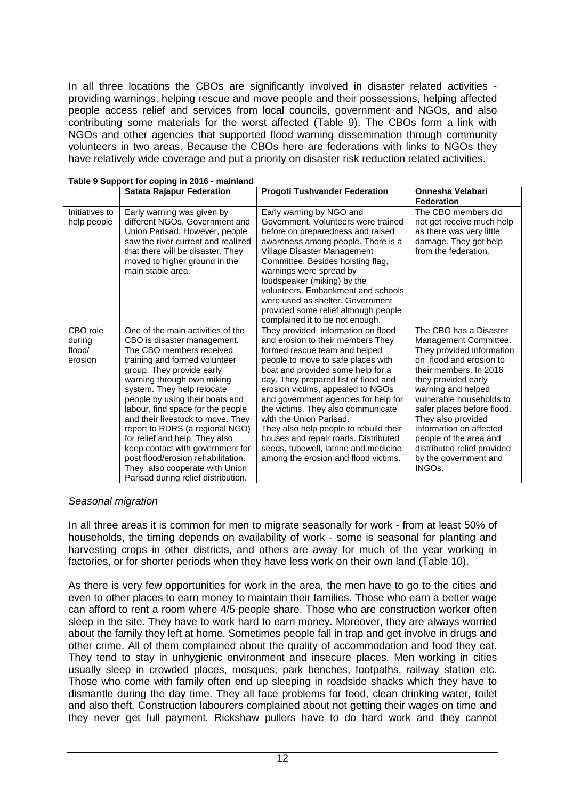In all three locations the CBOs are significantly involved in disaster related activities providing warnings, helping rescue and move people and their possessions, helping affected people access relief and services from local councils, government and NGOs, and also contributing some materials for the worst affected (Table 9). The CBOs form a link with NGOs and other agencies that supported flood warning dissemination through community volunteers in two areas. Because the CBOs here are federations with links to NGOs they have relatively wide coverage and put a priority on disaster risk reduction related activities.

|                                         | <b>Satata Rajapur Federation</b>                                                                                                                                                                                                                                                                                                                                                                                                                                                                                                                            | <b>Progoti Tushvander Federation</b>                                                                                                                                                                                                                                                                                                                                                                                                                                                                                                         | Onnesha Velabari                                                                                                                                                                                                                                                                                                                                                                      |
|-----------------------------------------|-------------------------------------------------------------------------------------------------------------------------------------------------------------------------------------------------------------------------------------------------------------------------------------------------------------------------------------------------------------------------------------------------------------------------------------------------------------------------------------------------------------------------------------------------------------|----------------------------------------------------------------------------------------------------------------------------------------------------------------------------------------------------------------------------------------------------------------------------------------------------------------------------------------------------------------------------------------------------------------------------------------------------------------------------------------------------------------------------------------------|---------------------------------------------------------------------------------------------------------------------------------------------------------------------------------------------------------------------------------------------------------------------------------------------------------------------------------------------------------------------------------------|
|                                         |                                                                                                                                                                                                                                                                                                                                                                                                                                                                                                                                                             |                                                                                                                                                                                                                                                                                                                                                                                                                                                                                                                                              | <b>Federation</b>                                                                                                                                                                                                                                                                                                                                                                     |
| Initiatives to<br>help people           | Early warning was given by<br>different NGOs, Government and<br>Union Parisad. However, people<br>saw the river current and realized<br>that there will be disaster. They<br>moved to higher ground in the<br>main stable area.                                                                                                                                                                                                                                                                                                                             | Early warning by NGO and<br>Government. Volunteers were trained<br>before on preparedness and raised<br>awareness among people. There is a<br>Village Disaster Management<br>Committee. Besides hoisting flag,<br>warnings were spread by<br>loudspeaker (miking) by the<br>volunteers. Embankment and schools<br>were used as shelter. Government<br>provided some relief although people<br>complained it to be not enough.                                                                                                                | The CBO members did<br>not get receive much help<br>as there was very little<br>damage. They got help<br>from the federation.                                                                                                                                                                                                                                                         |
| CBO role<br>during<br>flood/<br>erosion | One of the main activities of the<br>CBO is disaster management.<br>The CBO members received<br>training and formed volunteer<br>group. They provide early<br>warning through own miking<br>system. They help relocate<br>people by using their boats and<br>labour, find space for the people<br>and their livestock to move. They<br>report to RDRS (a regional NGO)<br>for relief and help. They also<br>keep contact with government for<br>post flood/erosion rehabilitation.<br>They also cooperate with Union<br>Parisad during relief distribution. | They provided information on flood<br>and erosion to their members They<br>formed rescue team and helped<br>people to move to safe places with<br>boat and provided some help for a<br>day. They prepared list of flood and<br>erosion victims, appealed to NGOs<br>and government agencies for help for<br>the victims. They also communicate<br>with the Union Parisad.<br>They also help people to rebuild their<br>houses and repair roads. Distributed<br>seeds, tubewell, latrine and medicine<br>among the erosion and flood victims. | The CBO has a Disaster<br>Management Committee.<br>They provided information<br>on flood and erosion to<br>their members. In 2016<br>they provided early<br>warning and helped<br>vulnerable households to<br>safer places before flood.<br>They also provided<br>information on affected<br>people of the area and<br>distributed relief provided<br>by the government and<br>INGOs. |

#### **Table 9 Support for coping in 2016 - mainland**

#### Seasonal migration

In all three areas it is common for men to migrate seasonally for work - from at least 50% of households, the timing depends on availability of work - some is seasonal for planting and harvesting crops in other districts, and others are away for much of the year working in factories, or for shorter periods when they have less work on their own land (Table 10).

As there is very few opportunities for work in the area, the men have to go to the cities and even to other places to earn money to maintain their families. Those who earn a better wage can afford to rent a room where 4/5 people share. Those who are construction worker often sleep in the site. They have to work hard to earn money. Moreover, they are always worried about the family they left at home. Sometimes people fall in trap and get involve in drugs and other crime. All of them complained about the quality of accommodation and food they eat. They tend to stay in unhygienic environment and insecure places. Men working in cities usually sleep in crowded places, mosques, park benches, footpaths, railway station etc. Those who come with family often end up sleeping in roadside shacks which they have to dismantle during the day time. They all face problems for food, clean drinking water, toilet and also theft. Construction labourers complained about not getting their wages on time and they never get full payment. Rickshaw pullers have to do hard work and they cannot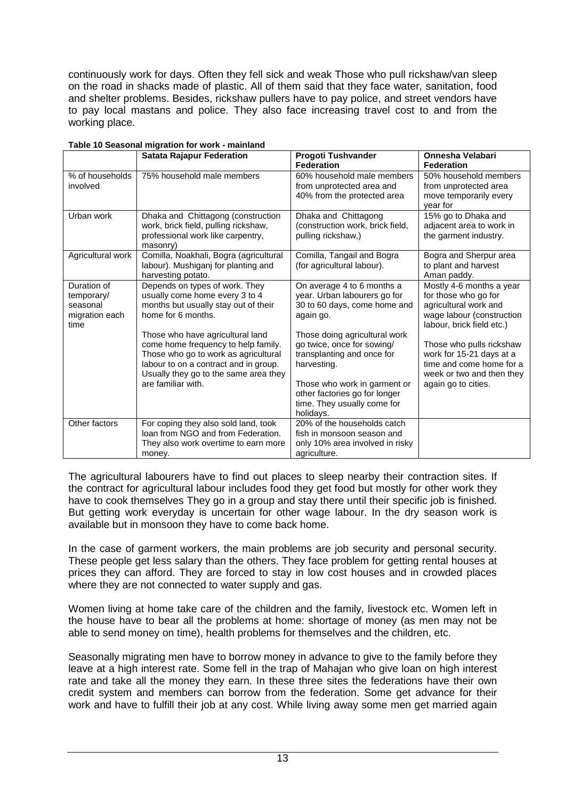continuously work for days. Often they fell sick and weak Those who pull rickshaw/van sleep on the road in shacks made of plastic. All of them said that they face water, sanitation, food and shelter problems. Besides, rickshaw pullers have to pay police, and street vendors have to pay local mastans and police. They also face increasing travel cost to and from the working place.

|                                                                 | <b>Satata Rajapur Federation</b>                                                                                                                                                                                                                                                                                                                          | <b>Progoti Tushvander</b>                                                                                                                                                                                                                                                                                           | Onnesha Velabari                                                                                                                                                                                                                                                            |
|-----------------------------------------------------------------|-----------------------------------------------------------------------------------------------------------------------------------------------------------------------------------------------------------------------------------------------------------------------------------------------------------------------------------------------------------|---------------------------------------------------------------------------------------------------------------------------------------------------------------------------------------------------------------------------------------------------------------------------------------------------------------------|-----------------------------------------------------------------------------------------------------------------------------------------------------------------------------------------------------------------------------------------------------------------------------|
|                                                                 |                                                                                                                                                                                                                                                                                                                                                           | <b>Federation</b>                                                                                                                                                                                                                                                                                                   | <b>Federation</b>                                                                                                                                                                                                                                                           |
| % of households<br>involved                                     | 75% household male members                                                                                                                                                                                                                                                                                                                                | 60% household male members<br>from unprotected area and<br>40% from the protected area                                                                                                                                                                                                                              | 50% household members<br>from unprotected area<br>move temporarily every<br>year for                                                                                                                                                                                        |
| Urban work                                                      | Dhaka and Chittagong (construction<br>work, brick field, pulling rickshaw,<br>professional work like carpentry,<br>masonry)                                                                                                                                                                                                                               | Dhaka and Chittagong<br>(construction work, brick field,<br>pulling rickshaw.)                                                                                                                                                                                                                                      | 15% go to Dhaka and<br>adjacent area to work in<br>the garment industry.                                                                                                                                                                                                    |
| Agricultural work                                               | Comilla, Noakhali, Bogra (agricultural<br>labour). Mushiganj for planting and<br>harvesting potato.                                                                                                                                                                                                                                                       | Comilla, Tangail and Bogra<br>(for agricultural labour).                                                                                                                                                                                                                                                            | Bogra and Sherpur area<br>to plant and harvest<br>Aman paddy.                                                                                                                                                                                                               |
| Duration of<br>temporary/<br>seasonal<br>migration each<br>time | Depends on types of work. They<br>usually come home every 3 to 4<br>months but usually stay out of their<br>home for 6 months.<br>Those who have agricultural land<br>come home frequency to help family.<br>Those who go to work as agricultural<br>labour to on a contract and in group.<br>Usually they go to the same area they<br>are familiar with. | On average 4 to 6 months a<br>year. Urban labourers go for<br>30 to 60 days, come home and<br>again go.<br>Those doing agricultural work<br>go twice, once for sowing/<br>transplanting and once for<br>harvesting.<br>Those who work in garment or<br>other factories go for longer<br>time. They usually come for | Mostly 4-6 months a year<br>for those who go for<br>agricultural work and<br>wage labour (construction<br>labour, brick field etc.)<br>Those who pulls rickshaw<br>work for 15-21 days at a<br>time and come home for a<br>week or two and then they<br>again go to cities. |
| Other factors                                                   | For coping they also sold land, took<br>loan from NGO and from Federation.<br>They also work overtime to earn more<br>money.                                                                                                                                                                                                                              | holidays.<br>20% of the households catch<br>fish in monsoon season and<br>only 10% area involved in risky<br>agriculture.                                                                                                                                                                                           |                                                                                                                                                                                                                                                                             |

#### **Table 10 Seasonal migration for work - mainland**

The agricultural labourers have to find out places to sleep nearby their contraction sites. If the contract for agricultural labour includes food they get food but mostly for other work they have to cook themselves They go in a group and stay there until their specific job is finished. But getting work everyday is uncertain for other wage labour. In the dry season work is available but in monsoon they have to come back home.

In the case of garment workers, the main problems are job security and personal security. These people get less salary than the others. They face problem for getting rental houses at prices they can afford. They are forced to stay in low cost houses and in crowded places where they are not connected to water supply and gas.

Women living at home take care of the children and the family, livestock etc. Women left in the house have to bear all the problems at home: shortage of money (as men may not be able to send money on time), health problems for themselves and the children, etc.

Seasonally migrating men have to borrow money in advance to give to the family before they leave at a high interest rate. Some fell in the trap of Mahajan who give loan on high interest rate and take all the money they earn. In these three sites the federations have their own credit system and members can borrow from the federation. Some get advance for their work and have to fulfill their job at any cost. While living away some men get married again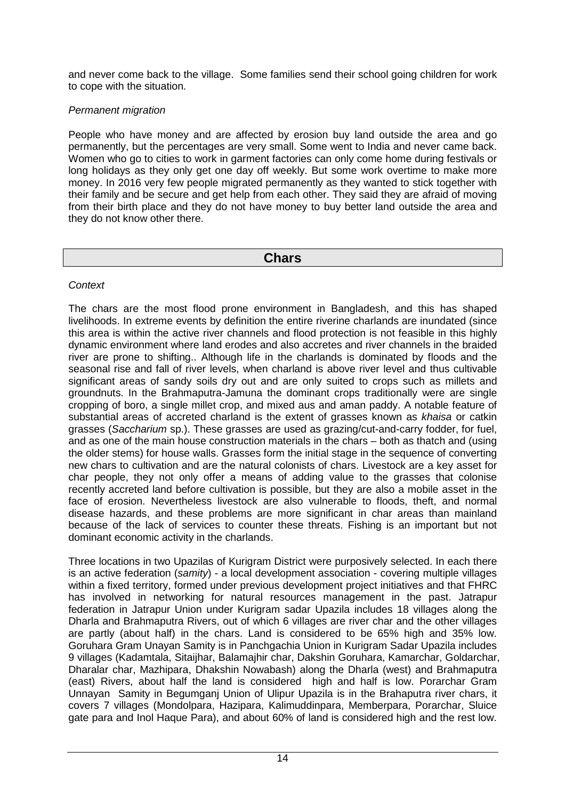and never come back to the village. Some families send their school going children for work to cope with the situation.

### Permanent migration

People who have money and are affected by erosion buy land outside the area and go permanently, but the percentages are very small. Some went to India and never came back. Women who go to cities to work in garment factories can only come home during festivals or long holidays as they only get one day off weekly. But some work overtime to make more money. In 2016 very few people migrated permanently as they wanted to stick together with their family and be secure and get help from each other. They said they are afraid of moving from their birth place and they do not have money to buy better land outside the area and they do not know other there.

## **Chars**

### **Context**

The chars are the most flood prone environment in Bangladesh, and this has shaped livelihoods. In extreme events by definition the entire riverine charlands are inundated (since this area is within the active river channels and flood protection is not feasible in this highly dynamic environment where land erodes and also accretes and river channels in the braided river are prone to shifting.. Although life in the charlands is dominated by floods and the seasonal rise and fall of river levels, when charland is above river level and thus cultivable significant areas of sandy soils dry out and are only suited to crops such as millets and groundnuts. In the Brahmaputra-Jamuna the dominant crops traditionally were are single cropping of boro, a single millet crop, and mixed aus and aman paddy. A notable feature of substantial areas of accreted charland is the extent of grasses known as khaisa or catkin grasses (Saccharium sp.). These grasses are used as grazing/cut-and-carry fodder, for fuel, and as one of the main house construction materials in the chars – both as thatch and (using the older stems) for house walls. Grasses form the initial stage in the sequence of converting new chars to cultivation and are the natural colonists of chars. Livestock are a key asset for char people, they not only offer a means of adding value to the grasses that colonise recently accreted land before cultivation is possible, but they are also a mobile asset in the face of erosion. Nevertheless livestock are also vulnerable to floods, theft, and normal disease hazards, and these problems are more significant in char areas than mainland because of the lack of services to counter these threats. Fishing is an important but not dominant economic activity in the charlands.

Three locations in two Upazilas of Kurigram District were purposively selected. In each there is an active federation (samity) - a local development association - covering multiple villages within a fixed territory, formed under previous development project initiatives and that FHRC has involved in networking for natural resources management in the past. Jatrapur federation in Jatrapur Union under Kurigram sadar Upazila includes 18 villages along the Dharla and Brahmaputra Rivers, out of which 6 villages are river char and the other villages are partly (about half) in the chars. Land is considered to be 65% high and 35% low. Goruhara Gram Unayan Samity is in Panchgachia Union in Kurigram Sadar Upazila includes 9 villages (Kadamtala, Sitaijhar, Balamajhir char, Dakshin Goruhara, Kamarchar, Goldarchar, Dharalar char, Mazhipara, Dhakshin Nowabash) along the Dharla (west) and Brahmaputra (east) Rivers, about half the land is considered high and half is low. Porarchar Gram Unnayan Samity in Begumganj Union of Ulipur Upazila is in the Brahaputra river chars, it covers 7 villages (Mondolpara, Hazipara, Kalimuddinpara, Memberpara, Porarchar, Sluice gate para and Inol Haque Para), and about 60% of land is considered high and the rest low.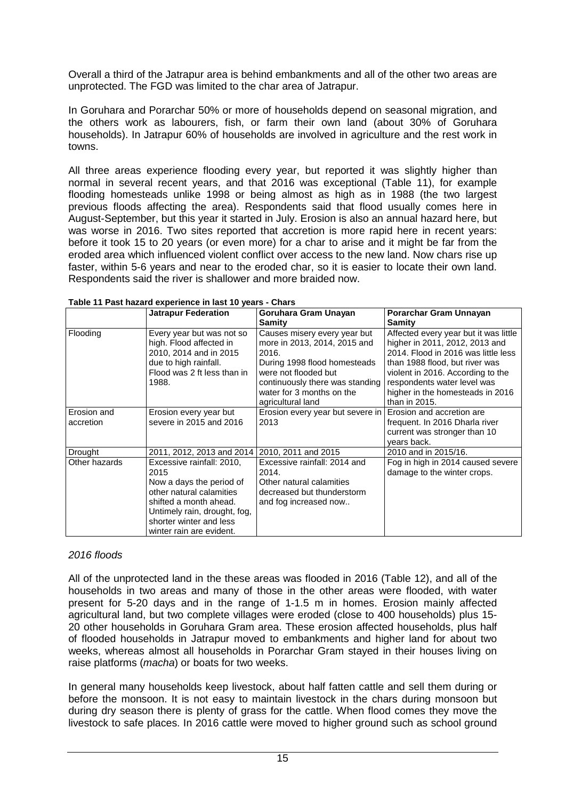Overall a third of the Jatrapur area is behind embankments and all of the other two areas are unprotected. The FGD was limited to the char area of Jatrapur.

In Goruhara and Porarchar 50% or more of households depend on seasonal migration, and the others work as labourers, fish, or farm their own land (about 30% of Goruhara households). In Jatrapur 60% of households are involved in agriculture and the rest work in towns.

All three areas experience flooding every year, but reported it was slightly higher than normal in several recent years, and that 2016 was exceptional (Table 11), for example flooding homesteads unlike 1998 or being almost as high as in 1988 (the two largest previous floods affecting the area). Respondents said that flood usually comes here in August-September, but this year it started in July. Erosion is also an annual hazard here, but was worse in 2016. Two sites reported that accretion is more rapid here in recent years: before it took 15 to 20 years (or even more) for a char to arise and it might be far from the eroded area which influenced violent conflict over access to the new land. Now chars rise up faster, within 5-6 years and near to the eroded char, so it is easier to locate their own land. Respondents said the river is shallower and more braided now.

|                          | <b>Jatrapur Federation</b>                                                                                                                                                                                 | Goruhara Gram Unayan                                                                                                                                                                                               | Porarchar Gram Unnayan                                                                                                                                                                                                                                                    |
|--------------------------|------------------------------------------------------------------------------------------------------------------------------------------------------------------------------------------------------------|--------------------------------------------------------------------------------------------------------------------------------------------------------------------------------------------------------------------|---------------------------------------------------------------------------------------------------------------------------------------------------------------------------------------------------------------------------------------------------------------------------|
|                          |                                                                                                                                                                                                            | Samity                                                                                                                                                                                                             | Samity                                                                                                                                                                                                                                                                    |
| Flooding                 | Every year but was not so<br>high. Flood affected in<br>2010, 2014 and in 2015<br>due to high rainfall.<br>Flood was 2 ft less than in<br>1988.                                                            | Causes misery every year but<br>more in 2013, 2014, 2015 and<br>2016.<br>During 1998 flood homesteads<br>were not flooded but<br>continuously there was standing<br>water for 3 months on the<br>agricultural land | Affected every year but it was little<br>higher in 2011, 2012, 2013 and<br>2014. Flood in 2016 was little less<br>than 1988 flood, but river was<br>violent in 2016. According to the<br>respondents water level was<br>higher in the homesteads in 2016<br>than in 2015. |
| Erosion and<br>accretion | Erosion every year but<br>severe in 2015 and 2016                                                                                                                                                          | Erosion every year but severe in<br>2013                                                                                                                                                                           | Erosion and accretion are<br>frequent. In 2016 Dharla river<br>current was stronger than 10<br>years back.                                                                                                                                                                |
| Drought                  | 2011, 2012, 2013 and 2014                                                                                                                                                                                  | 2010, 2011 and 2015                                                                                                                                                                                                | 2010 and in 2015/16.                                                                                                                                                                                                                                                      |
| Other hazards            | Excessive rainfall: 2010,<br>2015<br>Now a days the period of<br>other natural calamities<br>shifted a month ahead.<br>Untimely rain, drought, fog,<br>shorter winter and less<br>winter rain are evident. | Excessive rainfall: 2014 and<br>2014.<br>Other natural calamities<br>decreased but thunderstorm<br>and fog increased now                                                                                           | Fog in high in 2014 caused severe<br>damage to the winter crops.                                                                                                                                                                                                          |

|  |  | Table 11 Past hazard experience in last 10 years - Chars |
|--|--|----------------------------------------------------------|
|  |  |                                                          |

#### 2016 floods

All of the unprotected land in the these areas was flooded in 2016 (Table 12), and all of the households in two areas and many of those in the other areas were flooded, with water present for 5-20 days and in the range of 1-1.5 m in homes. Erosion mainly affected agricultural land, but two complete villages were eroded (close to 400 households) plus 15- 20 other households in Goruhara Gram area. These erosion affected households, plus half of flooded households in Jatrapur moved to embankments and higher land for about two weeks, whereas almost all households in Porarchar Gram stayed in their houses living on raise platforms (macha) or boats for two weeks.

In general many households keep livestock, about half fatten cattle and sell them during or before the monsoon. It is not easy to maintain livestock in the chars during monsoon but during dry season there is plenty of grass for the cattle. When flood comes they move the livestock to safe places. In 2016 cattle were moved to higher ground such as school ground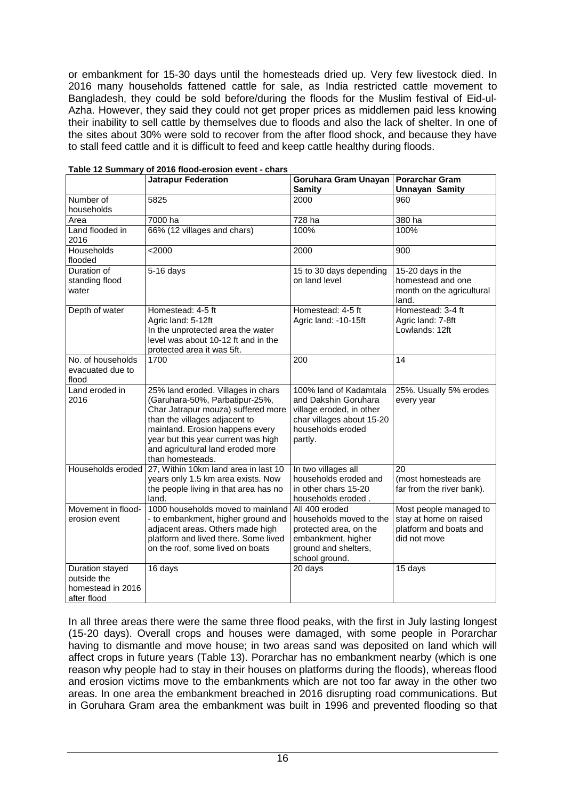or embankment for 15-30 days until the homesteads dried up. Very few livestock died. In 2016 many households fattened cattle for sale, as India restricted cattle movement to Bangladesh, they could be sold before/during the floods for the Muslim festival of Eid-ul-Azha. However, they said they could not get proper prices as middlemen paid less knowing their inability to sell cattle by themselves due to floods and also the lack of shelter. In one of the sites about 30% were sold to recover from the after flood shock, and because they have to stall feed cattle and it is difficult to feed and keep cattle healthy during floods.

|                                                                    | <b>Jatrapur Federation</b>                                                                                                                                                                                                                                                     | Goruhara Gram Unayan                                                                                                                    | <b>Porarchar Gram</b>                                                                      |
|--------------------------------------------------------------------|--------------------------------------------------------------------------------------------------------------------------------------------------------------------------------------------------------------------------------------------------------------------------------|-----------------------------------------------------------------------------------------------------------------------------------------|--------------------------------------------------------------------------------------------|
|                                                                    |                                                                                                                                                                                                                                                                                | <b>Samity</b>                                                                                                                           | <b>Unnayan Samity</b>                                                                      |
| Number of<br>households                                            | 5825                                                                                                                                                                                                                                                                           | 2000                                                                                                                                    | 960                                                                                        |
| Area                                                               | 7000 ha                                                                                                                                                                                                                                                                        | 728 ha                                                                                                                                  | 380 ha                                                                                     |
| Land flooded in<br>2016                                            | 66% (12 villages and chars)                                                                                                                                                                                                                                                    | 100%                                                                                                                                    | 100%                                                                                       |
| Households<br>flooded                                              | < 2000                                                                                                                                                                                                                                                                         | 2000                                                                                                                                    | 900                                                                                        |
| Duration of<br>standing flood<br>water                             | $5-16$ days                                                                                                                                                                                                                                                                    | 15 to 30 days depending<br>on land level                                                                                                | 15-20 days in the<br>homestead and one<br>month on the agricultural<br>land.               |
| Depth of water                                                     | Homestead: 4-5 ft<br>Agric land: 5-12ft<br>In the unprotected area the water<br>level was about 10-12 ft and in the<br>protected area it was 5ft.                                                                                                                              | Homestead: 4-5 ft<br>Agric land: -10-15ft                                                                                               | Homestead: 3-4 ft<br>Agric land: 7-8ft<br>Lowlands: 12ft                                   |
| No. of households<br>evacuated due to<br>flood                     | 1700                                                                                                                                                                                                                                                                           | 200                                                                                                                                     | 14                                                                                         |
| Land eroded in<br>2016                                             | 25% land eroded. Villages in chars<br>(Garuhara-50%, Parbatipur-25%,<br>Char Jatrapur mouza) suffered more<br>than the villages adjacent to<br>mainland. Erosion happens every<br>year but this year current was high<br>and agricultural land eroded more<br>than homesteads. | 100% land of Kadamtala<br>and Dakshin Goruhara<br>village eroded, in other<br>char villages about 15-20<br>households eroded<br>partly. | 25%. Usually 5% erodes<br>every year                                                       |
| Households eroded                                                  | 27, Within 10km land area in last 10<br>years only 1.5 km area exists. Now<br>the people living in that area has no<br>land.                                                                                                                                                   | In two villages all<br>households eroded and<br>in other chars 15-20<br>households eroded.                                              | 20<br>(most homesteads are<br>far from the river bank).                                    |
| Movement in flood-<br>erosion event                                | 1000 households moved to mainland<br>- to embankment, higher ground and<br>adjacent areas. Others made high<br>platform and lived there. Some lived<br>on the roof, some lived on boats                                                                                        | All 400 eroded<br>households moved to the<br>protected area, on the<br>embankment, higher<br>ground and shelters,<br>school ground.     | Most people managed to<br>stay at home on raised<br>platform and boats and<br>did not move |
| Duration stayed<br>outside the<br>homestead in 2016<br>after flood | 16 days                                                                                                                                                                                                                                                                        | 20 days                                                                                                                                 | 15 days                                                                                    |

**Table 12 Summary of 2016 flood-erosion event - chars**

In all three areas there were the same three flood peaks, with the first in July lasting longest (15-20 days). Overall crops and houses were damaged, with some people in Porarchar having to dismantle and move house; in two areas sand was deposited on land which will affect crops in future years (Table 13). Porarchar has no embankment nearby (which is one reason why people had to stay in their houses on platforms during the floods), whereas flood and erosion victims move to the embankments which are not too far away in the other two areas. In one area the embankment breached in 2016 disrupting road communications. But in Goruhara Gram area the embankment was built in 1996 and prevented flooding so that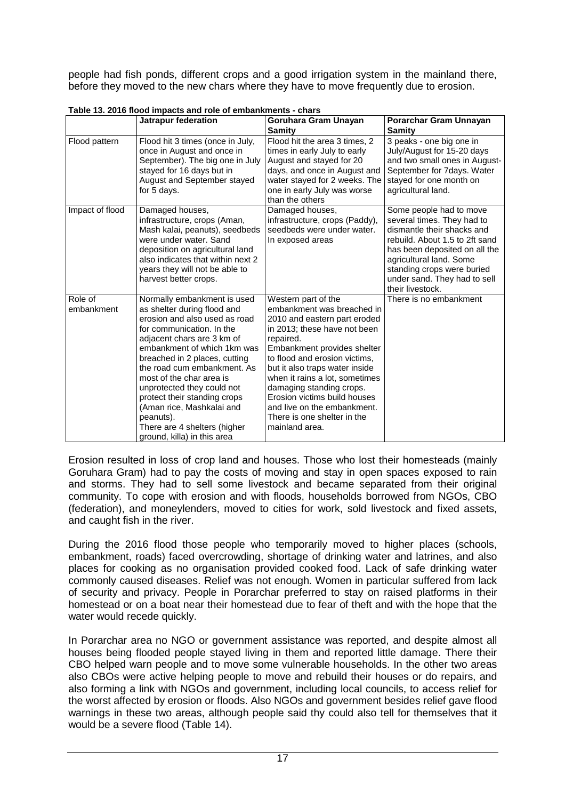people had fish ponds, different crops and a good irrigation system in the mainland there, before they moved to the new chars where they have to move frequently due to erosion.

|                       | Jatrapur federation                                                                                                                                                                                                                                                                                                                                                                                                                                      | Goruhara Gram Unayan<br>Samity                                                                                                                                                                                                                                                                                                                                                                                 | Porarchar Gram Unnayan<br><b>Samity</b>                                                                                                                                                                                                                             |
|-----------------------|----------------------------------------------------------------------------------------------------------------------------------------------------------------------------------------------------------------------------------------------------------------------------------------------------------------------------------------------------------------------------------------------------------------------------------------------------------|----------------------------------------------------------------------------------------------------------------------------------------------------------------------------------------------------------------------------------------------------------------------------------------------------------------------------------------------------------------------------------------------------------------|---------------------------------------------------------------------------------------------------------------------------------------------------------------------------------------------------------------------------------------------------------------------|
| Flood pattern         | Flood hit 3 times (once in July,<br>once in August and once in<br>September). The big one in July<br>stayed for 16 days but in<br>August and September stayed<br>for 5 days.                                                                                                                                                                                                                                                                             | Flood hit the area 3 times, 2<br>times in early July to early<br>August and stayed for 20<br>days, and once in August and<br>water stayed for 2 weeks. The<br>one in early July was worse<br>than the others                                                                                                                                                                                                   | 3 peaks - one big one in<br>July/August for 15-20 days<br>and two small ones in August-<br>September for 7days. Water<br>stayed for one month on<br>agricultural land.                                                                                              |
| Impact of flood       | Damaged houses,<br>infrastructure, crops (Aman,<br>Mash kalai, peanuts), seedbeds<br>were under water. Sand<br>deposition on agricultural land<br>also indicates that within next 2<br>years they will not be able to<br>harvest better crops.                                                                                                                                                                                                           | Damaged houses,<br>infrastructure, crops (Paddy),<br>seedbeds were under water.<br>In exposed areas                                                                                                                                                                                                                                                                                                            | Some people had to move<br>several times. They had to<br>dismantle their shacks and<br>rebuild. About 1.5 to 2ft sand<br>has been deposited on all the<br>agricultural land. Some<br>standing crops were buried<br>under sand. They had to sell<br>their livestock. |
| Role of<br>embankment | Normally embankment is used<br>as shelter during flood and<br>erosion and also used as road<br>for communication. In the<br>adjacent chars are 3 km of<br>embankment of which 1km was<br>breached in 2 places, cutting<br>the road cum embankment. As<br>most of the char area is<br>unprotected they could not<br>protect their standing crops<br>(Aman rice, Mashkalai and<br>peanuts).<br>There are 4 shelters (higher<br>ground, killa) in this area | Western part of the<br>embankment was breached in<br>2010 and eastern part eroded<br>in 2013; these have not been<br>repaired.<br>Embankment provides shelter<br>to flood and erosion victims,<br>but it also traps water inside<br>when it rains a lot, sometimes<br>damaging standing crops.<br>Erosion victims build houses<br>and live on the embankment.<br>There is one shelter in the<br>mainland area. | There is no embankment                                                                                                                                                                                                                                              |

**Table 13. 2016 flood impacts and role of embankments - chars**

Erosion resulted in loss of crop land and houses. Those who lost their homesteads (mainly Goruhara Gram) had to pay the costs of moving and stay in open spaces exposed to rain and storms. They had to sell some livestock and became separated from their original community. To cope with erosion and with floods, households borrowed from NGOs, CBO (federation), and moneylenders, moved to cities for work, sold livestock and fixed assets, and caught fish in the river.

During the 2016 flood those people who temporarily moved to higher places (schools, embankment, roads) faced overcrowding, shortage of drinking water and latrines, and also places for cooking as no organisation provided cooked food. Lack of safe drinking water commonly caused diseases. Relief was not enough. Women in particular suffered from lack of security and privacy. People in Porarchar preferred to stay on raised platforms in their homestead or on a boat near their homestead due to fear of theft and with the hope that the water would recede quickly.

In Porarchar area no NGO or government assistance was reported, and despite almost all houses being flooded people stayed living in them and reported little damage. There their CBO helped warn people and to move some vulnerable households. In the other two areas also CBOs were active helping people to move and rebuild their houses or do repairs, and also forming a link with NGOs and government, including local councils, to access relief for the worst affected by erosion or floods. Also NGOs and government besides relief gave flood warnings in these two areas, although people said thy could also tell for themselves that it would be a severe flood (Table 14).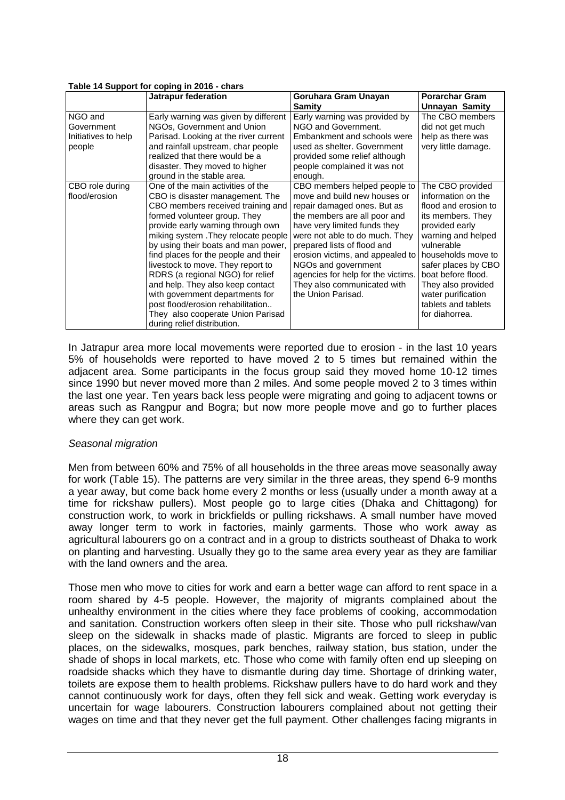|                                                        | Table 14 Support for coping in 2010 - chars<br>Jatrapur federation                                                                                                                                                                                                                                                                                                                                                                                                                                                                                             | Goruhara Gram Unayan                                                                                                                                                                                                                                                                                                                                                               | <b>Porarchar Gram</b>                                                                                                                                                                                                                                                                             |
|--------------------------------------------------------|----------------------------------------------------------------------------------------------------------------------------------------------------------------------------------------------------------------------------------------------------------------------------------------------------------------------------------------------------------------------------------------------------------------------------------------------------------------------------------------------------------------------------------------------------------------|------------------------------------------------------------------------------------------------------------------------------------------------------------------------------------------------------------------------------------------------------------------------------------------------------------------------------------------------------------------------------------|---------------------------------------------------------------------------------------------------------------------------------------------------------------------------------------------------------------------------------------------------------------------------------------------------|
|                                                        |                                                                                                                                                                                                                                                                                                                                                                                                                                                                                                                                                                | <b>Samity</b>                                                                                                                                                                                                                                                                                                                                                                      | <b>Unnayan Samity</b>                                                                                                                                                                                                                                                                             |
| NGO and<br>Government<br>Initiatives to help<br>people | Early warning was given by different<br>NGOs, Government and Union<br>Parisad. Looking at the river current<br>and rainfall upstream, char people<br>realized that there would be a<br>disaster. They moved to higher<br>ground in the stable area.                                                                                                                                                                                                                                                                                                            | Early warning was provided by<br>NGO and Government.<br>Embankment and schools were<br>used as shelter. Government<br>provided some relief although<br>people complained it was not<br>enough.                                                                                                                                                                                     | The CBO members<br>did not get much<br>help as there was<br>very little damage.                                                                                                                                                                                                                   |
| CBO role during<br>flood/erosion                       | One of the main activities of the<br>CBO is disaster management. The<br>CBO members received training and<br>formed volunteer group. They<br>provide early warning through own<br>miking system . They relocate people<br>by using their boats and man power,<br>find places for the people and their<br>livestock to move. They report to<br>RDRS (a regional NGO) for relief<br>and help. They also keep contact<br>with government departments for<br>post flood/erosion rehabilitation<br>They also cooperate Union Parisad<br>during relief distribution. | CBO members helped people to<br>move and build new houses or<br>repair damaged ones. But as<br>the members are all poor and<br>have very limited funds they<br>were not able to do much. They<br>prepared lists of flood and<br>erosion victims, and appealed to<br>NGOs and government<br>agencies for help for the victims.<br>They also communicated with<br>the Union Parisad. | The CBO provided<br>information on the<br>flood and erosion to<br>its members. They<br>provided early<br>warning and helped<br>vulnerable<br>households move to<br>safer places by CBO<br>boat before flood.<br>They also provided<br>water purification<br>tablets and tablets<br>for diahorrea. |

#### **Table 14 Support for coping in 2016 - chars**

In Jatrapur area more local movements were reported due to erosion - in the last 10 years 5% of households were reported to have moved 2 to 5 times but remained within the adjacent area. Some participants in the focus group said they moved home 10-12 times since 1990 but never moved more than 2 miles. And some people moved 2 to 3 times within the last one year. Ten years back less people were migrating and going to adjacent towns or areas such as Rangpur and Bogra; but now more people move and go to further places where they can get work.

#### Seasonal migration

Men from between 60% and 75% of all households in the three areas move seasonally away for work (Table 15). The patterns are very similar in the three areas, they spend 6-9 months a year away, but come back home every 2 months or less (usually under a month away at a time for rickshaw pullers). Most people go to large cities (Dhaka and Chittagong) for construction work, to work in brickfields or pulling rickshaws. A small number have moved away longer term to work in factories, mainly garments. Those who work away as agricultural labourers go on a contract and in a group to districts southeast of Dhaka to work on planting and harvesting. Usually they go to the same area every year as they are familiar with the land owners and the area.

Those men who move to cities for work and earn a better wage can afford to rent space in a room shared by 4-5 people. However, the majority of migrants complained about the unhealthy environment in the cities where they face problems of cooking, accommodation and sanitation. Construction workers often sleep in their site. Those who pull rickshaw/van sleep on the sidewalk in shacks made of plastic. Migrants are forced to sleep in public places, on the sidewalks, mosques, park benches, railway station, bus station, under the shade of shops in local markets, etc. Those who come with family often end up sleeping on roadside shacks which they have to dismantle during day time. Shortage of drinking water, toilets are expose them to health problems. Rickshaw pullers have to do hard work and they cannot continuously work for days, often they fell sick and weak. Getting work everyday is uncertain for wage labourers. Construction labourers complained about not getting their wages on time and that they never get the full payment. Other challenges facing migrants in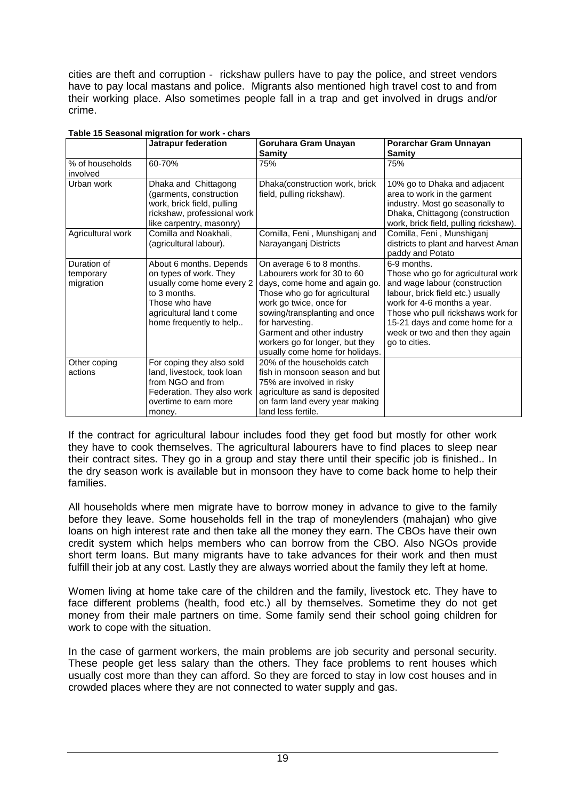cities are theft and corruption - rickshaw pullers have to pay the police, and street vendors have to pay local mastans and police. Migrants also mentioned high travel cost to and from their working place. Also sometimes people fall in a trap and get involved in drugs and/or crime.

|                                       | <b>Jatrapur federation</b>                                                                                                                                              | Goruhara Gram Unayan<br>Samity                                                                                                                                                                                                                                                                                | Porarchar Gram Unnayan<br>Samity                                                                                                                                                                                                                                                  |
|---------------------------------------|-------------------------------------------------------------------------------------------------------------------------------------------------------------------------|---------------------------------------------------------------------------------------------------------------------------------------------------------------------------------------------------------------------------------------------------------------------------------------------------------------|-----------------------------------------------------------------------------------------------------------------------------------------------------------------------------------------------------------------------------------------------------------------------------------|
| % of households<br>involved           | 60-70%                                                                                                                                                                  | 75%                                                                                                                                                                                                                                                                                                           | 75%                                                                                                                                                                                                                                                                               |
| Urban work                            | Dhaka and Chittagong<br>(garments, construction<br>work, brick field, pulling<br>rickshaw, professional work<br>like carpentry, masonry)                                | Dhaka(construction work, brick<br>field, pulling rickshaw).                                                                                                                                                                                                                                                   | 10% go to Dhaka and adjacent<br>area to work in the garment<br>industry. Most go seasonally to<br>Dhaka, Chittagong (construction<br>work, brick field, pulling rickshaw).                                                                                                        |
| Agricultural work                     | Comilla and Noakhali,<br>(agricultural labour).                                                                                                                         | Comilla, Feni, Munshiganj and<br>Narayanganj Districts                                                                                                                                                                                                                                                        | Comilla, Feni, Munshiganj<br>districts to plant and harvest Aman<br>paddy and Potato                                                                                                                                                                                              |
| Duration of<br>temporary<br>migration | About 6 months. Depends<br>on types of work. They<br>usually come home every 2<br>to 3 months.<br>Those who have<br>agricultural land t come<br>home frequently to help | On average 6 to 8 months.<br>Labourers work for 30 to 60<br>days, come home and again go.<br>Those who go for agricultural<br>work go twice, once for<br>sowing/transplanting and once<br>for harvesting.<br>Garment and other industry<br>workers go for longer, but they<br>usually come home for holidays. | 6-9 months.<br>Those who go for agricultural work<br>and wage labour (construction<br>labour, brick field etc.) usually<br>work for 4-6 months a year.<br>Those who pull rickshaws work for<br>15-21 days and come home for a<br>week or two and then they again<br>go to cities. |
| Other coping<br>actions               | For coping they also sold<br>land, livestock, took loan<br>from NGO and from<br>Federation. They also work<br>overtime to earn more<br>money.                           | 20% of the households catch<br>fish in monsoon season and but<br>75% are involved in risky<br>agriculture as sand is deposited<br>on farm land every year making<br>land less fertile.                                                                                                                        |                                                                                                                                                                                                                                                                                   |

#### **Table 15 Seasonal migration for work - chars**

If the contract for agricultural labour includes food they get food but mostly for other work they have to cook themselves. The agricultural labourers have to find places to sleep near their contract sites. They go in a group and stay there until their specific job is finished.. In the dry season work is available but in monsoon they have to come back home to help their families.

All households where men migrate have to borrow money in advance to give to the family before they leave. Some households fell in the trap of moneylenders (mahajan) who give loans on high interest rate and then take all the money they earn. The CBOs have their own credit system which helps members who can borrow from the CBO. Also NGOs provide short term loans. But many migrants have to take advances for their work and then must fulfill their job at any cost. Lastly they are always worried about the family they left at home.

Women living at home take care of the children and the family, livestock etc. They have to face different problems (health, food etc.) all by themselves. Sometime they do not get money from their male partners on time. Some family send their school going children for work to cope with the situation.

In the case of garment workers, the main problems are job security and personal security. These people get less salary than the others. They face problems to rent houses which usually cost more than they can afford. So they are forced to stay in low cost houses and in crowded places where they are not connected to water supply and gas.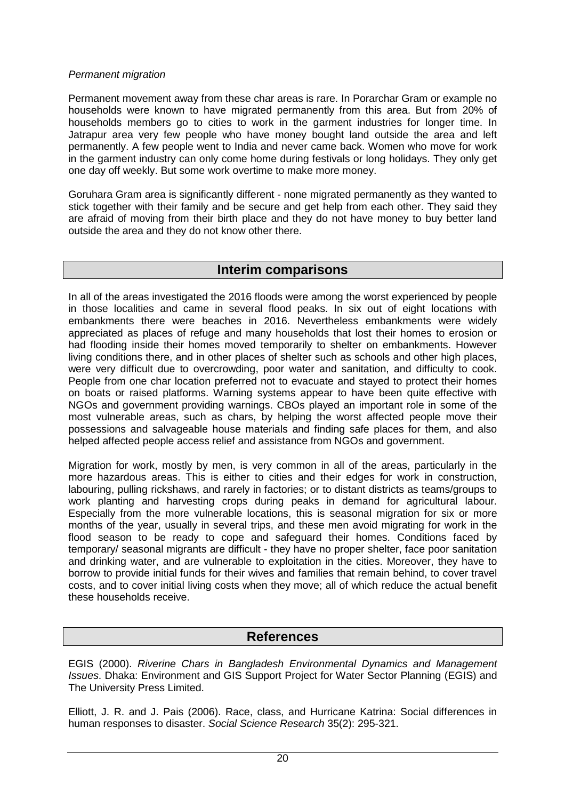#### Permanent migration

Permanent movement away from these char areas is rare. In Porarchar Gram or example no households were known to have migrated permanently from this area. But from 20% of households members go to cities to work in the garment industries for longer time. In Jatrapur area very few people who have money bought land outside the area and left permanently. A few people went to India and never came back. Women who move for work in the garment industry can only come home during festivals or long holidays. They only get one day off weekly. But some work overtime to make more money.

Goruhara Gram area is significantly different - none migrated permanently as they wanted to stick together with their family and be secure and get help from each other. They said they are afraid of moving from their birth place and they do not have money to buy better land outside the area and they do not know other there.

## **Interim comparisons**

In all of the areas investigated the 2016 floods were among the worst experienced by people in those localities and came in several flood peaks. In six out of eight locations with embankments there were beaches in 2016. Nevertheless embankments were widely appreciated as places of refuge and many households that lost their homes to erosion or had flooding inside their homes moved temporarily to shelter on embankments. However living conditions there, and in other places of shelter such as schools and other high places, were very difficult due to overcrowding, poor water and sanitation, and difficulty to cook. People from one char location preferred not to evacuate and stayed to protect their homes on boats or raised platforms. Warning systems appear to have been quite effective with NGOs and government providing warnings. CBOs played an important role in some of the most vulnerable areas, such as chars, by helping the worst affected people move their possessions and salvageable house materials and finding safe places for them, and also helped affected people access relief and assistance from NGOs and government.

Migration for work, mostly by men, is very common in all of the areas, particularly in the more hazardous areas. This is either to cities and their edges for work in construction, labouring, pulling rickshaws, and rarely in factories; or to distant districts as teams/groups to work planting and harvesting crops during peaks in demand for agricultural labour. Especially from the more vulnerable locations, this is seasonal migration for six or more months of the year, usually in several trips, and these men avoid migrating for work in the flood season to be ready to cope and safeguard their homes. Conditions faced by temporary/ seasonal migrants are difficult - they have no proper shelter, face poor sanitation and drinking water, and are vulnerable to exploitation in the cities. Moreover, they have to borrow to provide initial funds for their wives and families that remain behind, to cover travel costs, and to cover initial living costs when they move; all of which reduce the actual benefit these households receive.

## **References**

EGIS (2000). Riverine Chars in Bangladesh Environmental Dynamics and Management Issues. Dhaka: Environment and GIS Support Project for Water Sector Planning (EGIS) and The University Press Limited.

Elliott, J. R. and J. Pais (2006). Race, class, and Hurricane Katrina: Social differences in human responses to disaster. Social Science Research 35(2): 295-321.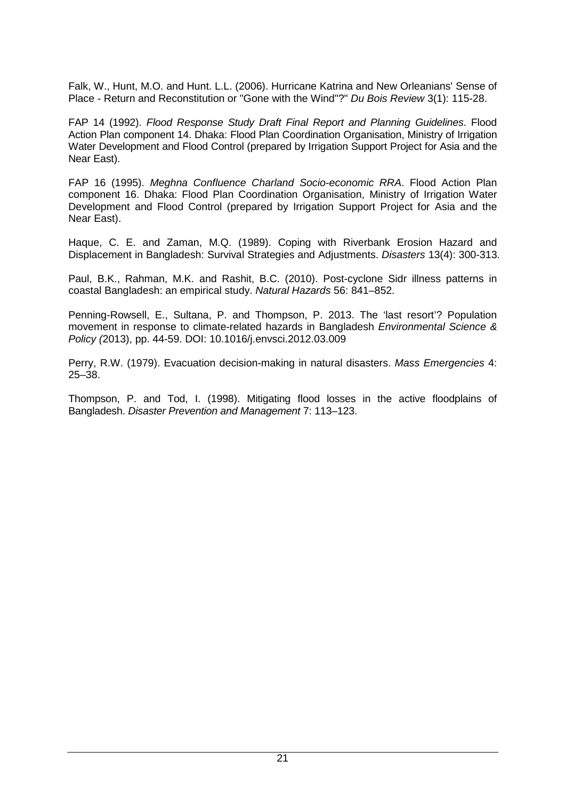Falk, W., Hunt, M.O. and Hunt. L.L. (2006). Hurricane Katrina and New Orleanians' Sense of Place - Return and Reconstitution or "Gone with the Wind"?" Du Bois Review 3(1): 115-28.

FAP 14 (1992). Flood Response Study Draft Final Report and Planning Guidelines. Flood Action Plan component 14. Dhaka: Flood Plan Coordination Organisation, Ministry of Irrigation Water Development and Flood Control (prepared by Irrigation Support Project for Asia and the Near East).

FAP 16 (1995). Meghna Confluence Charland Socio-economic RRA. Flood Action Plan component 16. Dhaka: Flood Plan Coordination Organisation, Ministry of Irrigation Water Development and Flood Control (prepared by Irrigation Support Project for Asia and the Near East).

Haque, C. E. and Zaman, M.Q. (1989). Coping with Riverbank Erosion Hazard and Displacement in Bangladesh: Survival Strategies and Adjustments. Disasters 13(4): 300-313.

Paul, B.K., Rahman, M.K. and Rashit, B.C. (2010). Post-cyclone Sidr illness patterns in coastal Bangladesh: an empirical study. Natural Hazards 56: 841–852.

Penning-Rowsell, E., Sultana, P. and Thompson, P. 2013. The 'last resort'? Population movement in response to climate-related hazards in Bangladesh Environmental Science & Policy (2013), pp. 44-59. DOI: 10.1016/j.envsci.2012.03.009

Perry, R.W. (1979). Evacuation decision-making in natural disasters. Mass Emergencies 4: 25–38.

Thompson, P. and Tod, I. (1998). Mitigating flood losses in the active floodplains of Bangladesh. Disaster Prevention and Management 7: 113–123.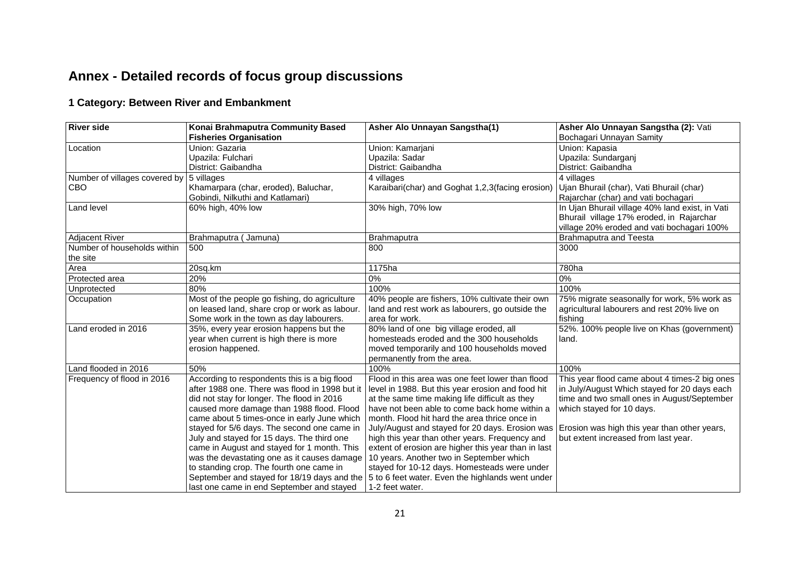## **Annex - Detailed records of focus group discussions**

## **1 Category: Between River and Embankment**

| <b>River side</b>             | Konai Brahmaputra Community Based              | Asher Alo Unnayan Sangstha(1)                                                                | Asher Alo Unnayan Sangstha (2): Vati            |
|-------------------------------|------------------------------------------------|----------------------------------------------------------------------------------------------|-------------------------------------------------|
|                               | <b>Fisheries Organisation</b>                  |                                                                                              | Bochagari Unnayan Samity                        |
| Location                      | Union: Gazaria                                 | Union: Kamarjani                                                                             | Union: Kapasia                                  |
|                               | Upazila: Fulchari                              | Upazila: Sadar                                                                               | Upazila: Sundarganj                             |
|                               | District: Gaibandha                            | District: Gaibandha                                                                          | District: Gaibandha                             |
| Number of villages covered by | 5 villages                                     | 4 villages                                                                                   | 4 villages                                      |
| CBO                           | Khamarpara (char, eroded), Baluchar,           | Karaibari(char) and Goghat 1,2,3(facing erosion)                                             | Ujan Bhurail (char), Vati Bhurail (char)        |
|                               | Gobindi, Nilkuthi and Katlamari)               |                                                                                              | Rajarchar (char) and vati bochagari             |
| Land level                    | 60% high, 40% low                              | 30% high, 70% low                                                                            | In Ujan Bhurail village 40% land exist, in Vati |
|                               |                                                |                                                                                              | Bhurail village 17% eroded, in Rajarchar        |
|                               |                                                |                                                                                              | village 20% eroded and vati bochagari 100%      |
| <b>Adjacent River</b>         | Brahmaputra (Jamuna)                           | Brahmaputra                                                                                  | <b>Brahmaputra and Teesta</b>                   |
| Number of households within   | 500                                            | 800                                                                                          | 3000                                            |
| the site                      |                                                |                                                                                              |                                                 |
| Area                          | 20sq.km                                        | 1175ha                                                                                       | 780ha                                           |
| Protected area                | 20%                                            | 0%                                                                                           | $0\%$                                           |
| Unprotected                   | 80%                                            | 100%                                                                                         | 100%                                            |
| Occupation                    | Most of the people go fishing, do agriculture  | 40% people are fishers, 10% cultivate their own                                              | 75% migrate seasonally for work, 5% work as     |
|                               | on leased land, share crop or work as labour.  | land and rest work as labourers, go outside the                                              | agricultural labourers and rest 20% live on     |
|                               | Some work in the town as day labourers.        | area for work.                                                                               | fishing                                         |
| Land eroded in 2016           | 35%, every year erosion happens but the        | 80% land of one big village eroded, all                                                      | 52%. 100% people live on Khas (government)      |
|                               | year when current is high there is more        | homesteads eroded and the 300 households                                                     | land.                                           |
|                               | erosion happened.                              | moved temporarily and 100 households moved                                                   |                                                 |
|                               |                                                | permanently from the area.                                                                   |                                                 |
| Land flooded in 2016          | 50%                                            | 100%                                                                                         | 100%                                            |
| Frequency of flood in 2016    | According to respondents this is a big flood   | Flood in this area was one feet lower than flood                                             | This year flood came about 4 times-2 big ones   |
|                               | after 1988 one. There was flood in 1998 but it | level in 1988. But this year erosion and food hit                                            | in July/August Which stayed for 20 days each    |
|                               | did not stay for longer. The flood in 2016     | at the same time making life difficult as they                                               | time and two small ones in August/September     |
|                               | caused more damage than 1988 flood. Flood      | have not been able to come back home within a                                                | which stayed for 10 days.                       |
|                               | came about 5 times-once in early June which    | month. Flood hit hard the area thrice once in                                                |                                                 |
|                               | stayed for 5/6 days. The second one came in    | July/August and stayed for 20 days. Erosion was                                              | Erosion was high this year than other years,    |
|                               | July and stayed for 15 days. The third one     | high this year than other years. Frequency and                                               | but extent increased from last year.            |
|                               | came in August and stayed for 1 month. This    | extent of erosion are higher this year than in last                                          |                                                 |
|                               | was the devastating one as it causes damage    | 10 years. Another two in September which                                                     |                                                 |
|                               | to standing crop. The fourth one came in       | stayed for 10-12 days. Homesteads were under                                                 |                                                 |
|                               |                                                | September and stayed for 18/19 days and the 5 to 6 feet water. Even the highlands went under |                                                 |
|                               | last one came in end September and stayed      | 1-2 feet water.                                                                              |                                                 |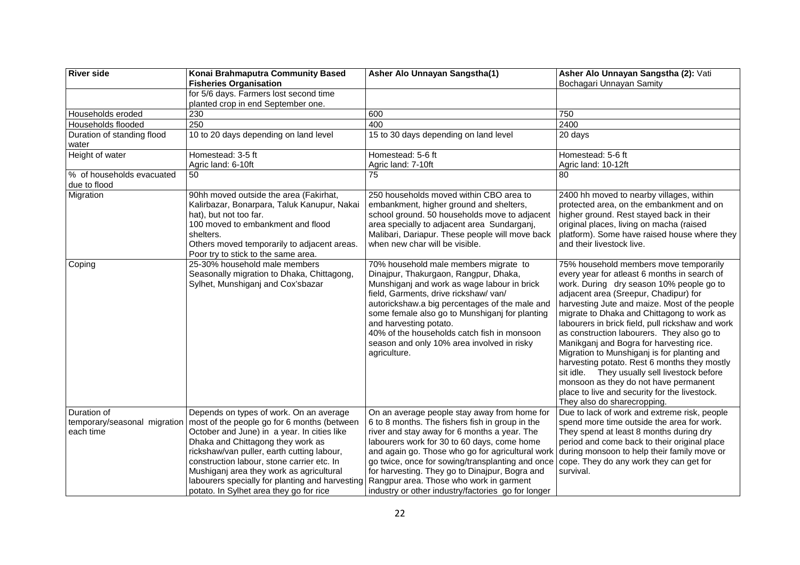| <b>River side</b>                                        | Konai Brahmaputra Community Based<br><b>Fisheries Organisation</b>                                                                                                                                                                                                                                                                                                                                               | Asher Alo Unnayan Sangstha(1)                                                                                                                                                                                                                                                                                                                                                                                                                             | Asher Alo Unnayan Sangstha (2): Vati<br>Bochagari Unnayan Samity                                                                                                                                                                                                                                                                                                                                                                                                                                                                                                                                                                                                                                 |
|----------------------------------------------------------|------------------------------------------------------------------------------------------------------------------------------------------------------------------------------------------------------------------------------------------------------------------------------------------------------------------------------------------------------------------------------------------------------------------|-----------------------------------------------------------------------------------------------------------------------------------------------------------------------------------------------------------------------------------------------------------------------------------------------------------------------------------------------------------------------------------------------------------------------------------------------------------|--------------------------------------------------------------------------------------------------------------------------------------------------------------------------------------------------------------------------------------------------------------------------------------------------------------------------------------------------------------------------------------------------------------------------------------------------------------------------------------------------------------------------------------------------------------------------------------------------------------------------------------------------------------------------------------------------|
|                                                          | for 5/6 days. Farmers lost second time<br>planted crop in end September one.                                                                                                                                                                                                                                                                                                                                     |                                                                                                                                                                                                                                                                                                                                                                                                                                                           |                                                                                                                                                                                                                                                                                                                                                                                                                                                                                                                                                                                                                                                                                                  |
| Households eroded                                        | 230                                                                                                                                                                                                                                                                                                                                                                                                              | 600                                                                                                                                                                                                                                                                                                                                                                                                                                                       | 750                                                                                                                                                                                                                                                                                                                                                                                                                                                                                                                                                                                                                                                                                              |
| Households flooded                                       | 250                                                                                                                                                                                                                                                                                                                                                                                                              | 400                                                                                                                                                                                                                                                                                                                                                                                                                                                       | 2400                                                                                                                                                                                                                                                                                                                                                                                                                                                                                                                                                                                                                                                                                             |
| Duration of standing flood<br>water                      | 10 to 20 days depending on land level                                                                                                                                                                                                                                                                                                                                                                            | 15 to 30 days depending on land level                                                                                                                                                                                                                                                                                                                                                                                                                     | 20 days                                                                                                                                                                                                                                                                                                                                                                                                                                                                                                                                                                                                                                                                                          |
| Height of water                                          | Homestead: 3-5 ft<br>Agric land: 6-10ft                                                                                                                                                                                                                                                                                                                                                                          | Homestead: 5-6 ft<br>Agric land: 7-10ft                                                                                                                                                                                                                                                                                                                                                                                                                   | Homestead: 5-6 ft<br>Agric land: 10-12ft                                                                                                                                                                                                                                                                                                                                                                                                                                                                                                                                                                                                                                                         |
| % of households evacuated<br>due to flood                | 50                                                                                                                                                                                                                                                                                                                                                                                                               | 75                                                                                                                                                                                                                                                                                                                                                                                                                                                        | 80                                                                                                                                                                                                                                                                                                                                                                                                                                                                                                                                                                                                                                                                                               |
| Migration                                                | 90hh moved outside the area (Fakirhat,<br>Kalirbazar, Bonarpara, Taluk Kanupur, Nakai<br>hat), but not too far.<br>100 moved to embankment and flood<br>shelters.<br>Others moved temporarily to adjacent areas.<br>Poor try to stick to the same area.                                                                                                                                                          | 250 households moved within CBO area to<br>embankment, higher ground and shelters,<br>school ground. 50 households move to adjacent<br>area specially to adjacent area Sundarganj,<br>Malibari, Dariapur. These people will move back<br>when new char will be visible.                                                                                                                                                                                   | 2400 hh moved to nearby villages, within<br>protected area, on the embankment and on<br>higher ground. Rest stayed back in their<br>original places, living on macha (raised<br>platform). Some have raised house where they<br>and their livestock live.                                                                                                                                                                                                                                                                                                                                                                                                                                        |
| Coping                                                   | 25-30% household male members<br>Seasonally migration to Dhaka, Chittagong,<br>Sylhet, Munshiganj and Cox'sbazar                                                                                                                                                                                                                                                                                                 | 70% household male members migrate to<br>Dinajpur, Thakurgaon, Rangpur, Dhaka,<br>Munshiganj and work as wage labour in brick<br>field, Garments, drive rickshaw/ van/<br>autorickshaw.a big percentages of the male and<br>some female also go to Munshiganj for planting<br>and harvesting potato.<br>40% of the households catch fish in monsoon<br>season and only 10% area involved in risky<br>agriculture.                                         | 75% household members move temporarily<br>every year for atleast 6 months in search of<br>work. During dry season 10% people go to<br>adjacent area (Sreepur, Chadipur) for<br>harvesting Jute and maize. Most of the people<br>migrate to Dhaka and Chittagong to work as<br>labourers in brick field, pull rickshaw and work<br>as construction labourers. They also go to<br>Manikganj and Bogra for harvesting rice.<br>Migration to Munshiganj is for planting and<br>harvesting potato. Rest 6 months they mostly<br>sit idle. They usually sell livestock before<br>monsoon as they do not have permanent<br>place to live and security for the livestock.<br>They also do sharecropping. |
| Duration of<br>temporary/seasonal migration<br>each time | Depends on types of work. On an average<br>most of the people go for 6 months (between<br>October and June) in a year. In cities like<br>Dhaka and Chittagong they work as<br>rickshaw/van puller, earth cutting labour,<br>construction labour, stone carrier etc. In<br>Mushiganj area they work as agricultural<br>labourers specially for planting and harvesting<br>potato. In Sylhet area they go for rice | On an average people stay away from home for<br>6 to 8 months. The fishers fish in group in the<br>river and stay away for 6 months a year. The<br>labourers work for 30 to 60 days, come home<br>and again go. Those who go for agricultural work<br>go twice, once for sowing/transplanting and once<br>for harvesting. They go to Dinajpur, Bogra and<br>Rangpur area. Those who work in garment<br>industry or other industry/factories go for longer | Due to lack of work and extreme risk, people<br>spend more time outside the area for work.<br>They spend at least 8 months during dry<br>period and come back to their original place<br>during monsoon to help their family move or<br>cope. They do any work they can get for<br>survival.                                                                                                                                                                                                                                                                                                                                                                                                     |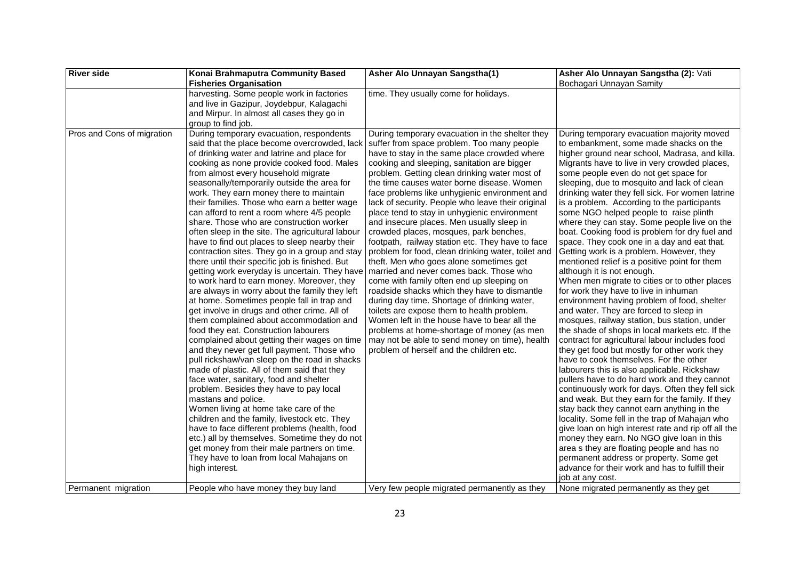| <b>River side</b>          | Konai Brahmaputra Community Based                                                                                                                                                                                                                                                                                                                                                                                                                                                                                                                                                                                                                                                                                                                                                                                                                                                                                                                                                                                                                                                                                                                                                                                                                                                                                                                                                                                                                                                                                                                                                                                               | Asher Alo Unnayan Sangstha(1)                                                                                                                                                                                                                                                                                                                                                                                                                                                                                                                                                                                                                                                                                                                                                                                                                                                                                                                                                                                                                                                                                                   | Asher Alo Unnayan Sangstha (2): Vati                                                                                                                                                                                                                                                                                                                                                                                                                                                                                                                                                                                                                                                                                                                                                                                                                                                                                                                                                                                                                                                                                                                                                                                                                                                                                                                                                                                                                                                                                                                                                                                                                                                                                 |
|----------------------------|---------------------------------------------------------------------------------------------------------------------------------------------------------------------------------------------------------------------------------------------------------------------------------------------------------------------------------------------------------------------------------------------------------------------------------------------------------------------------------------------------------------------------------------------------------------------------------------------------------------------------------------------------------------------------------------------------------------------------------------------------------------------------------------------------------------------------------------------------------------------------------------------------------------------------------------------------------------------------------------------------------------------------------------------------------------------------------------------------------------------------------------------------------------------------------------------------------------------------------------------------------------------------------------------------------------------------------------------------------------------------------------------------------------------------------------------------------------------------------------------------------------------------------------------------------------------------------------------------------------------------------|---------------------------------------------------------------------------------------------------------------------------------------------------------------------------------------------------------------------------------------------------------------------------------------------------------------------------------------------------------------------------------------------------------------------------------------------------------------------------------------------------------------------------------------------------------------------------------------------------------------------------------------------------------------------------------------------------------------------------------------------------------------------------------------------------------------------------------------------------------------------------------------------------------------------------------------------------------------------------------------------------------------------------------------------------------------------------------------------------------------------------------|----------------------------------------------------------------------------------------------------------------------------------------------------------------------------------------------------------------------------------------------------------------------------------------------------------------------------------------------------------------------------------------------------------------------------------------------------------------------------------------------------------------------------------------------------------------------------------------------------------------------------------------------------------------------------------------------------------------------------------------------------------------------------------------------------------------------------------------------------------------------------------------------------------------------------------------------------------------------------------------------------------------------------------------------------------------------------------------------------------------------------------------------------------------------------------------------------------------------------------------------------------------------------------------------------------------------------------------------------------------------------------------------------------------------------------------------------------------------------------------------------------------------------------------------------------------------------------------------------------------------------------------------------------------------------------------------------------------------|
|                            | <b>Fisheries Organisation</b>                                                                                                                                                                                                                                                                                                                                                                                                                                                                                                                                                                                                                                                                                                                                                                                                                                                                                                                                                                                                                                                                                                                                                                                                                                                                                                                                                                                                                                                                                                                                                                                                   |                                                                                                                                                                                                                                                                                                                                                                                                                                                                                                                                                                                                                                                                                                                                                                                                                                                                                                                                                                                                                                                                                                                                 | Bochagari Unnayan Samity                                                                                                                                                                                                                                                                                                                                                                                                                                                                                                                                                                                                                                                                                                                                                                                                                                                                                                                                                                                                                                                                                                                                                                                                                                                                                                                                                                                                                                                                                                                                                                                                                                                                                             |
|                            | harvesting. Some people work in factories<br>and live in Gazipur, Joydebpur, Kalagachi<br>and Mirpur. In almost all cases they go in<br>group to find job.                                                                                                                                                                                                                                                                                                                                                                                                                                                                                                                                                                                                                                                                                                                                                                                                                                                                                                                                                                                                                                                                                                                                                                                                                                                                                                                                                                                                                                                                      | time. They usually come for holidays.                                                                                                                                                                                                                                                                                                                                                                                                                                                                                                                                                                                                                                                                                                                                                                                                                                                                                                                                                                                                                                                                                           |                                                                                                                                                                                                                                                                                                                                                                                                                                                                                                                                                                                                                                                                                                                                                                                                                                                                                                                                                                                                                                                                                                                                                                                                                                                                                                                                                                                                                                                                                                                                                                                                                                                                                                                      |
| Pros and Cons of migration | During temporary evacuation, respondents<br>said that the place become overcrowded, lack<br>of drinking water and latrine and place for<br>cooking as none provide cooked food. Males<br>from almost every household migrate<br>seasonally/temporarily outside the area for<br>work. They earn money there to maintain<br>their families. Those who earn a better wage<br>can afford to rent a room where 4/5 people<br>share. Those who are construction worker<br>often sleep in the site. The agricultural labour<br>have to find out places to sleep nearby their<br>contraction sites. They go in a group and stay<br>there until their specific job is finished. But<br>getting work everyday is uncertain. They have<br>to work hard to earn money. Moreover, they<br>are always in worry about the family they left<br>at home. Sometimes people fall in trap and<br>get involve in drugs and other crime. All of<br>them complained about accommodation and<br>food they eat. Construction labourers<br>complained about getting their wages on time<br>and they never get full payment. Those who<br>pull rickshaw/van sleep on the road in shacks<br>made of plastic. All of them said that they<br>face water, sanitary, food and shelter<br>problem. Besides they have to pay local<br>mastans and police.<br>Women living at home take care of the<br>children and the family, livestock etc. They<br>have to face different problems (health, food<br>etc.) all by themselves. Sometime they do not<br>get money from their male partners on time.<br>They have to loan from local Mahajans on<br>high interest. | During temporary evacuation in the shelter they<br>suffer from space problem. Too many people<br>have to stay in the same place crowded where<br>cooking and sleeping, sanitation are bigger<br>problem. Getting clean drinking water most of<br>the time causes water borne disease. Women<br>face problems like unhygienic environment and<br>lack of security. People who leave their original<br>place tend to stay in unhygienic environment<br>and insecure places. Men usually sleep in<br>crowded places, mosques, park benches,<br>footpath, railway station etc. They have to face<br>problem for food, clean drinking water, toilet and<br>theft. Men who goes alone sometimes get<br>married and never comes back. Those who<br>come with family often end up sleeping on<br>roadside shacks which they have to dismantle<br>during day time. Shortage of drinking water,<br>toilets are expose them to health problem.<br>Women left in the house have to bear all the<br>problems at home-shortage of money (as men<br>may not be able to send money on time), health<br>problem of herself and the children etc. | During temporary evacuation majority moved<br>to embankment, some made shacks on the<br>higher ground near school, Madrasa, and killa.<br>Migrants have to live in very crowded places,<br>some people even do not get space for<br>sleeping, due to mosquito and lack of clean<br>drinking water they fell sick. For women latrine<br>is a problem. According to the participants<br>some NGO helped people to raise plinth<br>where they can stay. Some people live on the<br>boat. Cooking food is problem for dry fuel and<br>space. They cook one in a day and eat that.<br>Getting work is a problem. However, they<br>mentioned relief is a positive point for them<br>although it is not enough.<br>When men migrate to cities or to other places<br>for work they have to live in inhuman<br>environment having problem of food, shelter<br>and water. They are forced to sleep in<br>mosques, railway station, bus station, under<br>the shade of shops in local markets etc. If the<br>contract for agricultural labour includes food<br>they get food but mostly for other work they<br>have to cook themselves. For the other<br>labourers this is also applicable. Rickshaw<br>pullers have to do hard work and they cannot<br>continuously work for days. Often they fell sick<br>and weak. But they earn for the family. If they<br>stay back they cannot earn anything in the<br>locality. Some fell in the trap of Mahajan who<br>give loan on high interest rate and rip off all the<br>money they earn. No NGO give loan in this<br>area s they are floating people and has no<br>permanent address or property. Some get<br>advance for their work and has to fulfill their<br>job at any cost. |
| Permanent migration        | People who have money they buy land                                                                                                                                                                                                                                                                                                                                                                                                                                                                                                                                                                                                                                                                                                                                                                                                                                                                                                                                                                                                                                                                                                                                                                                                                                                                                                                                                                                                                                                                                                                                                                                             | Very few people migrated permanently as they                                                                                                                                                                                                                                                                                                                                                                                                                                                                                                                                                                                                                                                                                                                                                                                                                                                                                                                                                                                                                                                                                    | None migrated permanently as they get                                                                                                                                                                                                                                                                                                                                                                                                                                                                                                                                                                                                                                                                                                                                                                                                                                                                                                                                                                                                                                                                                                                                                                                                                                                                                                                                                                                                                                                                                                                                                                                                                                                                                |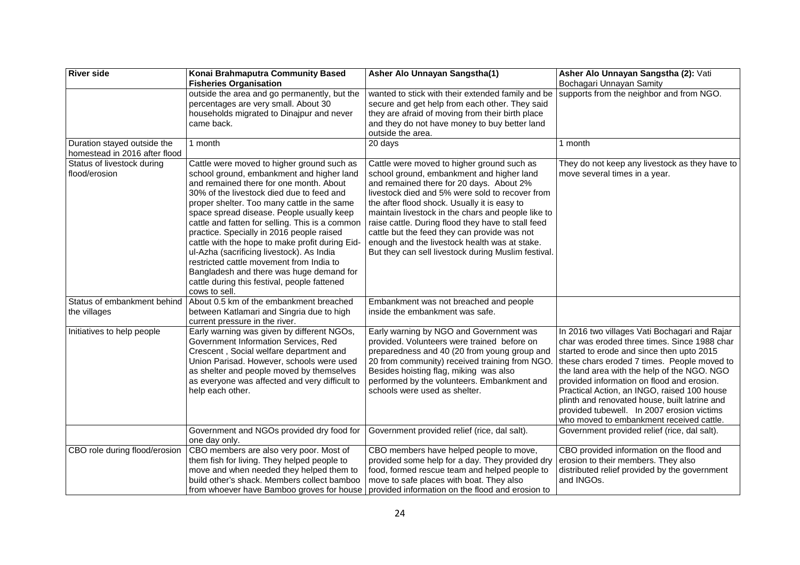| <b>River side</b>                           | Konai Brahmaputra Community Based<br><b>Fisheries Organisation</b>                                                                                                                                                                                                                                                                                                                                                                                                                                                                                                                                                                   | Asher Alo Unnayan Sangstha(1)                                                                                                                                                                                                                                                                                                                                                                                                                                                                              | Asher Alo Unnayan Sangstha (2): Vati<br>Bochagari Unnayan Samity                                                                                                                                                                                                                                                                                                                                                                                                                 |
|---------------------------------------------|--------------------------------------------------------------------------------------------------------------------------------------------------------------------------------------------------------------------------------------------------------------------------------------------------------------------------------------------------------------------------------------------------------------------------------------------------------------------------------------------------------------------------------------------------------------------------------------------------------------------------------------|------------------------------------------------------------------------------------------------------------------------------------------------------------------------------------------------------------------------------------------------------------------------------------------------------------------------------------------------------------------------------------------------------------------------------------------------------------------------------------------------------------|----------------------------------------------------------------------------------------------------------------------------------------------------------------------------------------------------------------------------------------------------------------------------------------------------------------------------------------------------------------------------------------------------------------------------------------------------------------------------------|
| Duration stayed outside the                 | outside the area and go permanently, but the<br>percentages are very small. About 30<br>households migrated to Dinajpur and never<br>came back.<br>1 month                                                                                                                                                                                                                                                                                                                                                                                                                                                                           | wanted to stick with their extended family and be<br>secure and get help from each other. They said<br>they are afraid of moving from their birth place<br>and they do not have money to buy better land<br>outside the area.<br>20 days                                                                                                                                                                                                                                                                   | supports from the neighbor and from NGO.<br>1 month                                                                                                                                                                                                                                                                                                                                                                                                                              |
| homestead in 2016 after flood               |                                                                                                                                                                                                                                                                                                                                                                                                                                                                                                                                                                                                                                      |                                                                                                                                                                                                                                                                                                                                                                                                                                                                                                            |                                                                                                                                                                                                                                                                                                                                                                                                                                                                                  |
| Status of livestock during<br>flood/erosion | Cattle were moved to higher ground such as<br>school ground, embankment and higher land<br>and remained there for one month. About<br>30% of the livestock died due to feed and<br>proper shelter. Too many cattle in the same<br>space spread disease. People usually keep<br>cattle and fatten for selling. This is a common<br>practice. Specially in 2016 people raised<br>cattle with the hope to make profit during Eid-<br>ul-Azha (sacrificing livestock). As India<br>restricted cattle movement from India to<br>Bangladesh and there was huge demand for<br>cattle during this festival, people fattened<br>cows to sell. | Cattle were moved to higher ground such as<br>school ground, embankment and higher land<br>and remained there for 20 days. About 2%<br>livestock died and 5% were sold to recover from<br>the after flood shock. Usually it is easy to<br>maintain livestock in the chars and people like to<br>raise cattle. During flood they have to stall feed<br>cattle but the feed they can provide was not<br>enough and the livestock health was at stake.<br>But they can sell livestock during Muslim festival. | They do not keep any livestock as they have to<br>move several times in a year.                                                                                                                                                                                                                                                                                                                                                                                                  |
| Status of embankment behind<br>the villages | About 0.5 km of the embankment breached<br>between Katlamari and Singria due to high<br>current pressure in the river.                                                                                                                                                                                                                                                                                                                                                                                                                                                                                                               | Embankment was not breached and people<br>inside the embankment was safe.                                                                                                                                                                                                                                                                                                                                                                                                                                  |                                                                                                                                                                                                                                                                                                                                                                                                                                                                                  |
| Initiatives to help people                  | Early warning was given by different NGOs,<br>Government Information Services, Red<br>Crescent, Social welfare department and<br>Union Parisad. However, schools were used<br>as shelter and people moved by themselves<br>as everyone was affected and very difficult to<br>help each other.                                                                                                                                                                                                                                                                                                                                        | Early warning by NGO and Government was<br>provided. Volunteers were trained before on<br>preparedness and 40 (20 from young group and<br>20 from community) received training from NGO<br>Besides hoisting flag, miking was also<br>performed by the volunteers. Embankment and<br>schools were used as shelter.                                                                                                                                                                                          | In 2016 two villages Vati Bochagari and Rajar<br>char was eroded three times. Since 1988 char<br>started to erode and since then upto 2015<br>these chars eroded 7 times. People moved to<br>the land area with the help of the NGO. NGO<br>provided information on flood and erosion.<br>Practical Action, an INGO, raised 100 house<br>plinth and renovated house, built latrine and<br>provided tubewell. In 2007 erosion victims<br>who moved to embankment received cattle. |
|                                             | Government and NGOs provided dry food for<br>one day only.                                                                                                                                                                                                                                                                                                                                                                                                                                                                                                                                                                           | Government provided relief (rice, dal salt).                                                                                                                                                                                                                                                                                                                                                                                                                                                               | Government provided relief (rice, dal salt).                                                                                                                                                                                                                                                                                                                                                                                                                                     |
| CBO role during flood/erosion               | CBO members are also very poor. Most of<br>them fish for living. They helped people to<br>move and when needed they helped them to<br>build other's shack. Members collect bamboo<br>from whoever have Bamboo groves for house                                                                                                                                                                                                                                                                                                                                                                                                       | CBO members have helped people to move,<br>provided some help for a day. They provided dry<br>food, formed rescue team and helped people to<br>move to safe places with boat. They also<br>provided information on the flood and erosion to                                                                                                                                                                                                                                                                | CBO provided information on the flood and<br>erosion to their members. They also<br>distributed relief provided by the government<br>and INGOs.                                                                                                                                                                                                                                                                                                                                  |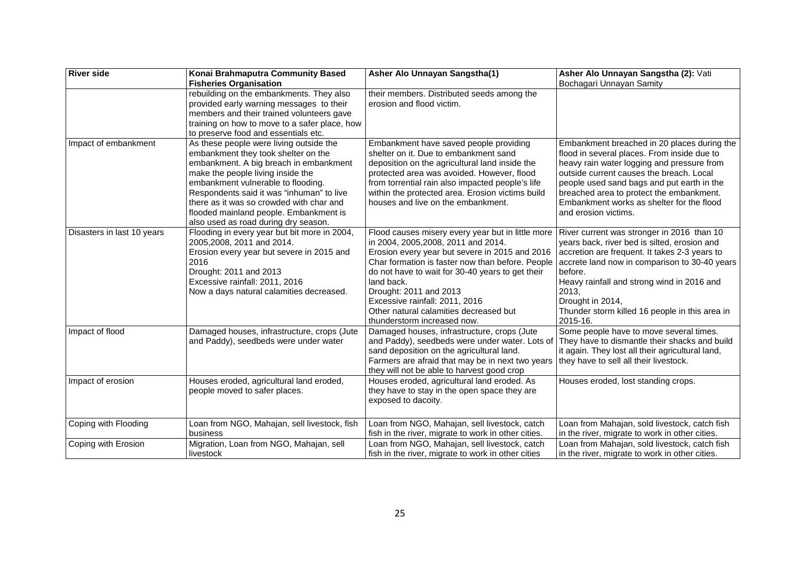| <b>River side</b>          | Konai Brahmaputra Community Based                                                                                                                                                                                                                                                                                                                                              | Asher Alo Unnayan Sangstha(1)                                                                                                                                                                                                                                                                                                                                                                         | Asher Alo Unnayan Sangstha (2): Vati                                                                                                                                                                                                                                                                                                                |
|----------------------------|--------------------------------------------------------------------------------------------------------------------------------------------------------------------------------------------------------------------------------------------------------------------------------------------------------------------------------------------------------------------------------|-------------------------------------------------------------------------------------------------------------------------------------------------------------------------------------------------------------------------------------------------------------------------------------------------------------------------------------------------------------------------------------------------------|-----------------------------------------------------------------------------------------------------------------------------------------------------------------------------------------------------------------------------------------------------------------------------------------------------------------------------------------------------|
|                            | <b>Fisheries Organisation</b>                                                                                                                                                                                                                                                                                                                                                  |                                                                                                                                                                                                                                                                                                                                                                                                       | Bochagari Unnayan Samity                                                                                                                                                                                                                                                                                                                            |
|                            | rebuilding on the embankments. They also<br>provided early warning messages to their<br>members and their trained volunteers gave<br>training on how to move to a safer place, how<br>to preserve food and essentials etc.                                                                                                                                                     | their members. Distributed seeds among the<br>erosion and flood victim.                                                                                                                                                                                                                                                                                                                               |                                                                                                                                                                                                                                                                                                                                                     |
| Impact of embankment       | As these people were living outside the<br>embankment they took shelter on the<br>embankment. A big breach in embankment<br>make the people living inside the<br>embankment vulnerable to flooding.<br>Respondents said it was "inhuman" to live<br>there as it was so crowded with char and<br>flooded mainland people. Embankment is<br>also used as road during dry season. | Embankment have saved people providing<br>shelter on it. Due to embankment sand<br>deposition on the agricultural land inside the<br>protected area was avoided. However, flood<br>from torrential rain also impacted people's life<br>within the protected area. Erosion victims build<br>houses and live on the embankment.                                                                         | Embankment breached in 20 places during the<br>flood in several places. From inside due to<br>heavy rain water logging and pressure from<br>outside current causes the breach. Local<br>people used sand bags and put earth in the<br>breached area to protect the embankment.<br>Embankment works as shelter for the flood<br>and erosion victims. |
| Disasters in last 10 years | Flooding in every year but bit more in 2004,<br>2005,2008, 2011 and 2014.<br>Erosion every year but severe in 2015 and<br>2016<br>Drought: 2011 and 2013<br>Excessive rainfall: 2011, 2016<br>Now a days natural calamities decreased.                                                                                                                                         | Flood causes misery every year but in little more<br>in 2004, 2005, 2008, 2011 and 2014.<br>Erosion every year but severe in 2015 and 2016<br>Char formation is faster now than before. People<br>do not have to wait for 30-40 years to get their<br>land back.<br>Drought: 2011 and 2013<br>Excessive rainfall: 2011, 2016<br>Other natural calamities decreased but<br>thunderstorm increased now. | River current was stronger in 2016 than 10<br>years back, river bed is silted, erosion and<br>accretion are frequent. It takes 2-3 years to<br>accrete land now in comparison to 30-40 years<br>before.<br>Heavy rainfall and strong wind in 2016 and<br>2013,<br>Drought in 2014,<br>Thunder storm killed 16 people in this area in<br>2015-16.    |
| Impact of flood            | Damaged houses, infrastructure, crops (Jute<br>and Paddy), seedbeds were under water                                                                                                                                                                                                                                                                                           | Damaged houses, infrastructure, crops (Jute<br>and Paddy), seedbeds were under water. Lots of<br>sand deposition on the agricultural land.<br>Farmers are afraid that may be in next two years<br>they will not be able to harvest good crop                                                                                                                                                          | Some people have to move several times.<br>They have to dismantle their shacks and build<br>it again. They lost all their agricultural land,<br>they have to sell all their livestock.                                                                                                                                                              |
| Impact of erosion          | Houses eroded, agricultural land eroded,<br>people moved to safer places.                                                                                                                                                                                                                                                                                                      | Houses eroded, agricultural land eroded. As<br>they have to stay in the open space they are<br>exposed to dacoity.                                                                                                                                                                                                                                                                                    | Houses eroded, lost standing crops.                                                                                                                                                                                                                                                                                                                 |
| Coping with Flooding       | Loan from NGO, Mahajan, sell livestock, fish<br>business                                                                                                                                                                                                                                                                                                                       | Loan from NGO, Mahajan, sell livestock, catch<br>fish in the river, migrate to work in other cities.                                                                                                                                                                                                                                                                                                  | Loan from Mahajan, sold livestock, catch fish<br>in the river, migrate to work in other cities.                                                                                                                                                                                                                                                     |
| Coping with Erosion        | Migration, Loan from NGO, Mahajan, sell<br>livestock                                                                                                                                                                                                                                                                                                                           | Loan from NGO, Mahajan, sell livestock, catch<br>fish in the river, migrate to work in other cities                                                                                                                                                                                                                                                                                                   | Loan from Mahajan, sold livestock, catch fish<br>in the river, migrate to work in other cities.                                                                                                                                                                                                                                                     |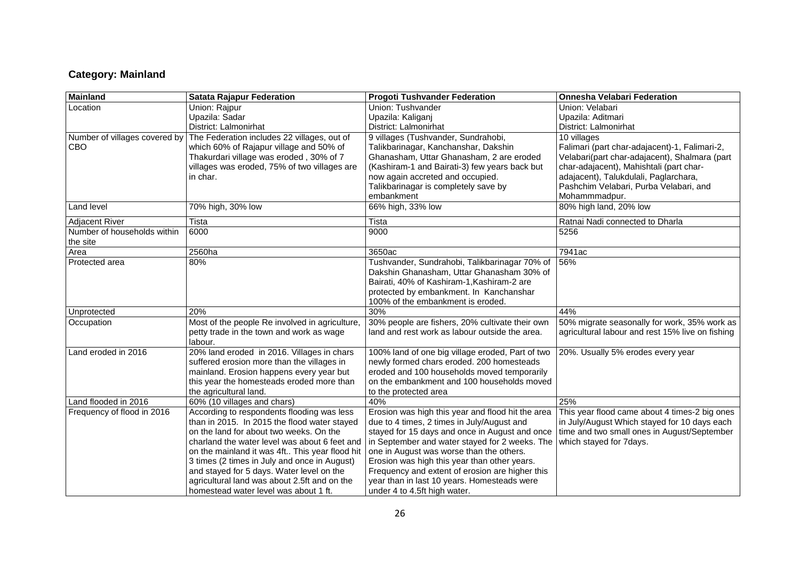## **Category: Mainland**

| Mainland                      | <b>Satata Rajapur Federation</b>               | <b>Progoti Tushvander Federation</b>              | <b>Onnesha Velabari Federation</b>               |
|-------------------------------|------------------------------------------------|---------------------------------------------------|--------------------------------------------------|
| Location                      | Union: Rajpur                                  | Union: Tushvander                                 | Union: Velabari                                  |
|                               | Upazila: Sadar                                 | Upazila: Kaliganj                                 | Upazila: Aditmari                                |
|                               | District: Lalmonirhat                          | District: Lalmonirhat                             | District: Lalmonirhat                            |
| Number of villages covered by | The Federation includes 22 villages, out of    | 9 villages (Tushvander, Sundrahobi,               | 10 villages                                      |
| CBO                           | which 60% of Rajapur village and 50% of        | Talikbarinagar, Kanchanshar, Dakshin              | Falimari (part char-adajacent)-1, Falimari-2,    |
|                               | Thakurdari village was eroded, 30% of 7        | Ghanasham, Uttar Ghanasham, 2 are eroded          | Velabari(part char-adajacent), Shalmara (part    |
|                               | villages was eroded, 75% of two villages are   | (Kashiram-1 and Bairati-3) few years back but     | char-adajacent), Mahishtali (part char-          |
|                               | in char.                                       | now again accreted and occupied.                  | adajacent), Talukdulali, Paglarchara,            |
|                               |                                                | Talikbarinagar is completely save by              | Pashchim Velabari, Purba Velabari, and           |
|                               |                                                | embankment                                        | Mohammmadpur.                                    |
| Land level                    | 70% high, 30% low                              | 66% high, 33% low                                 | 80% high land, 20% low                           |
| Adjacent River                | Tista                                          | Tista                                             | Ratnai Nadi connected to Dharla                  |
| Number of households within   | 6000                                           | 9000                                              | 5256                                             |
| the site                      |                                                |                                                   |                                                  |
| Area                          | 2560ha                                         | 3650ac                                            | 7941ac                                           |
| Protected area                | 80%                                            | Tushvander, Sundrahobi, Talikbarinagar 70% of     | 56%                                              |
|                               |                                                | Dakshin Ghanasham, Uttar Ghanasham 30% of         |                                                  |
|                               |                                                | Bairati, 40% of Kashiram-1, Kashiram-2 are        |                                                  |
|                               |                                                | protected by embankment. In Kanchanshar           |                                                  |
|                               |                                                | 100% of the embankment is eroded.                 |                                                  |
| Unprotected                   | 20%                                            | 30%                                               | 44%                                              |
| Occupation                    | Most of the people Re involved in agriculture, | 30% people are fishers, 20% cultivate their own   | 50% migrate seasonally for work, 35% work as     |
|                               | petty trade in the town and work as wage       | land and rest work as labour outside the area.    | agricultural labour and rest 15% live on fishing |
|                               | labour.                                        |                                                   |                                                  |
| Land eroded in 2016           | 20% land eroded in 2016. Villages in chars     | 100% land of one big village eroded, Part of two  | 20%. Usually 5% erodes every year                |
|                               | suffered erosion more than the villages in     | newly formed chars eroded. 200 homesteads         |                                                  |
|                               | mainland. Erosion happens every year but       | eroded and 100 households moved temporarily       |                                                  |
|                               | this year the homesteads eroded more than      | on the embankment and 100 households moved        |                                                  |
|                               | the agricultural land.                         | to the protected area                             |                                                  |
| Land flooded in 2016          | 60% (10 villages and chars)                    | 40%                                               | 25%                                              |
| Frequency of flood in 2016    | According to respondents flooding was less     | Erosion was high this year and flood hit the area | This year flood came about 4 times-2 big ones    |
|                               | than in 2015. In 2015 the flood water stayed   | due to 4 times, 2 times in July/August and        | in July/August Which stayed for 10 days each     |
|                               | on the land for about two weeks. On the        | stayed for 15 days and once in August and once    | time and two small ones in August/September      |
|                               | charland the water level was about 6 feet and  | in September and water stayed for 2 weeks. The    | which stayed for 7days.                          |
|                               | on the mainland it was 4ft This year flood hit | one in August was worse than the others.          |                                                  |
|                               | 3 times (2 times in July and once in August)   | Erosion was high this year than other years.      |                                                  |
|                               | and stayed for 5 days. Water level on the      | Frequency and extent of erosion are higher this   |                                                  |
|                               | agricultural land was about 2.5ft and on the   | year than in last 10 years. Homesteads were       |                                                  |
|                               | homestead water level was about 1 ft.          | under 4 to 4.5ft high water.                      |                                                  |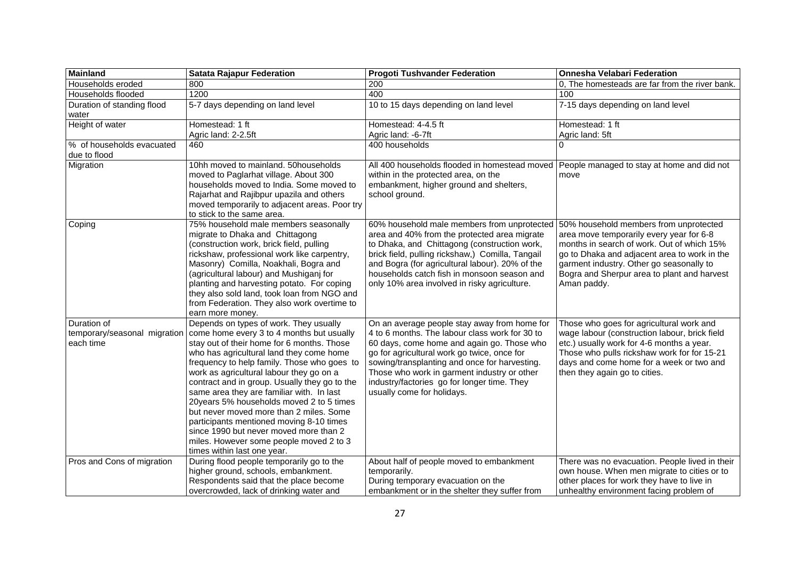| <b>Mainland</b>                                          | <b>Satata Rajapur Federation</b>                                                                                                                                                                                                                                                                                                                                                                                                                                                                                                                                                                                              | <b>Progoti Tushvander Federation</b>                                                                                                                                                                                                                                                                                                                                     | <b>Onnesha Velabari Federation</b>                                                                                                                                                                                                                                                         |
|----------------------------------------------------------|-------------------------------------------------------------------------------------------------------------------------------------------------------------------------------------------------------------------------------------------------------------------------------------------------------------------------------------------------------------------------------------------------------------------------------------------------------------------------------------------------------------------------------------------------------------------------------------------------------------------------------|--------------------------------------------------------------------------------------------------------------------------------------------------------------------------------------------------------------------------------------------------------------------------------------------------------------------------------------------------------------------------|--------------------------------------------------------------------------------------------------------------------------------------------------------------------------------------------------------------------------------------------------------------------------------------------|
| Households eroded                                        | 800                                                                                                                                                                                                                                                                                                                                                                                                                                                                                                                                                                                                                           | 200                                                                                                                                                                                                                                                                                                                                                                      | 0, The homesteads are far from the river bank.                                                                                                                                                                                                                                             |
| Households flooded                                       | 1200                                                                                                                                                                                                                                                                                                                                                                                                                                                                                                                                                                                                                          | 400                                                                                                                                                                                                                                                                                                                                                                      | 100                                                                                                                                                                                                                                                                                        |
| Duration of standing flood<br>water                      | 5-7 days depending on land level                                                                                                                                                                                                                                                                                                                                                                                                                                                                                                                                                                                              | 10 to 15 days depending on land level                                                                                                                                                                                                                                                                                                                                    | 7-15 days depending on land level                                                                                                                                                                                                                                                          |
| Height of water                                          | Homestead: 1 ft                                                                                                                                                                                                                                                                                                                                                                                                                                                                                                                                                                                                               | Homestead: 4-4.5 ft                                                                                                                                                                                                                                                                                                                                                      | Homestead: 1 ft                                                                                                                                                                                                                                                                            |
|                                                          | Agric land: 2-2.5ft                                                                                                                                                                                                                                                                                                                                                                                                                                                                                                                                                                                                           | Agric land: -6-7ft                                                                                                                                                                                                                                                                                                                                                       | Agric land: 5ft                                                                                                                                                                                                                                                                            |
| % of households evacuated<br>due to flood                | 460                                                                                                                                                                                                                                                                                                                                                                                                                                                                                                                                                                                                                           | 400 households                                                                                                                                                                                                                                                                                                                                                           |                                                                                                                                                                                                                                                                                            |
| Migration                                                | 10hh moved to mainland. 50households<br>moved to Paglarhat village. About 300<br>households moved to India. Some moved to<br>Rajarhat and Rajibpur upazila and others<br>moved temporarily to adjacent areas. Poor try<br>to stick to the same area.                                                                                                                                                                                                                                                                                                                                                                          | All 400 households flooded in homestead moved<br>within in the protected area, on the<br>embankment, higher ground and shelters,<br>school ground.                                                                                                                                                                                                                       | People managed to stay at home and did not<br>move                                                                                                                                                                                                                                         |
| Coping                                                   | 75% household male members seasonally<br>migrate to Dhaka and Chittagong<br>(construction work, brick field, pulling<br>rickshaw, professional work like carpentry,<br>Masonry) Comilla, Noakhali, Bogra and<br>(agricultural labour) and Mushiganj for<br>planting and harvesting potato. For coping<br>they also sold land, took loan from NGO and<br>from Federation. They also work overtime to<br>earn more money.                                                                                                                                                                                                       | 60% household male members from unprotected<br>area and 40% from the protected area migrate<br>to Dhaka, and Chittagong (construction work,<br>brick field, pulling rickshaw,) Comilla, Tangail<br>and Bogra (for agricultural labour). 20% of the<br>households catch fish in monsoon season and<br>only 10% area involved in risky agriculture.                        | 50% household members from unprotected<br>area move temporarily every year for 6-8<br>months in search of work. Out of which 15%<br>go to Dhaka and adjacent area to work in the<br>garment industry. Other go seasonally to<br>Bogra and Sherpur area to plant and harvest<br>Aman paddy. |
| Duration of<br>temporary/seasonal migration<br>each time | Depends on types of work. They usually<br>come home every 3 to 4 months but usually<br>stay out of their home for 6 months. Those<br>who has agricultural land they come home<br>frequency to help family. Those who goes to<br>work as agricultural labour they go on a<br>contract and in group. Usually they go to the<br>same area they are familiar with. In last<br>20years 5% households moved 2 to 5 times<br>but never moved more than 2 miles. Some<br>participants mentioned moving 8-10 times<br>since 1990 but never moved more than 2<br>miles. However some people moved 2 to 3<br>times within last one year. | On an average people stay away from home for<br>4 to 6 months. The labour class work for 30 to<br>60 days, come home and again go. Those who<br>go for agricultural work go twice, once for<br>sowing/transplanting and once for harvesting.<br>Those who work in garment industry or other<br>industry/factories go for longer time. They<br>usually come for holidays. | Those who goes for agricultural work and<br>wage labour (construction labour, brick field<br>etc.) usually work for 4-6 months a year.<br>Those who pulls rickshaw work for for 15-21<br>days and come home for a week or two and<br>then they again go to cities.                         |
| Pros and Cons of migration                               | During flood people temporarily go to the<br>higher ground, schools, embankment.<br>Respondents said that the place become<br>overcrowded, lack of drinking water and                                                                                                                                                                                                                                                                                                                                                                                                                                                         | About half of people moved to embankment<br>temporarily.<br>During temporary evacuation on the<br>embankment or in the shelter they suffer from                                                                                                                                                                                                                          | There was no evacuation. People lived in their<br>own house. When men migrate to cities or to<br>other places for work they have to live in<br>unhealthy environment facing problem of                                                                                                     |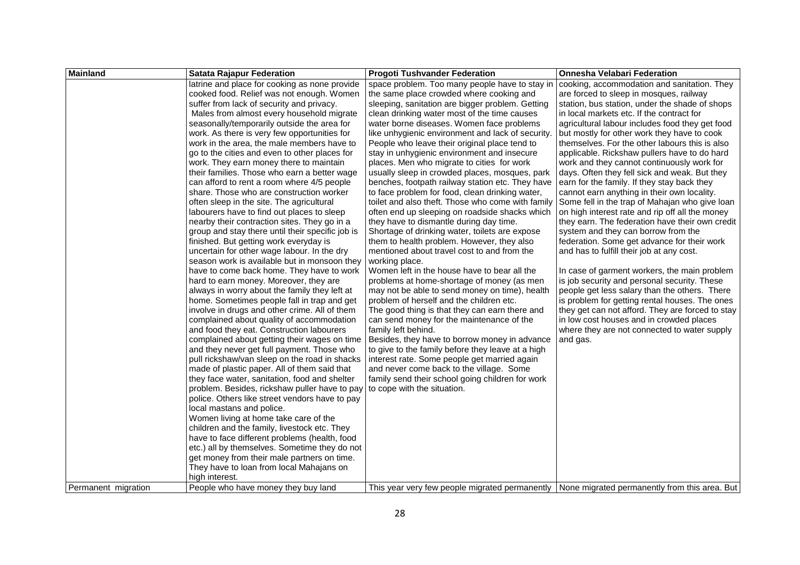| <b>Mainland</b>     | <b>Satata Rajapur Federation</b>                 | <b>Progoti Tushvander Federation</b>                                                           | <b>Onnesha Velabari Federation</b>               |
|---------------------|--------------------------------------------------|------------------------------------------------------------------------------------------------|--------------------------------------------------|
|                     | latrine and place for cooking as none provide    | space problem. Too many people have to stay in                                                 | cooking, accommodation and sanitation. They      |
|                     | cooked food. Relief was not enough. Women        | the same place crowded where cooking and                                                       | are forced to sleep in mosques, railway          |
|                     | suffer from lack of security and privacy.        | sleeping, sanitation are bigger problem. Getting                                               | station, bus station, under the shade of shops   |
|                     | Males from almost every household migrate        | clean drinking water most of the time causes                                                   | in local markets etc. If the contract for        |
|                     | seasonally/temporarily outside the area for      | water borne diseases. Women face problems                                                      | agricultural labour includes food they get food  |
|                     | work. As there is very few opportunities for     | like unhygienic environment and lack of security.                                              | but mostly for other work they have to cook      |
|                     | work in the area, the male members have to       | People who leave their original place tend to                                                  | themselves. For the other labours this is also   |
|                     | go to the cities and even to other places for    | stay in unhygienic environment and insecure                                                    | applicable. Rickshaw pullers have to do hard     |
|                     | work. They earn money there to maintain          | places. Men who migrate to cities for work                                                     | work and they cannot continuously work for       |
|                     | their families. Those who earn a better wage     | usually sleep in crowded places, mosques, park                                                 | days. Often they fell sick and weak. But they    |
|                     | can afford to rent a room where 4/5 people       | benches, footpath railway station etc. They have                                               | earn for the family. If they stay back they      |
|                     | share. Those who are construction worker         | to face problem for food, clean drinking water,                                                | cannot earn anything in their own locality.      |
|                     | often sleep in the site. The agricultural        | toilet and also theft. Those who come with family                                              | Some fell in the trap of Mahajan who give loan   |
|                     | labourers have to find out places to sleep       | often end up sleeping on roadside shacks which                                                 | on high interest rate and rip off all the money  |
|                     | nearby their contraction sites. They go in a     | they have to dismantle during day time.                                                        | they earn. The federation have their own credit  |
|                     | group and stay there until their specific job is | Shortage of drinking water, toilets are expose                                                 | system and they can borrow from the              |
|                     | finished. But getting work everyday is           | them to health problem. However, they also                                                     | federation. Some get advance for their work      |
|                     | uncertain for other wage labour. In the dry      | mentioned about travel cost to and from the                                                    | and has to fulfill their job at any cost.        |
|                     | season work is available but in monsoon they     | working place.                                                                                 |                                                  |
|                     | have to come back home. They have to work        | Women left in the house have to bear all the                                                   | In case of garment workers, the main problem     |
|                     | hard to earn money. Moreover, they are           | problems at home-shortage of money (as men                                                     | is job security and personal security. These     |
|                     | always in worry about the family they left at    | may not be able to send money on time), health                                                 | people get less salary than the others. There    |
|                     | home. Sometimes people fall in trap and get      | problem of herself and the children etc.                                                       | is problem for getting rental houses. The ones   |
|                     | involve in drugs and other crime. All of them    | The good thing is that they can earn there and                                                 | they get can not afford. They are forced to stay |
|                     | complained about quality of accommodation        | can send money for the maintenance of the                                                      | in low cost houses and in crowded places         |
|                     | and food they eat. Construction labourers        | family left behind.                                                                            | where they are not connected to water supply     |
|                     | complained about getting their wages on time     | Besides, they have to borrow money in advance                                                  | and gas.                                         |
|                     | and they never get full payment. Those who       | to give to the family before they leave at a high                                              |                                                  |
|                     | pull rickshaw/van sleep on the road in shacks    | interest rate. Some people get married again                                                   |                                                  |
|                     | made of plastic paper. All of them said that     | and never come back to the village. Some                                                       |                                                  |
|                     | they face water, sanitation, food and shelter    | family send their school going children for work                                               |                                                  |
|                     | problem. Besides, rickshaw puller have to pay    | to cope with the situation.                                                                    |                                                  |
|                     | police. Others like street vendors have to pay   |                                                                                                |                                                  |
|                     | local mastans and police.                        |                                                                                                |                                                  |
|                     | Women living at home take care of the            |                                                                                                |                                                  |
|                     | children and the family, livestock etc. They     |                                                                                                |                                                  |
|                     | have to face different problems (health, food    |                                                                                                |                                                  |
|                     | etc.) all by themselves. Sometime they do not    |                                                                                                |                                                  |
|                     | get money from their male partners on time.      |                                                                                                |                                                  |
|                     | They have to loan from local Mahajans on         |                                                                                                |                                                  |
|                     | high interest.                                   |                                                                                                |                                                  |
| Permanent migration | People who have money they buy land              | This year very few people migrated permanently   None migrated permanently from this area. But |                                                  |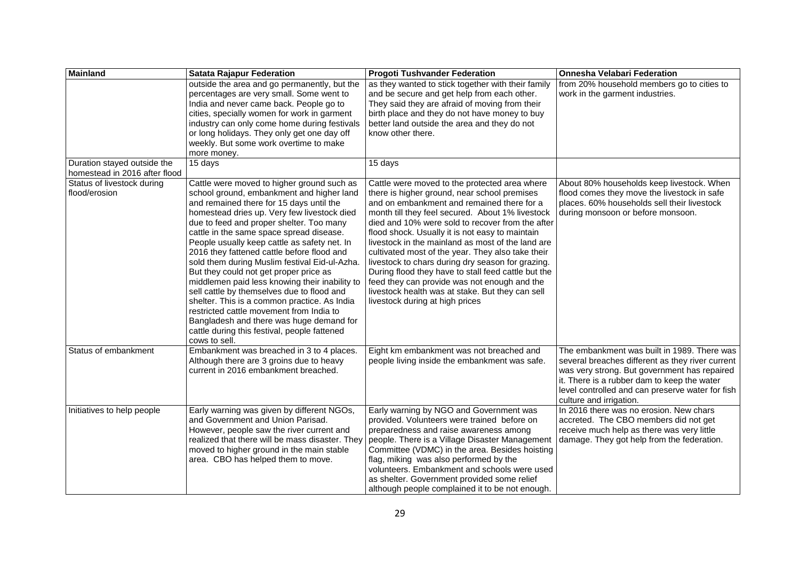| <b>Mainland</b>                                              | <b>Satata Rajapur Federation</b>                                                                                                                                                                                                                                                                                                                                                                                                                                                                                                                                                                                                                                                                                                                                             | <b>Progoti Tushvander Federation</b>                                                                                                                                                                                                                                                                                                                                                                                                                                                                                                                                                                                                                                | <b>Onnesha Velabari Federation</b>                                                                                                                                                                                                                                            |
|--------------------------------------------------------------|------------------------------------------------------------------------------------------------------------------------------------------------------------------------------------------------------------------------------------------------------------------------------------------------------------------------------------------------------------------------------------------------------------------------------------------------------------------------------------------------------------------------------------------------------------------------------------------------------------------------------------------------------------------------------------------------------------------------------------------------------------------------------|---------------------------------------------------------------------------------------------------------------------------------------------------------------------------------------------------------------------------------------------------------------------------------------------------------------------------------------------------------------------------------------------------------------------------------------------------------------------------------------------------------------------------------------------------------------------------------------------------------------------------------------------------------------------|-------------------------------------------------------------------------------------------------------------------------------------------------------------------------------------------------------------------------------------------------------------------------------|
|                                                              | outside the area and go permanently, but the<br>percentages are very small. Some went to<br>India and never came back. People go to<br>cities, specially women for work in garment<br>industry can only come home during festivals<br>or long holidays. They only get one day off<br>weekly. But some work overtime to make<br>more money.                                                                                                                                                                                                                                                                                                                                                                                                                                   | as they wanted to stick together with their family<br>and be secure and get help from each other.<br>They said they are afraid of moving from their<br>birth place and they do not have money to buy<br>better land outside the area and they do not<br>know other there.                                                                                                                                                                                                                                                                                                                                                                                           | from 20% household members go to cities to<br>work in the garment industries.                                                                                                                                                                                                 |
| Duration stayed outside the<br>homestead in 2016 after flood | 15 days                                                                                                                                                                                                                                                                                                                                                                                                                                                                                                                                                                                                                                                                                                                                                                      | 15 days                                                                                                                                                                                                                                                                                                                                                                                                                                                                                                                                                                                                                                                             |                                                                                                                                                                                                                                                                               |
| Status of livestock during<br>flood/erosion                  | Cattle were moved to higher ground such as<br>school ground, embankment and higher land<br>and remained there for 15 days until the<br>homestead dries up. Very few livestock died<br>due to feed and proper shelter. Too many<br>cattle in the same space spread disease.<br>People usually keep cattle as safety net. In<br>2016 they fattened cattle before flood and<br>sold them during Muslim festival Eid-ul-Azha.<br>But they could not get proper price as<br>middlemen paid less knowing their inability to<br>sell cattle by themselves due to flood and<br>shelter. This is a common practice. As India<br>restricted cattle movement from India to<br>Bangladesh and there was huge demand for<br>cattle during this festival, people fattened<br>cows to sell. | Cattle were moved to the protected area where<br>there is higher ground, near school premises<br>and on embankment and remained there for a<br>month till they feel secured. About 1% livestock<br>died and 10% were sold to recover from the after<br>flood shock. Usually it is not easy to maintain<br>livestock in the mainland as most of the land are<br>cultivated most of the year. They also take their<br>livestock to chars during dry season for grazing.<br>During flood they have to stall feed cattle but the<br>feed they can provide was not enough and the<br>livestock health was at stake. But they can sell<br>livestock during at high prices | About 80% households keep livestock. When<br>flood comes they move the livestock in safe<br>places. 60% households sell their livestock<br>during monsoon or before monsoon.                                                                                                  |
| Status of embankment                                         | Embankment was breached in 3 to 4 places.<br>Although there are 3 groins due to heavy<br>current in 2016 embankment breached.                                                                                                                                                                                                                                                                                                                                                                                                                                                                                                                                                                                                                                                | Eight km embankment was not breached and<br>people living inside the embankment was safe.                                                                                                                                                                                                                                                                                                                                                                                                                                                                                                                                                                           | The embankment was built in 1989. There was<br>several breaches different as they river current<br>was very strong. But government has repaired<br>it. There is a rubber dam to keep the water<br>level controlled and can preserve water for fish<br>culture and irrigation. |
| Initiatives to help people                                   | Early warning was given by different NGOs,<br>and Government and Union Parisad.<br>However, people saw the river current and<br>realized that there will be mass disaster. They<br>moved to higher ground in the main stable<br>area. CBO has helped them to move.                                                                                                                                                                                                                                                                                                                                                                                                                                                                                                           | Early warning by NGO and Government was<br>provided. Volunteers were trained before on<br>preparedness and raise awareness among<br>people. There is a Village Disaster Management<br>Committee (VDMC) in the area. Besides hoisting<br>flag, miking was also performed by the<br>volunteers. Embankment and schools were used<br>as shelter. Government provided some relief<br>although people complained it to be not enough.                                                                                                                                                                                                                                    | In 2016 there was no erosion. New chars<br>accreted. The CBO members did not get<br>receive much help as there was very little<br>damage. They got help from the federation.                                                                                                  |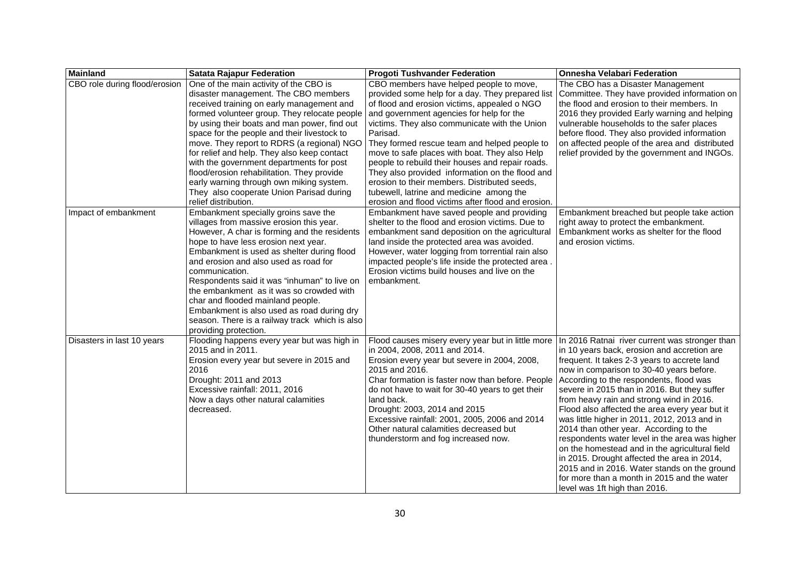| <b>Mainland</b>               | <b>Satata Rajapur Federation</b>                                                                                                                                                                                                                                                                                                                                                                                                                                                                                                            | <b>Progoti Tushvander Federation</b>                                                                                                                                                                                                                                                                                                                                                                                                         | <b>Onnesha Velabari Federation</b>                                                                                                                                                                                                                                                                                                                                                                                                                                                                                                                                                                                                                                                                                                                              |
|-------------------------------|---------------------------------------------------------------------------------------------------------------------------------------------------------------------------------------------------------------------------------------------------------------------------------------------------------------------------------------------------------------------------------------------------------------------------------------------------------------------------------------------------------------------------------------------|----------------------------------------------------------------------------------------------------------------------------------------------------------------------------------------------------------------------------------------------------------------------------------------------------------------------------------------------------------------------------------------------------------------------------------------------|-----------------------------------------------------------------------------------------------------------------------------------------------------------------------------------------------------------------------------------------------------------------------------------------------------------------------------------------------------------------------------------------------------------------------------------------------------------------------------------------------------------------------------------------------------------------------------------------------------------------------------------------------------------------------------------------------------------------------------------------------------------------|
| CBO role during flood/erosion | One of the main activity of the CBO is                                                                                                                                                                                                                                                                                                                                                                                                                                                                                                      | CBO members have helped people to move,                                                                                                                                                                                                                                                                                                                                                                                                      | The CBO has a Disaster Management                                                                                                                                                                                                                                                                                                                                                                                                                                                                                                                                                                                                                                                                                                                               |
|                               | disaster management. The CBO members                                                                                                                                                                                                                                                                                                                                                                                                                                                                                                        | provided some help for a day. They prepared list                                                                                                                                                                                                                                                                                                                                                                                             | Committee. They have provided information on                                                                                                                                                                                                                                                                                                                                                                                                                                                                                                                                                                                                                                                                                                                    |
|                               | received training on early management and                                                                                                                                                                                                                                                                                                                                                                                                                                                                                                   | of flood and erosion victims, appealed o NGO                                                                                                                                                                                                                                                                                                                                                                                                 | the flood and erosion to their members. In                                                                                                                                                                                                                                                                                                                                                                                                                                                                                                                                                                                                                                                                                                                      |
|                               | formed volunteer group. They relocate people                                                                                                                                                                                                                                                                                                                                                                                                                                                                                                | and government agencies for help for the                                                                                                                                                                                                                                                                                                                                                                                                     | 2016 they provided Early warning and helping                                                                                                                                                                                                                                                                                                                                                                                                                                                                                                                                                                                                                                                                                                                    |
|                               | by using their boats and man power, find out                                                                                                                                                                                                                                                                                                                                                                                                                                                                                                | victims. They also communicate with the Union                                                                                                                                                                                                                                                                                                                                                                                                | vulnerable households to the safer places                                                                                                                                                                                                                                                                                                                                                                                                                                                                                                                                                                                                                                                                                                                       |
|                               | space for the people and their livestock to<br>move. They report to RDRS (a regional) NGO                                                                                                                                                                                                                                                                                                                                                                                                                                                   | Parisad.<br>They formed rescue team and helped people to                                                                                                                                                                                                                                                                                                                                                                                     | before flood. They also provided information<br>on affected people of the area and distributed                                                                                                                                                                                                                                                                                                                                                                                                                                                                                                                                                                                                                                                                  |
|                               | for relief and help. They also keep contact                                                                                                                                                                                                                                                                                                                                                                                                                                                                                                 | move to safe places with boat. They also Help                                                                                                                                                                                                                                                                                                                                                                                                | relief provided by the government and INGOs.                                                                                                                                                                                                                                                                                                                                                                                                                                                                                                                                                                                                                                                                                                                    |
|                               | with the government departments for post                                                                                                                                                                                                                                                                                                                                                                                                                                                                                                    | people to rebuild their houses and repair roads.                                                                                                                                                                                                                                                                                                                                                                                             |                                                                                                                                                                                                                                                                                                                                                                                                                                                                                                                                                                                                                                                                                                                                                                 |
|                               | flood/erosion rehabilitation. They provide                                                                                                                                                                                                                                                                                                                                                                                                                                                                                                  | They also provided information on the flood and                                                                                                                                                                                                                                                                                                                                                                                              |                                                                                                                                                                                                                                                                                                                                                                                                                                                                                                                                                                                                                                                                                                                                                                 |
|                               | early warning through own miking system.                                                                                                                                                                                                                                                                                                                                                                                                                                                                                                    | erosion to their members. Distributed seeds,                                                                                                                                                                                                                                                                                                                                                                                                 |                                                                                                                                                                                                                                                                                                                                                                                                                                                                                                                                                                                                                                                                                                                                                                 |
|                               | They also cooperate Union Parisad during                                                                                                                                                                                                                                                                                                                                                                                                                                                                                                    | tubewell, latrine and medicine among the                                                                                                                                                                                                                                                                                                                                                                                                     |                                                                                                                                                                                                                                                                                                                                                                                                                                                                                                                                                                                                                                                                                                                                                                 |
|                               | relief distribution.                                                                                                                                                                                                                                                                                                                                                                                                                                                                                                                        | erosion and flood victims after flood and erosion.                                                                                                                                                                                                                                                                                                                                                                                           |                                                                                                                                                                                                                                                                                                                                                                                                                                                                                                                                                                                                                                                                                                                                                                 |
| Impact of embankment          | Embankment specially groins save the<br>villages from massive erosion this year.<br>However, A char is forming and the residents<br>hope to have less erosion next year.<br>Embankment is used as shelter during flood<br>and erosion and also used as road for<br>communication.<br>Respondents said it was "inhuman" to live on<br>the embankment as it was so crowded with<br>char and flooded mainland people.<br>Embankment is also used as road during dry<br>season. There is a railway track which is also<br>providing protection. | Embankment have saved people and providing<br>shelter to the flood and erosion victims. Due to<br>embankment sand deposition on the agricultural<br>land inside the protected area was avoided.<br>However, water logging from torrential rain also<br>impacted people's life inside the protected area.<br>Erosion victims build houses and live on the<br>embankment.                                                                      | Embankment breached but people take action<br>right away to protect the embankment.<br>Embankment works as shelter for the flood<br>and erosion victims.                                                                                                                                                                                                                                                                                                                                                                                                                                                                                                                                                                                                        |
| Disasters in last 10 years    | Flooding happens every year but was high in<br>2015 and in 2011.<br>Erosion every year but severe in 2015 and<br>2016<br>Drought: 2011 and 2013<br>Excessive rainfall: 2011, 2016<br>Now a days other natural calamities<br>decreased.                                                                                                                                                                                                                                                                                                      | Flood causes misery every year but in little more<br>in 2004, 2008, 2011 and 2014.<br>Erosion every year but severe in 2004, 2008,<br>2015 and 2016.<br>Char formation is faster now than before. People<br>do not have to wait for 30-40 years to get their<br>land back.<br>Drought: 2003, 2014 and 2015<br>Excessive rainfall: 2001, 2005, 2006 and 2014<br>Other natural calamities decreased but<br>thunderstorm and fog increased now. | In 2016 Ratnai river current was stronger than<br>in 10 years back, erosion and accretion are<br>frequent. It takes 2-3 years to accrete land<br>now in comparison to 30-40 years before.<br>According to the respondents, flood was<br>severe in 2015 than in 2016. But they suffer<br>from heavy rain and strong wind in 2016.<br>Flood also affected the area every year but it<br>was little higher in 2011, 2012, 2013 and in<br>2014 than other year. According to the<br>respondents water level in the area was higher<br>on the homestead and in the agricultural field<br>in 2015. Drought affected the area in 2014,<br>2015 and in 2016. Water stands on the ground<br>for more than a month in 2015 and the water<br>level was 1ft high than 2016. |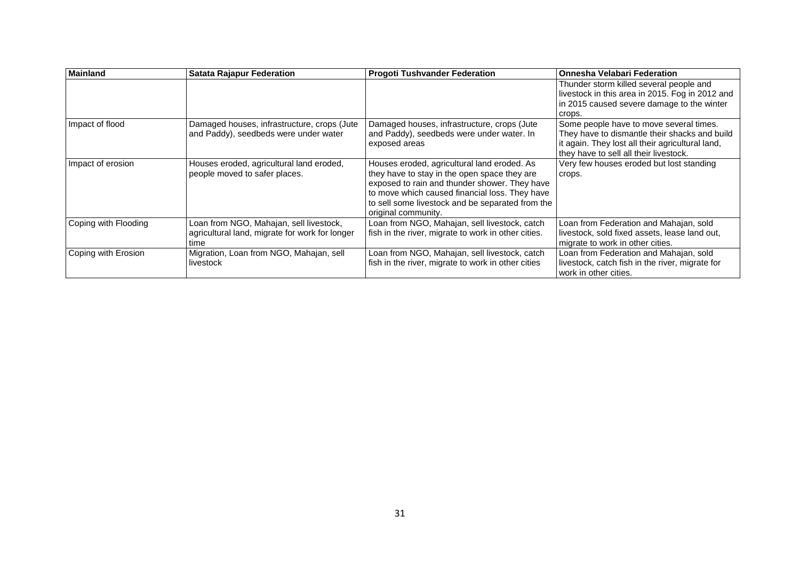| <b>Mainland</b>      | <b>Satata Rajapur Federation</b>                                                                  | <b>Progoti Tushvander Federation</b>                                                                                                                                                                                                                                      | Onnesha Velabari Federation                                                                                                                                                            |
|----------------------|---------------------------------------------------------------------------------------------------|---------------------------------------------------------------------------------------------------------------------------------------------------------------------------------------------------------------------------------------------------------------------------|----------------------------------------------------------------------------------------------------------------------------------------------------------------------------------------|
|                      |                                                                                                   |                                                                                                                                                                                                                                                                           | Thunder storm killed several people and<br>livestock in this area in 2015. Fog in 2012 and<br>in 2015 caused severe damage to the winter<br>crops.                                     |
| Impact of flood      | Damaged houses, infrastructure, crops (Jute<br>and Paddy), seedbeds were under water              | Damaged houses, infrastructure, crops (Jute<br>and Paddy), seedbeds were under water. In<br>exposed areas                                                                                                                                                                 | Some people have to move several times.<br>They have to dismantle their shacks and build<br>it again. They lost all their agricultural land,<br>they have to sell all their livestock. |
| Impact of erosion    | Houses eroded, agricultural land eroded,<br>people moved to safer places.                         | Houses eroded, agricultural land eroded. As<br>they have to stay in the open space they are<br>exposed to rain and thunder shower. They have<br>to move which caused financial loss. They have<br>to sell some livestock and be separated from the<br>original community. | Very few houses eroded but lost standing<br>crops.                                                                                                                                     |
| Coping with Flooding | Loan from NGO, Mahajan, sell livestock,<br>agricultural land, migrate for work for longer<br>time | Loan from NGO, Mahajan, sell livestock, catch<br>fish in the river, migrate to work in other cities.                                                                                                                                                                      | Loan from Federation and Mahajan, sold<br>livestock, sold fixed assets, lease land out,<br>migrate to work in other cities.                                                            |
| Coping with Erosion  | Migration, Loan from NGO, Mahajan, sell<br>livestock                                              | Loan from NGO, Mahajan, sell livestock, catch<br>fish in the river, migrate to work in other cities                                                                                                                                                                       | Loan from Federation and Mahajan, sold<br>livestock, catch fish in the river, migrate for<br>work in other cities.                                                                     |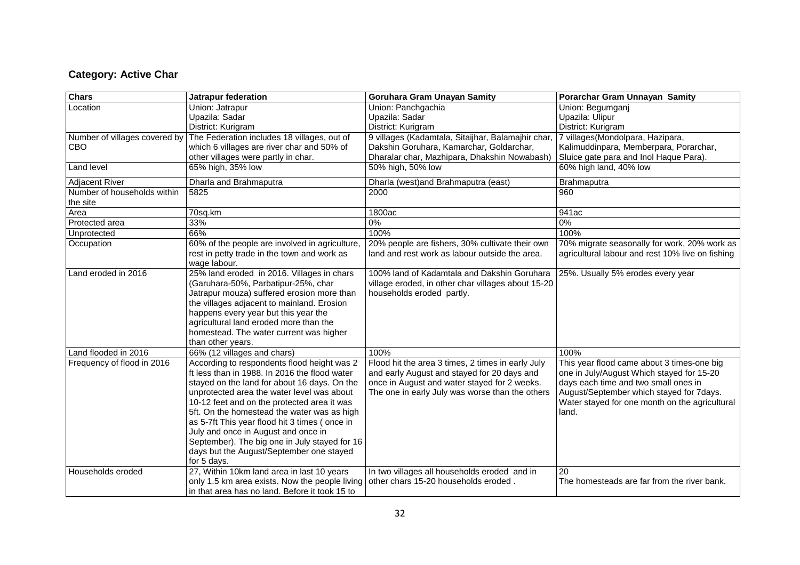## **Category: Active Char**

| <b>Chars</b>                  | Jatrapur federation                            | <b>Goruhara Gram Unayan Samity</b>                 | Porarchar Gram Unnayan Samity                    |
|-------------------------------|------------------------------------------------|----------------------------------------------------|--------------------------------------------------|
| Location                      | Union: Jatrapur                                | Union: Panchgachia                                 | Union: Begumganj                                 |
|                               | Upazila: Sadar                                 | Upazila: Sadar                                     | Upazila: Ulipur                                  |
|                               | District: Kurigram                             | District: Kurigram                                 | District: Kurigram                               |
| Number of villages covered by | The Federation includes 18 villages, out of    | 9 villages (Kadamtala, Sitaijhar, Balamajhir char, | 7 villages (Mondolpara, Hazipara,                |
| <b>CBO</b>                    | which 6 villages are river char and 50% of     | Dakshin Goruhara, Kamarchar, Goldarchar,           | Kalimuddinpara, Memberpara, Porarchar,           |
|                               | other villages were partly in char.            | Dharalar char, Mazhipara, Dhakshin Nowabash)       | Sluice gate para and Inol Haque Para).           |
| Land level                    | 65% high, 35% low                              | 50% high, 50% low                                  | 60% high land, 40% low                           |
| <b>Adjacent River</b>         | Dharla and Brahmaputra                         | Dharla (west) and Brahmaputra (east)               | Brahmaputra                                      |
| Number of households within   | 5825                                           | 2000                                               | 960                                              |
| the site                      |                                                |                                                    |                                                  |
| Area                          | 70sq.km                                        | 1800ac                                             | 941ac                                            |
| Protected area                | 33%                                            | 0%                                                 | 0%                                               |
| Unprotected                   | 66%                                            | 100%                                               | 100%                                             |
| Occupation                    | 60% of the people are involved in agriculture, | 20% people are fishers, 30% cultivate their own    | 70% migrate seasonally for work, 20% work as     |
|                               | rest in petty trade in the town and work as    | land and rest work as labour outside the area.     | agricultural labour and rest 10% live on fishing |
|                               | wage labour.                                   |                                                    |                                                  |
| Land eroded in 2016           | 25% land eroded in 2016. Villages in chars     | 100% land of Kadamtala and Dakshin Goruhara        | 25%. Usually 5% erodes every year                |
|                               | (Garuhara-50%, Parbatipur-25%, char            | village eroded, in other char villages about 15-20 |                                                  |
|                               | Jatrapur mouza) suffered erosion more than     | households eroded partly.                          |                                                  |
|                               | the villages adjacent to mainland. Erosion     |                                                    |                                                  |
|                               | happens every year but this year the           |                                                    |                                                  |
|                               | agricultural land eroded more than the         |                                                    |                                                  |
|                               | homestead. The water current was higher        |                                                    |                                                  |
|                               | than other years.                              |                                                    |                                                  |
| Land flooded in 2016          | 66% (12 villages and chars)                    | 100%                                               | 100%                                             |
| Frequency of flood in 2016    | According to respondents flood height was 2    | Flood hit the area 3 times, 2 times in early July  | This year flood came about 3 times-one big       |
|                               | ft less than in 1988. In 2016 the flood water  | and early August and stayed for 20 days and        | one in July/August Which stayed for 15-20        |
|                               | stayed on the land for about 16 days. On the   | once in August and water stayed for 2 weeks.       | days each time and two small ones in             |
|                               | unprotected area the water level was about     | The one in early July was worse than the others    | August/September which stayed for 7days.         |
|                               | 10-12 feet and on the protected area it was    |                                                    | Water stayed for one month on the agricultural   |
|                               | 5ft. On the homestead the water was as high    |                                                    | land.                                            |
|                               | as 5-7ft This year flood hit 3 times (once in  |                                                    |                                                  |
|                               | July and once in August and once in            |                                                    |                                                  |
|                               | September). The big one in July stayed for 16  |                                                    |                                                  |
|                               | days but the August/September one stayed       |                                                    |                                                  |
|                               | for 5 days.                                    |                                                    |                                                  |
| Households eroded             | 27, Within 10km land area in last 10 years     | In two villages all households eroded and in       | 20                                               |
|                               | only 1.5 km area exists. Now the people living | other chars 15-20 households eroded.               | The homesteads are far from the river bank.      |
|                               | in that area has no land. Before it took 15 to |                                                    |                                                  |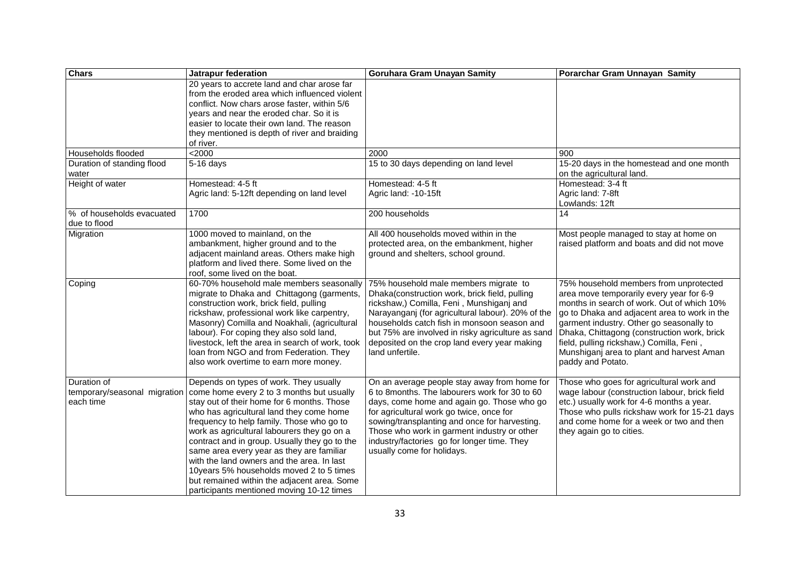| Chars                                                    | Jatrapur federation                                                                                                                                                                                                                                                                                                                                                                                                                                                                                                                                           | Goruhara Gram Unayan Samity                                                                                                                                                                                                                                                                                                                                          | Porarchar Gram Unnayan Samity                                                                                                                                                                                                                                                                                                                                                             |
|----------------------------------------------------------|---------------------------------------------------------------------------------------------------------------------------------------------------------------------------------------------------------------------------------------------------------------------------------------------------------------------------------------------------------------------------------------------------------------------------------------------------------------------------------------------------------------------------------------------------------------|----------------------------------------------------------------------------------------------------------------------------------------------------------------------------------------------------------------------------------------------------------------------------------------------------------------------------------------------------------------------|-------------------------------------------------------------------------------------------------------------------------------------------------------------------------------------------------------------------------------------------------------------------------------------------------------------------------------------------------------------------------------------------|
|                                                          | 20 years to accrete land and char arose far<br>from the eroded area which influenced violent<br>conflict. Now chars arose faster, within 5/6<br>years and near the eroded char. So it is<br>easier to locate their own land. The reason<br>they mentioned is depth of river and braiding<br>of river.                                                                                                                                                                                                                                                         |                                                                                                                                                                                                                                                                                                                                                                      |                                                                                                                                                                                                                                                                                                                                                                                           |
| Households flooded                                       | < 2000                                                                                                                                                                                                                                                                                                                                                                                                                                                                                                                                                        | 2000                                                                                                                                                                                                                                                                                                                                                                 | 900                                                                                                                                                                                                                                                                                                                                                                                       |
| Duration of standing flood<br>water                      | $5-16$ days                                                                                                                                                                                                                                                                                                                                                                                                                                                                                                                                                   | 15 to 30 days depending on land level                                                                                                                                                                                                                                                                                                                                | 15-20 days in the homestead and one month<br>on the agricultural land.                                                                                                                                                                                                                                                                                                                    |
| Height of water                                          | Homestead: 4-5 ft<br>Agric land: 5-12ft depending on land level                                                                                                                                                                                                                                                                                                                                                                                                                                                                                               | Homestead: 4-5 ft<br>Agric land: -10-15ft                                                                                                                                                                                                                                                                                                                            | Homestead: 3-4 ft<br>Agric land: 7-8ft<br>Lowlands: 12ft                                                                                                                                                                                                                                                                                                                                  |
| % of households evacuated<br>due to flood                | 1700                                                                                                                                                                                                                                                                                                                                                                                                                                                                                                                                                          | 200 households                                                                                                                                                                                                                                                                                                                                                       | 14                                                                                                                                                                                                                                                                                                                                                                                        |
| Migration                                                | 1000 moved to mainland, on the<br>ambankment, higher ground and to the<br>adjacent mainland areas. Others make high<br>platform and lived there. Some lived on the<br>roof, some lived on the boat.                                                                                                                                                                                                                                                                                                                                                           | All 400 households moved within in the<br>protected area, on the embankment, higher<br>ground and shelters, school ground.                                                                                                                                                                                                                                           | Most people managed to stay at home on<br>raised platform and boats and did not move                                                                                                                                                                                                                                                                                                      |
| Coping                                                   | 60-70% household male members seasonally<br>migrate to Dhaka and Chittagong (garments,<br>construction work, brick field, pulling<br>rickshaw, professional work like carpentry,<br>Masonry) Comilla and Noakhali, (agricultural<br>labour). For coping they also sold land,<br>livestock, left the area in search of work, took<br>loan from NGO and from Federation. They<br>also work overtime to earn more money.                                                                                                                                         | 75% household male members migrate to<br>Dhaka(construction work, brick field, pulling<br>rickshaw,) Comilla, Feni, Munshiganj and<br>Narayanganj (for agricultural labour). 20% of the<br>households catch fish in monsoon season and<br>but 75% are involved in risky agriculture as sand<br>deposited on the crop land every year making<br>land unfertile.       | 75% household members from unprotected<br>area move temporarily every year for 6-9<br>months in search of work. Out of which 10%<br>go to Dhaka and adjacent area to work in the<br>garment industry. Other go seasonally to<br>Dhaka, Chittagong (construction work, brick<br>field, pulling rickshaw,) Comilla, Feni,<br>Munshiganj area to plant and harvest Aman<br>paddy and Potato. |
| Duration of<br>temporary/seasonal migration<br>each time | Depends on types of work. They usually<br>come home every 2 to 3 months but usually<br>stay out of their home for 6 months. Those<br>who has agricultural land they come home<br>frequency to help family. Those who go to<br>work as agricultural labourers they go on a<br>contract and in group. Usually they go to the<br>same area every year as they are familiar<br>with the land owners and the area. In last<br>10years 5% households moved 2 to 5 times<br>but remained within the adjacent area. Some<br>participants mentioned moving 10-12 times | On an average people stay away from home for<br>6 to 8months. The labourers work for 30 to 60<br>days, come home and again go. Those who go<br>for agricultural work go twice, once for<br>sowing/transplanting and once for harvesting.<br>Those who work in garment industry or other<br>industry/factories go for longer time. They<br>usually come for holidays. | Those who goes for agricultural work and<br>wage labour (construction labour, brick field<br>etc.) usually work for 4-6 months a year.<br>Those who pulls rickshaw work for 15-21 days<br>and come home for a week or two and then<br>they again go to cities.                                                                                                                            |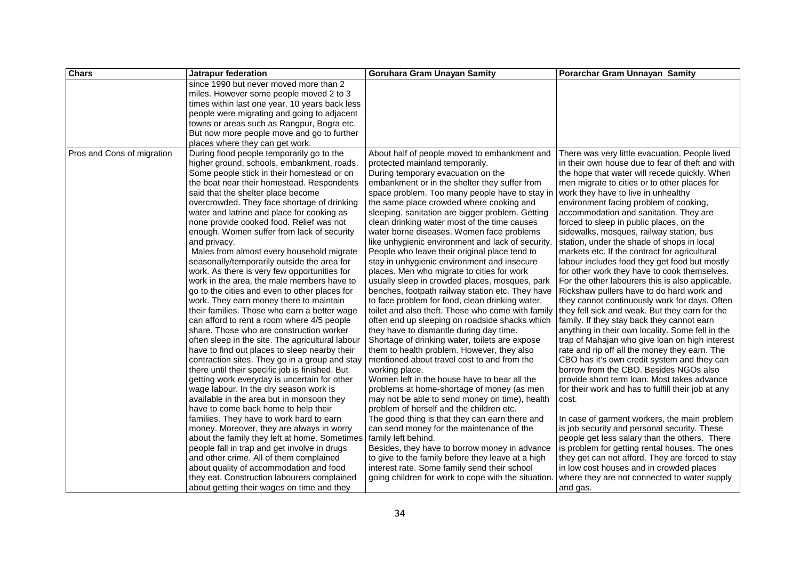| <b>Chars</b>               | Jatrapur federation                              | <b>Goruhara Gram Unayan Samity</b>                  | Porarchar Gram Unnayan Samity                      |
|----------------------------|--------------------------------------------------|-----------------------------------------------------|----------------------------------------------------|
|                            | since 1990 but never moved more than 2           |                                                     |                                                    |
|                            | miles. However some people moved 2 to 3          |                                                     |                                                    |
|                            | times within last one year. 10 years back less   |                                                     |                                                    |
|                            | people were migrating and going to adjacent      |                                                     |                                                    |
|                            | towns or areas such as Rangpur, Bogra etc.       |                                                     |                                                    |
|                            | But now more people move and go to further       |                                                     |                                                    |
|                            | places where they can get work.                  |                                                     |                                                    |
| Pros and Cons of migration | During flood people temporarily go to the        | About half of people moved to embankment and        | There was very little evacuation. People lived     |
|                            | higher ground, schools, embankment, roads.       | protected mainland temporarily.                     | in their own house due to fear of theft and with   |
|                            | Some people stick in their homestead or on       | During temporary evacuation on the                  | the hope that water will recede quickly. When      |
|                            | the boat near their homestead. Respondents       | embankment or in the shelter they suffer from       | men migrate to cities or to other places for       |
|                            | said that the shelter place become               | space problem. Too many people have to stay in      | work they have to live in unhealthy                |
|                            | overcrowded. They face shortage of drinking      | the same place crowded where cooking and            | environment facing problem of cooking,             |
|                            | water and latrine and place for cooking as       | sleeping, sanitation are bigger problem. Getting    | accommodation and sanitation. They are             |
|                            | none provide cooked food. Relief was not         | clean drinking water most of the time causes        | forced to sleep in public places, on the           |
|                            | enough. Women suffer from lack of security       | water borne diseases. Women face problems           | sidewalks, mosques, railway station, bus           |
|                            | and privacy.                                     | like unhygienic environment and lack of security.   | station, under the shade of shops in local         |
|                            | Males from almost every household migrate        | People who leave their original place tend to       | markets etc. If the contract for agricultural      |
|                            | seasonally/temporarily outside the area for      | stay in unhygienic environment and insecure         | labour includes food they get food but mostly      |
|                            | work. As there is very few opportunities for     | places. Men who migrate to cities for work          | for other work they have to cook themselves.       |
|                            | work in the area, the male members have to       | usually sleep in crowded places, mosques, park      | For the other labourers this is also applicable.   |
|                            | go to the cities and even to other places for    | benches, footpath railway station etc. They have    | Rickshaw pullers have to do hard work and          |
|                            | work. They earn money there to maintain          | to face problem for food, clean drinking water,     | they cannot continuously work for days. Often      |
|                            | their families. Those who earn a better wage     | toilet and also theft. Those who come with family   | they fell sick and weak. But they earn for the     |
|                            | can afford to rent a room where 4/5 people       | often end up sleeping on roadside shacks which      | family. If they stay back they cannot earn         |
|                            | share. Those who are construction worker         | they have to dismantle during day time.             | anything in their own locality. Some fell in the   |
|                            | often sleep in the site. The agricultural labour | Shortage of drinking water, toilets are expose      | trap of Mahajan who give loan on high interest     |
|                            | have to find out places to sleep nearby their    | them to health problem. However, they also          | rate and rip off all the money they earn. The      |
|                            | contraction sites. They go in a group and stay   | mentioned about travel cost to and from the         | CBO has it's own credit system and they can        |
|                            | there until their specific job is finished. But  | working place.                                      | borrow from the CBO. Besides NGOs also             |
|                            | getting work everyday is uncertain for other     | Women left in the house have to bear all the        | provide short term loan. Most takes advance        |
|                            | wage labour. In the dry season work is           | problems at home-shortage of money (as men          | for their work and has to fulfill their job at any |
|                            | available in the area but in monsoon they        | may not be able to send money on time), health      | cost.                                              |
|                            | have to come back home to help their             | problem of herself and the children etc.            |                                                    |
|                            | families. They have to work hard to earn         | The good thing is that they can earn there and      | In case of garment workers, the main problem       |
|                            | money. Moreover, they are always in worry        | can send money for the maintenance of the           | is job security and personal security. These       |
|                            | about the family they left at home. Sometimes    | family left behind.                                 | people get less salary than the others. There      |
|                            | people fall in trap and get involve in drugs     | Besides, they have to borrow money in advance       | is problem for getting rental houses. The ones     |
|                            | and other crime. All of them complained          | to give to the family before they leave at a high   | they get can not afford. They are forced to stay   |
|                            | about quality of accommodation and food          | interest rate. Some family send their school        | in low cost houses and in crowded places           |
|                            | they eat. Construction labourers complained      | going children for work to cope with the situation. | where they are not connected to water supply       |
|                            | about getting their wages on time and they       |                                                     | and gas.                                           |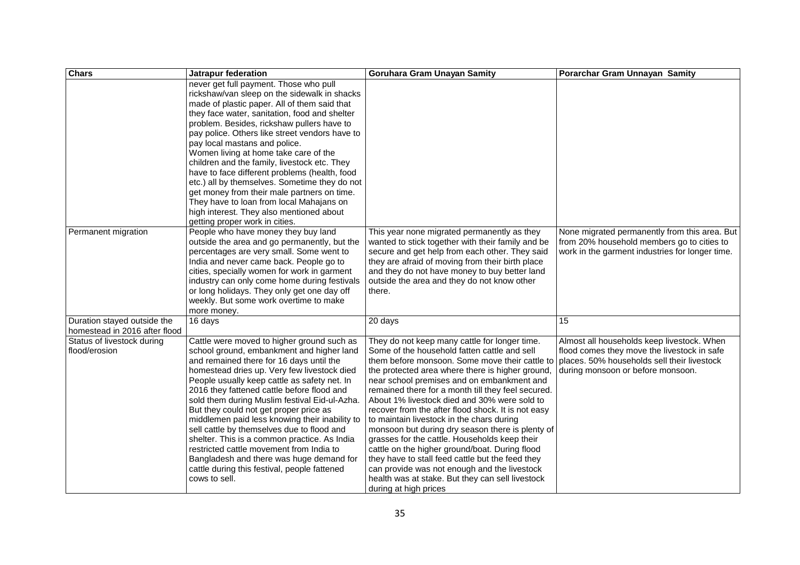| <b>Chars</b>                  | Jatrapur federation                            | <b>Goruhara Gram Unayan Samity</b>                 | Porarchar Gram Unnayan Samity                   |
|-------------------------------|------------------------------------------------|----------------------------------------------------|-------------------------------------------------|
|                               | never get full payment. Those who pull         |                                                    |                                                 |
|                               | rickshaw/van sleep on the sidewalk in shacks   |                                                    |                                                 |
|                               | made of plastic paper. All of them said that   |                                                    |                                                 |
|                               | they face water, sanitation, food and shelter  |                                                    |                                                 |
|                               | problem. Besides, rickshaw pullers have to     |                                                    |                                                 |
|                               | pay police. Others like street vendors have to |                                                    |                                                 |
|                               | pay local mastans and police.                  |                                                    |                                                 |
|                               | Women living at home take care of the          |                                                    |                                                 |
|                               | children and the family, livestock etc. They   |                                                    |                                                 |
|                               | have to face different problems (health, food  |                                                    |                                                 |
|                               | etc.) all by themselves. Sometime they do not  |                                                    |                                                 |
|                               | get money from their male partners on time.    |                                                    |                                                 |
|                               | They have to loan from local Mahajans on       |                                                    |                                                 |
|                               | high interest. They also mentioned about       |                                                    |                                                 |
|                               | getting proper work in cities.                 |                                                    |                                                 |
| Permanent migration           | People who have money they buy land            | This year none migrated permanently as they        | None migrated permanently from this area. But   |
|                               | outside the area and go permanently, but the   | wanted to stick together with their family and be  | from 20% household members go to cities to      |
|                               | percentages are very small. Some went to       | secure and get help from each other. They said     | work in the garment industries for longer time. |
|                               | India and never came back. People go to        | they are afraid of moving from their birth place   |                                                 |
|                               | cities, specially women for work in garment    | and they do not have money to buy better land      |                                                 |
|                               | industry can only come home during festivals   | outside the area and they do not know other        |                                                 |
|                               | or long holidays. They only get one day off    | there.                                             |                                                 |
|                               | weekly. But some work overtime to make         |                                                    |                                                 |
|                               | more money.                                    |                                                    |                                                 |
| Duration stayed outside the   | 16 days                                        | 20 days                                            | 15                                              |
| homestead in 2016 after flood |                                                |                                                    |                                                 |
| Status of livestock during    | Cattle were moved to higher ground such as     | They do not keep many cattle for longer time.      | Almost all households keep livestock. When      |
| flood/erosion                 | school ground, embankment and higher land      | Some of the household fatten cattle and sell       | flood comes they move the livestock in safe     |
|                               | and remained there for 16 days until the       | them before monsoon. Some move their cattle to     | places. 50% households sell their livestock     |
|                               | homestead dries up. Very few livestock died    | the protected area where there is higher ground,   | during monsoon or before monsoon.               |
|                               | People usually keep cattle as safety net. In   | near school premises and on embankment and         |                                                 |
|                               | 2016 they fattened cattle before flood and     | remained there for a month till they feel secured. |                                                 |
|                               | sold them during Muslim festival Eid-ul-Azha.  | About 1% livestock died and 30% were sold to       |                                                 |
|                               | But they could not get proper price as         | recover from the after flood shock. It is not easy |                                                 |
|                               | middlemen paid less knowing their inability to | to maintain livestock in the chars during          |                                                 |
|                               | sell cattle by themselves due to flood and     | monsoon but during dry season there is plenty of   |                                                 |
|                               | shelter. This is a common practice. As India   | grasses for the cattle. Households keep their      |                                                 |
|                               | restricted cattle movement from India to       | cattle on the higher ground/boat. During flood     |                                                 |
|                               | Bangladesh and there was huge demand for       | they have to stall feed cattle but the feed they   |                                                 |
|                               | cattle during this festival, people fattened   | can provide was not enough and the livestock       |                                                 |
|                               | cows to sell.                                  | health was at stake. But they can sell livestock   |                                                 |
|                               |                                                | during at high prices                              |                                                 |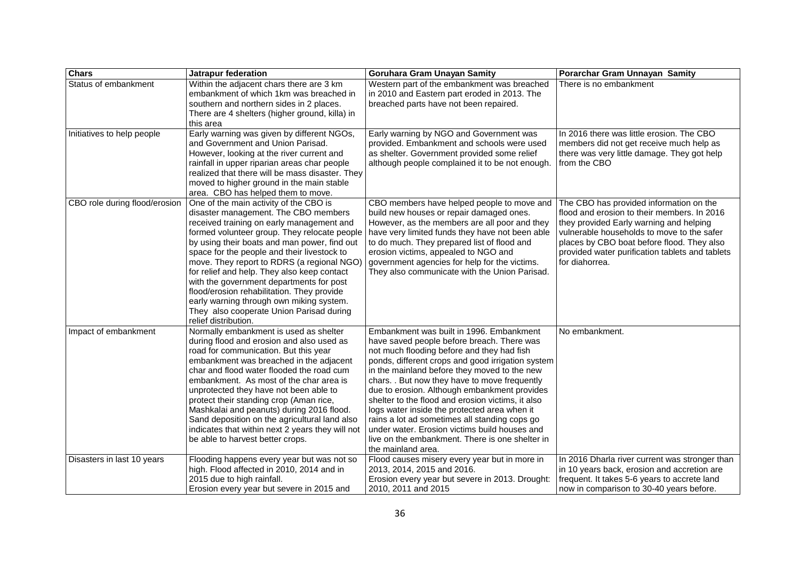| <b>Chars</b>                  | Jatrapur federation                                                                                                                                                                                                                                                                                                                                                                                                                                                                                                                                                               | Goruhara Gram Unayan Samity                                                                                                                                                                                                                                                                                                                                                                                                                                                                                                                                                                                                | Porarchar Gram Unnayan Samity                                                                                                                                                                                                                                                                      |
|-------------------------------|-----------------------------------------------------------------------------------------------------------------------------------------------------------------------------------------------------------------------------------------------------------------------------------------------------------------------------------------------------------------------------------------------------------------------------------------------------------------------------------------------------------------------------------------------------------------------------------|----------------------------------------------------------------------------------------------------------------------------------------------------------------------------------------------------------------------------------------------------------------------------------------------------------------------------------------------------------------------------------------------------------------------------------------------------------------------------------------------------------------------------------------------------------------------------------------------------------------------------|----------------------------------------------------------------------------------------------------------------------------------------------------------------------------------------------------------------------------------------------------------------------------------------------------|
| Status of embankment          | Within the adjacent chars there are 3 km<br>embankment of which 1km was breached in<br>southern and northern sides in 2 places.<br>There are 4 shelters (higher ground, killa) in<br>this area                                                                                                                                                                                                                                                                                                                                                                                    | Western part of the embankment was breached<br>in 2010 and Eastern part eroded in 2013. The<br>breached parts have not been repaired.                                                                                                                                                                                                                                                                                                                                                                                                                                                                                      | There is no embankment                                                                                                                                                                                                                                                                             |
| Initiatives to help people    | Early warning was given by different NGOs,<br>and Government and Union Parisad.<br>However, looking at the river current and<br>rainfall in upper riparian areas char people<br>realized that there will be mass disaster. They<br>moved to higher ground in the main stable<br>area. CBO has helped them to move.                                                                                                                                                                                                                                                                | Early warning by NGO and Government was<br>provided. Embankment and schools were used<br>as shelter. Government provided some relief<br>although people complained it to be not enough.                                                                                                                                                                                                                                                                                                                                                                                                                                    | In 2016 there was little erosion. The CBO<br>members did not get receive much help as<br>there was very little damage. They got help<br>from the CBO                                                                                                                                               |
| CBO role during flood/erosion | One of the main activity of the CBO is<br>disaster management. The CBO members<br>received training on early management and<br>formed volunteer group. They relocate people<br>by using their boats and man power, find out<br>space for the people and their livestock to<br>move. They report to RDRS (a regional NGO)<br>for relief and help. They also keep contact<br>with the government departments for post<br>flood/erosion rehabilitation. They provide<br>early warning through own miking system.<br>They also cooperate Union Parisad during<br>relief distribution. | CBO members have helped people to move and<br>build new houses or repair damaged ones.<br>However, as the members are all poor and they<br>have very limited funds they have not been able<br>to do much. They prepared list of flood and<br>erosion victims, appealed to NGO and<br>government agencies for help for the victims.<br>They also communicate with the Union Parisad.                                                                                                                                                                                                                                        | The CBO has provided information on the<br>flood and erosion to their members. In 2016<br>they provided Early warning and helping<br>vulnerable households to move to the safer<br>places by CBO boat before flood. They also<br>provided water purification tablets and tablets<br>for diahorrea. |
| Impact of embankment          | Normally embankment is used as shelter<br>during flood and erosion and also used as<br>road for communication. But this year<br>embankment was breached in the adjacent<br>char and flood water flooded the road cum<br>embankment. As most of the char area is<br>unprotected they have not been able to<br>protect their standing crop (Aman rice,<br>Mashkalai and peanuts) during 2016 flood.<br>Sand deposition on the agricultural land also<br>indicates that within next 2 years they will not<br>be able to harvest better crops.                                        | Embankment was built in 1996. Embankment<br>have saved people before breach. There was<br>not much flooding before and they had fish<br>ponds, different crops and good irrigation system<br>in the mainland before they moved to the new<br>chars. . But now they have to move frequently<br>due to erosion. Although embankment provides<br>shelter to the flood and erosion victims, it also<br>logs water inside the protected area when it<br>rains a lot ad sometimes all standing cops go<br>under water. Erosion victims build houses and<br>live on the embankment. There is one shelter in<br>the mainland area. | No embankment.                                                                                                                                                                                                                                                                                     |
| Disasters in last 10 years    | Flooding happens every year but was not so<br>high. Flood affected in 2010, 2014 and in<br>2015 due to high rainfall.<br>Erosion every year but severe in 2015 and                                                                                                                                                                                                                                                                                                                                                                                                                | Flood causes misery every year but in more in<br>2013, 2014, 2015 and 2016.<br>Erosion every year but severe in 2013. Drought:<br>2010, 2011 and 2015                                                                                                                                                                                                                                                                                                                                                                                                                                                                      | In 2016 Dharla river current was stronger than<br>in 10 years back, erosion and accretion are<br>frequent. It takes 5-6 years to accrete land<br>now in comparison to 30-40 years before.                                                                                                          |